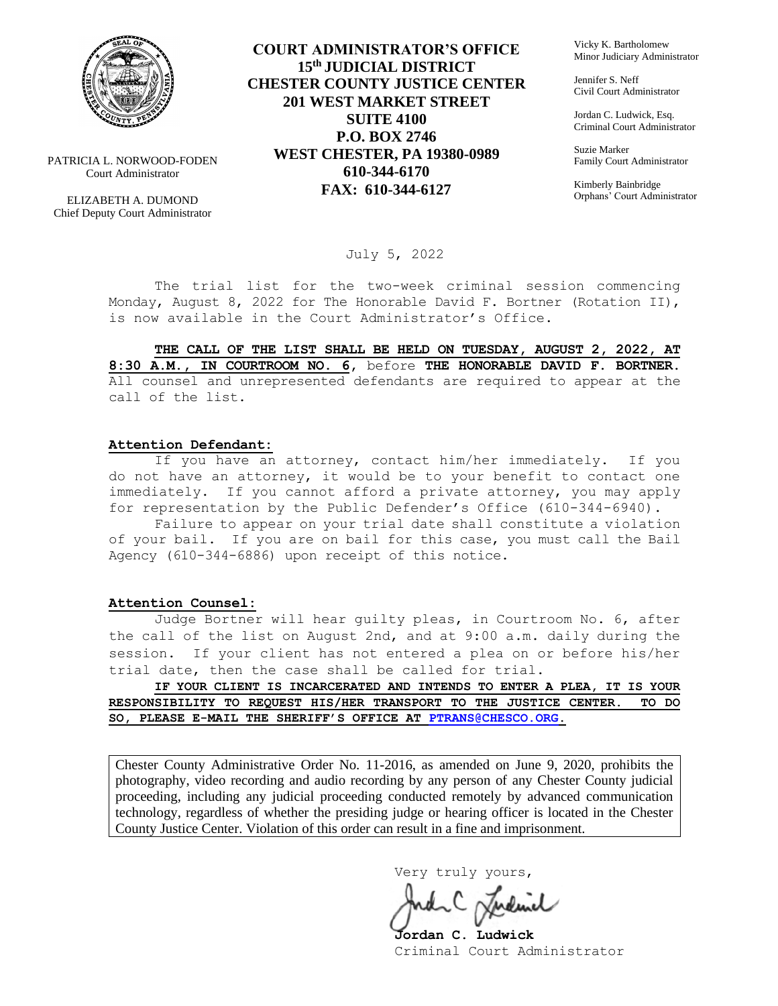

PATRICIA L. NORWOOD-FODEN Court Administrator

ELIZABETH A. DUMOND Chief Deputy Court Administrator

**COURT ADMINISTRATOR'S OFFICE 15th JUDICIAL DISTRICT CHESTER COUNTY JUSTICE CENTER 201 WEST MARKET STREET SUITE 4100 P.O. BOX 2746 WEST CHESTER, PA 19380-0989 610-344-6170 FAX: 610-344-6127**

Vicky K. Bartholomew Minor Judiciary Administrator

Jennifer S. Neff Civil Court Administrator

Jordan C. Ludwick, Esq. Criminal Court Administrator

Suzie Marker Family Court Administrator

Kimberly Bainbridge Orphans' Court Administrator

July 5, 2022

The trial list for the two-week criminal session commencing Monday, August 8, 2022 for The Honorable David F. Bortner (Rotation II), is now available in the Court Administrator's Office.

**THE CALL OF THE LIST SHALL BE HELD ON TUESDAY, AUGUST 2, 2022, AT 8:30 A.M., IN COURTROOM NO. 6,** before **THE HONORABLE DAVID F. BORTNER.**  All counsel and unrepresented defendants are required to appear at the call of the list.

#### **Attention Defendant:**

If you have an attorney, contact him/her immediately. If you do not have an attorney, it would be to your benefit to contact one immediately. If you cannot afford a private attorney, you may apply for representation by the Public Defender's Office (610-344-6940).

Failure to appear on your trial date shall constitute a violation of your bail. If you are on bail for this case, you must call the Bail Agency (610-344-6886) upon receipt of this notice.

#### **Attention Counsel:**

Judge Bortner will hear guilty pleas, in Courtroom No. 6, after the call of the list on August 2nd, and at 9:00 a.m. daily during the session. If your client has not entered a plea on or before his/her trial date, then the case shall be called for trial.

**IF YOUR CLIENT IS INCARCERATED AND INTENDS TO ENTER A PLEA, IT IS YOUR RESPONSIBILITY TO REQUEST HIS/HER TRANSPORT TO THE JUSTICE CENTER. TO DO SO, PLEASE E-MAIL THE SHERIFF'S OFFICE AT [PTRANS@CHESCO.ORG.](mailto:PTRANS@CHESCO.ORG)**

Chester County Administrative Order No. 11-2016, as amended on June 9, 2020, prohibits the photography, video recording and audio recording by any person of any Chester County judicial proceeding, including any judicial proceeding conducted remotely by advanced communication technology, regardless of whether the presiding judge or hearing officer is located in the Chester County Justice Center. Violation of this order can result in a fine and imprisonment.

Very truly yours,

**Jordan C. Ludwick** Criminal Court Administrator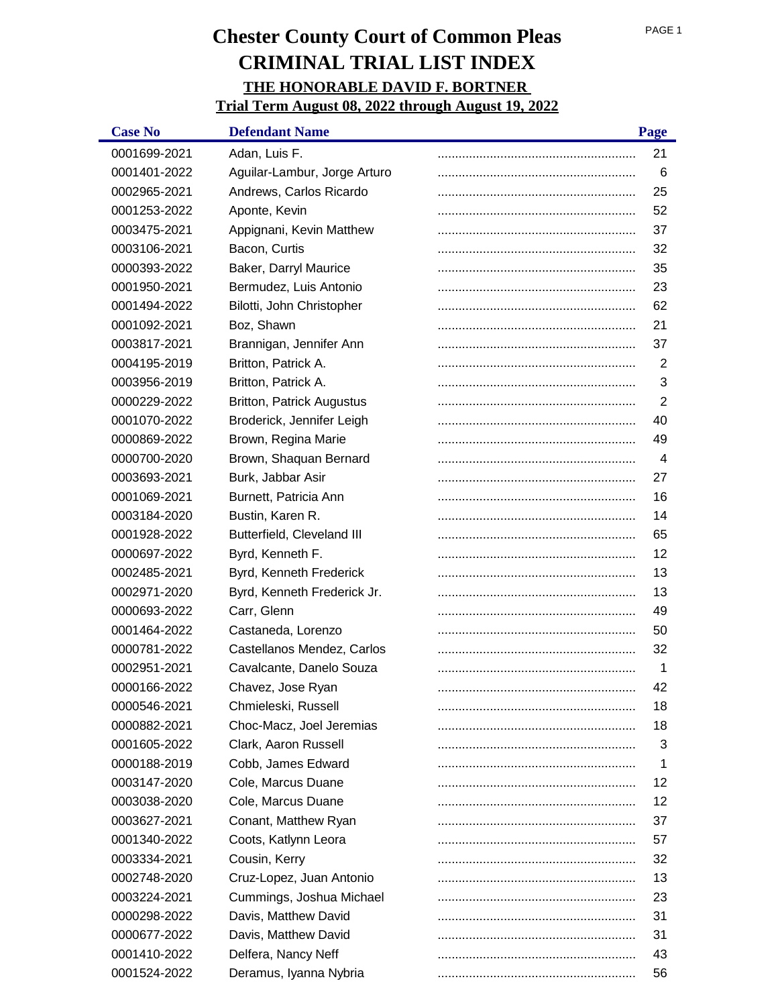| <b>Case No</b> | <b>Defendant Name</b>            | Page |
|----------------|----------------------------------|------|
| 0001699-2021   | Adan, Luis F.                    | 21   |
| 0001401-2022   | Aguilar-Lambur, Jorge Arturo     | 6    |
| 0002965-2021   | Andrews, Carlos Ricardo          | 25   |
| 0001253-2022   | Aponte, Kevin                    | 52   |
| 0003475-2021   | Appignani, Kevin Matthew         | 37   |
| 0003106-2021   | Bacon, Curtis                    | 32   |
| 0000393-2022   | Baker, Darryl Maurice            | 35   |
| 0001950-2021   | Bermudez, Luis Antonio           | 23   |
| 0001494-2022   | Bilotti, John Christopher        | 62   |
| 0001092-2021   | Boz, Shawn                       | 21   |
| 0003817-2021   | Brannigan, Jennifer Ann          | 37   |
| 0004195-2019   | Britton, Patrick A.              | 2    |
| 0003956-2019   | Britton, Patrick A.              | 3    |
| 0000229-2022   | <b>Britton, Patrick Augustus</b> | 2    |
| 0001070-2022   | Broderick, Jennifer Leigh        | 40   |
| 0000869-2022   | Brown, Regina Marie              | 49   |
| 0000700-2020   | Brown, Shaquan Bernard           | 4    |
| 0003693-2021   | Burk, Jabbar Asir                | 27   |
| 0001069-2021   | Burnett, Patricia Ann            | 16   |
| 0003184-2020   | Bustin, Karen R.                 | 14   |
| 0001928-2022   | Butterfield, Cleveland III       | 65   |
| 0000697-2022   | Byrd, Kenneth F.                 | 12   |
| 0002485-2021   | Byrd, Kenneth Frederick          | 13   |
| 0002971-2020   | Byrd, Kenneth Frederick Jr.      | 13   |
| 0000693-2022   | Carr, Glenn                      | 49   |
| 0001464-2022   | Castaneda, Lorenzo               | 50   |
| 0000781-2022   | Castellanos Mendez, Carlos       | 32   |
| 0002951-2021   | Cavalcante, Danelo Souza         | 1    |
| 0000166-2022   | Chavez, Jose Ryan                | 42   |
| 0000546-2021   | Chmieleski, Russell              | 18   |
| 0000882-2021   | Choc-Macz, Joel Jeremias         | 18   |
| 0001605-2022   | Clark, Aaron Russell             | 3    |
| 0000188-2019   | Cobb, James Edward               | 1    |
| 0003147-2020   | Cole, Marcus Duane               | 12   |
| 0003038-2020   | Cole, Marcus Duane               | 12   |
| 0003627-2021   | Conant, Matthew Ryan             | 37   |
| 0001340-2022   | Coots, Katlynn Leora             | 57   |
| 0003334-2021   | Cousin, Kerry                    | 32   |
| 0002748-2020   | Cruz-Lopez, Juan Antonio         | 13   |
| 0003224-2021   | Cummings, Joshua Michael         | 23   |
| 0000298-2022   | Davis, Matthew David             | 31   |
| 0000677-2022   | Davis, Matthew David             | 31   |
| 0001410-2022   | Delfera, Nancy Neff              | 43   |
| 0001524-2022   | Deramus, Iyanna Nybria           | 56   |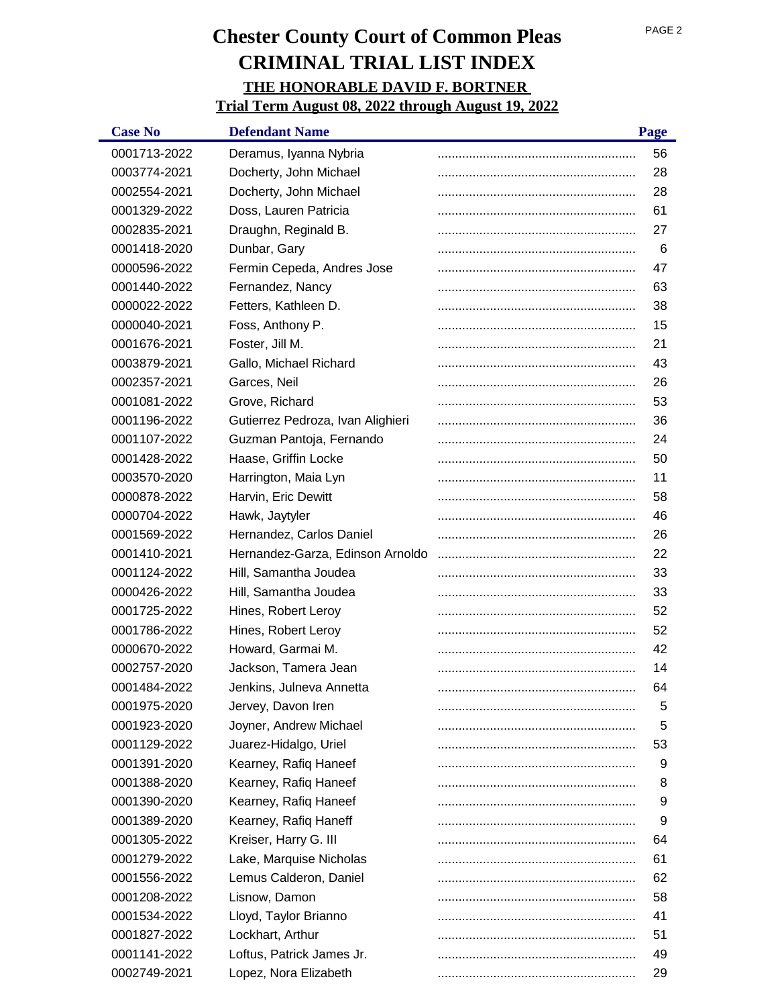| <b>Case No</b> | <b>Defendant Name</b>             | Page |
|----------------|-----------------------------------|------|
| 0001713-2022   | Deramus, Iyanna Nybria            | 56   |
| 0003774-2021   | Docherty, John Michael            | 28   |
| 0002554-2021   | Docherty, John Michael            | 28   |
| 0001329-2022   | Doss, Lauren Patricia             | 61   |
| 0002835-2021   | Draughn, Reginald B.              | 27   |
| 0001418-2020   | Dunbar, Gary                      | 6    |
| 0000596-2022   | Fermin Cepeda, Andres Jose        | 47   |
| 0001440-2022   | Fernandez, Nancy                  | 63   |
| 0000022-2022   | Fetters, Kathleen D.              | 38   |
| 0000040-2021   | Foss, Anthony P.                  | 15   |
| 0001676-2021   | Foster, Jill M.                   | 21   |
| 0003879-2021   | Gallo, Michael Richard            | 43   |
| 0002357-2021   | Garces, Neil                      | 26   |
| 0001081-2022   | Grove, Richard                    | 53   |
| 0001196-2022   | Gutierrez Pedroza, Ivan Alighieri | 36   |
| 0001107-2022   | Guzman Pantoja, Fernando          | 24   |
| 0001428-2022   | Haase, Griffin Locke              | 50   |
| 0003570-2020   | Harrington, Maia Lyn              | 11   |
| 0000878-2022   | Harvin, Eric Dewitt               | 58   |
| 0000704-2022   | Hawk, Jaytyler                    | 46   |
| 0001569-2022   | Hernandez, Carlos Daniel          | 26   |
| 0001410-2021   | Hernandez-Garza, Edinson Arnoldo  | 22   |
| 0001124-2022   | Hill, Samantha Joudea             | 33   |
| 0000426-2022   | Hill, Samantha Joudea             | 33   |
| 0001725-2022   | Hines, Robert Leroy               | 52   |
| 0001786-2022   | Hines, Robert Leroy               | 52   |
| 0000670-2022   | Howard, Garmai M.                 | 42   |
| 0002757-2020   | Jackson, Tamera Jean              | 14   |
| 0001484-2022   | Jenkins. Julneva Annetta          | 64   |
| 0001975-2020   | Jervey, Davon Iren                | 5    |
| 0001923-2020   | Joyner, Andrew Michael            | 5    |
| 0001129-2022   | Juarez-Hidalgo, Uriel             | 53   |
| 0001391-2020   | Kearney, Rafiq Haneef             | 9    |
| 0001388-2020   | Kearney, Rafiq Haneef             | 8    |
| 0001390-2020   | Kearney, Rafiq Haneef             | 9    |
| 0001389-2020   | Kearney, Rafiq Haneff             | 9    |
| 0001305-2022   | Kreiser, Harry G. III             | 64   |
| 0001279-2022   | Lake, Marquise Nicholas           | 61   |
| 0001556-2022   | Lemus Calderon, Daniel            | 62   |
| 0001208-2022   | Lisnow, Damon                     | 58   |
| 0001534-2022   | Lloyd, Taylor Brianno             | 41   |
| 0001827-2022   | Lockhart, Arthur                  | 51   |
| 0001141-2022   | Loftus, Patrick James Jr.         | 49   |
| 0002749-2021   | Lopez, Nora Elizabeth             | 29   |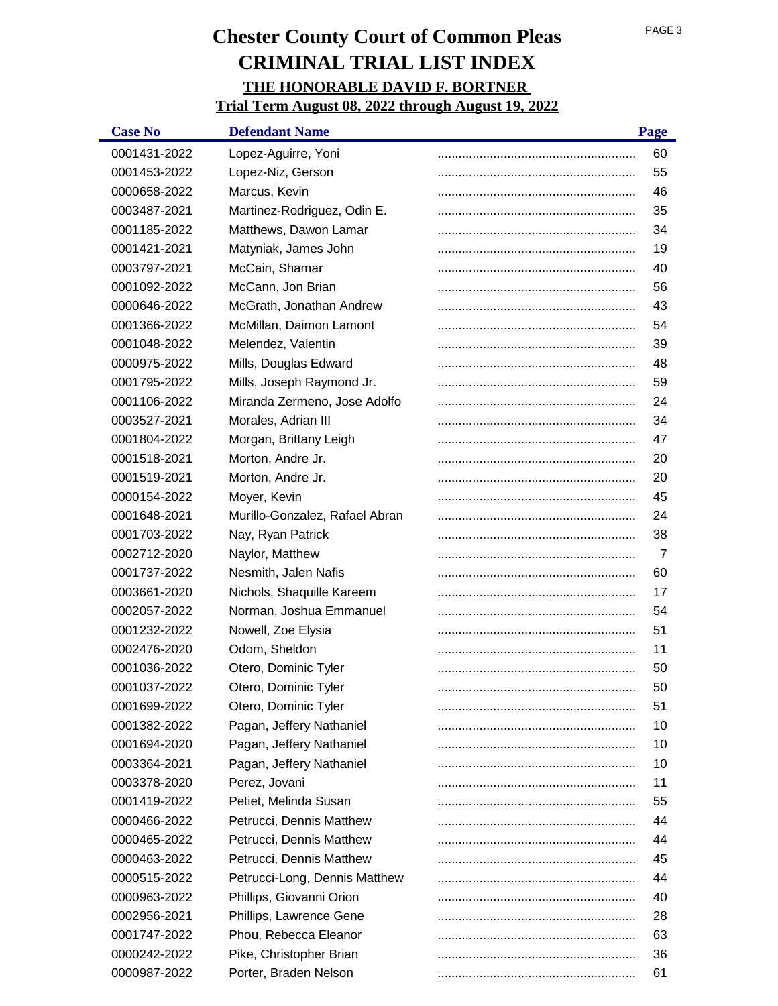| <b>Case No</b> | <b>Defendant Name</b>          | Page |
|----------------|--------------------------------|------|
| 0001431-2022   | Lopez-Aguirre, Yoni            | 60   |
| 0001453-2022   | Lopez-Niz, Gerson              | 55   |
| 0000658-2022   | Marcus, Kevin                  | 46   |
| 0003487-2021   | Martinez-Rodriguez, Odin E.    | 35   |
| 0001185-2022   | Matthews, Dawon Lamar          | 34   |
| 0001421-2021   | Matyniak, James John           | 19   |
| 0003797-2021   | McCain, Shamar                 | 40   |
| 0001092-2022   | McCann, Jon Brian              | 56   |
| 0000646-2022   | McGrath, Jonathan Andrew       | 43   |
| 0001366-2022   | McMillan, Daimon Lamont        | 54   |
| 0001048-2022   | Melendez, Valentin             | 39   |
| 0000975-2022   | Mills, Douglas Edward          | 48   |
| 0001795-2022   | Mills, Joseph Raymond Jr.      | 59   |
| 0001106-2022   | Miranda Zermeno, Jose Adolfo   | 24   |
| 0003527-2021   | Morales, Adrian III            | 34   |
| 0001804-2022   | Morgan, Brittany Leigh         | 47   |
| 0001518-2021   | Morton, Andre Jr.              | 20   |
| 0001519-2021   | Morton, Andre Jr.              | 20   |
| 0000154-2022   | Moyer, Kevin                   | 45   |
| 0001648-2021   | Murillo-Gonzalez, Rafael Abran | 24   |
| 0001703-2022   | Nay, Ryan Patrick              | 38   |
| 0002712-2020   | Naylor, Matthew                | 7    |
| 0001737-2022   | Nesmith, Jalen Nafis           | 60   |
| 0003661-2020   | Nichols, Shaquille Kareem      | 17   |
| 0002057-2022   | Norman, Joshua Emmanuel        | 54   |
| 0001232-2022   | Nowell, Zoe Elysia             | 51   |
| 0002476-2020   | Odom, Sheldon                  | 11   |
| 0001036-2022   | Otero, Dominic Tyler           | 50   |
| 0001037-2022   | Otero, Dominic Tyler           | 50   |
| 0001699-2022   | Otero, Dominic Tyler           | 51   |
| 0001382-2022   | Pagan, Jeffery Nathaniel       | 10   |
| 0001694-2020   | Pagan, Jeffery Nathaniel       | 10   |
| 0003364-2021   | Pagan, Jeffery Nathaniel       | 10   |
| 0003378-2020   | Perez, Jovani                  | 11   |
| 0001419-2022   | Petiet, Melinda Susan          | 55   |
| 0000466-2022   | Petrucci, Dennis Matthew       | 44   |
| 0000465-2022   | Petrucci, Dennis Matthew       | 44   |
| 0000463-2022   | Petrucci, Dennis Matthew       | 45   |
| 0000515-2022   | Petrucci-Long, Dennis Matthew  | 44   |
| 0000963-2022   | Phillips, Giovanni Orion       | 40   |
| 0002956-2021   | Phillips, Lawrence Gene        | 28   |
| 0001747-2022   | Phou, Rebecca Eleanor          | 63   |
| 0000242-2022   | Pike, Christopher Brian        | 36   |
| 0000987-2022   | Porter, Braden Nelson          | 61   |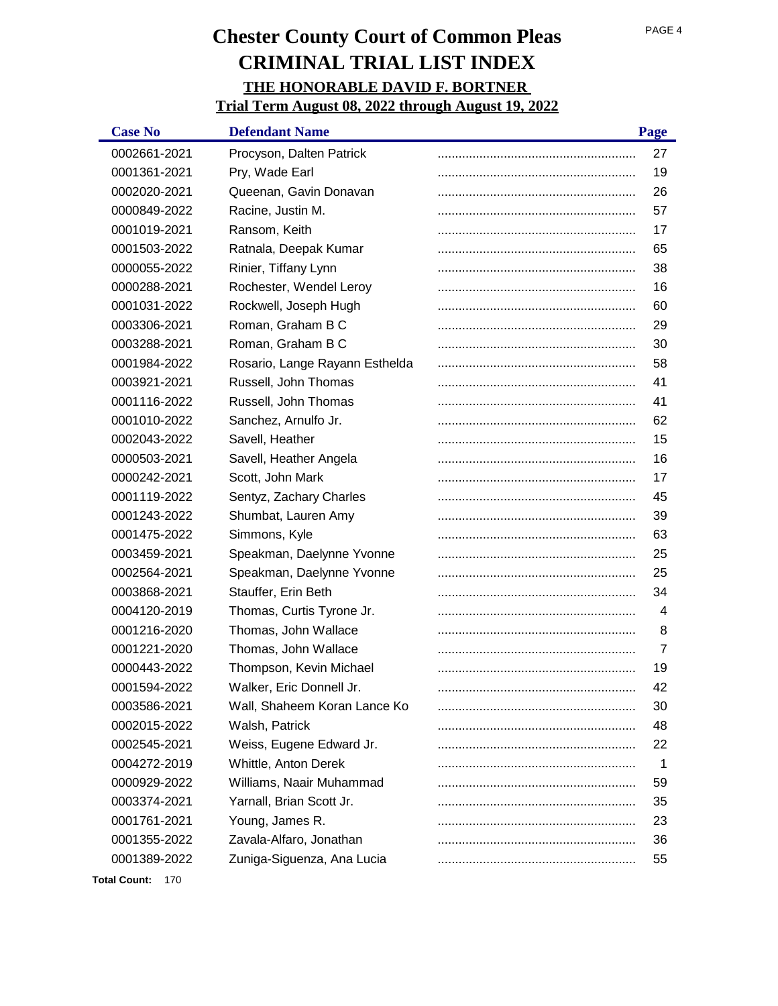| <b>Case No</b> | <b>Defendant Name</b>          | Page |
|----------------|--------------------------------|------|
| 0002661-2021   | Procyson, Dalten Patrick       | 27   |
| 0001361-2021   | Pry, Wade Earl                 | 19   |
| 0002020-2021   | Queenan, Gavin Donavan         | 26   |
| 0000849-2022   | Racine, Justin M.              | 57   |
| 0001019-2021   | Ransom, Keith                  | 17   |
| 0001503-2022   | Ratnala, Deepak Kumar          | 65   |
| 0000055-2022   | Rinier, Tiffany Lynn           | 38   |
| 0000288-2021   | Rochester, Wendel Leroy        | 16   |
| 0001031-2022   | Rockwell, Joseph Hugh          | 60   |
| 0003306-2021   | Roman, Graham B C              | 29   |
| 0003288-2021   | Roman, Graham B C              | 30   |
| 0001984-2022   | Rosario, Lange Rayann Esthelda | 58   |
| 0003921-2021   | Russell, John Thomas           | 41   |
| 0001116-2022   | Russell, John Thomas           | 41   |
| 0001010-2022   | Sanchez, Arnulfo Jr.           | 62   |
| 0002043-2022   | Savell, Heather                | 15   |
| 0000503-2021   | Savell, Heather Angela         | 16   |
| 0000242-2021   | Scott, John Mark               | 17   |
| 0001119-2022   | Sentyz, Zachary Charles        | 45   |
| 0001243-2022   | Shumbat, Lauren Amy            | 39   |
| 0001475-2022   | Simmons, Kyle                  | 63   |
| 0003459-2021   | Speakman, Daelynne Yvonne      | 25   |
| 0002564-2021   | Speakman, Daelynne Yvonne      | 25   |
| 0003868-2021   | Stauffer, Erin Beth            | 34   |
| 0004120-2019   | Thomas, Curtis Tyrone Jr.      | 4    |
| 0001216-2020   | Thomas, John Wallace           | 8    |
| 0001221-2020   | Thomas, John Wallace           | 7    |
| 0000443-2022   | Thompson, Kevin Michael        | 19   |
| 0001594-2022   | Walker, Eric Donnell Jr.       | 42   |
| 0003586-2021   | Wall, Shaheem Koran Lance Ko   | 30   |
| 0002015-2022   | Walsh, Patrick                 | 48   |
| 0002545-2021   | Weiss, Eugene Edward Jr.       | 22   |
| 0004272-2019   | Whittle, Anton Derek           | -1   |
| 0000929-2022   | Williams, Naair Muhammad       | 59   |
| 0003374-2021   | Yarnall, Brian Scott Jr.       | 35   |
| 0001761-2021   | Young, James R.                | 23   |
| 0001355-2022   | Zavala-Alfaro, Jonathan        | 36   |
| 0001389-2022   | Zuniga-Siguenza, Ana Lucia     | 55   |

**Total Count:** 170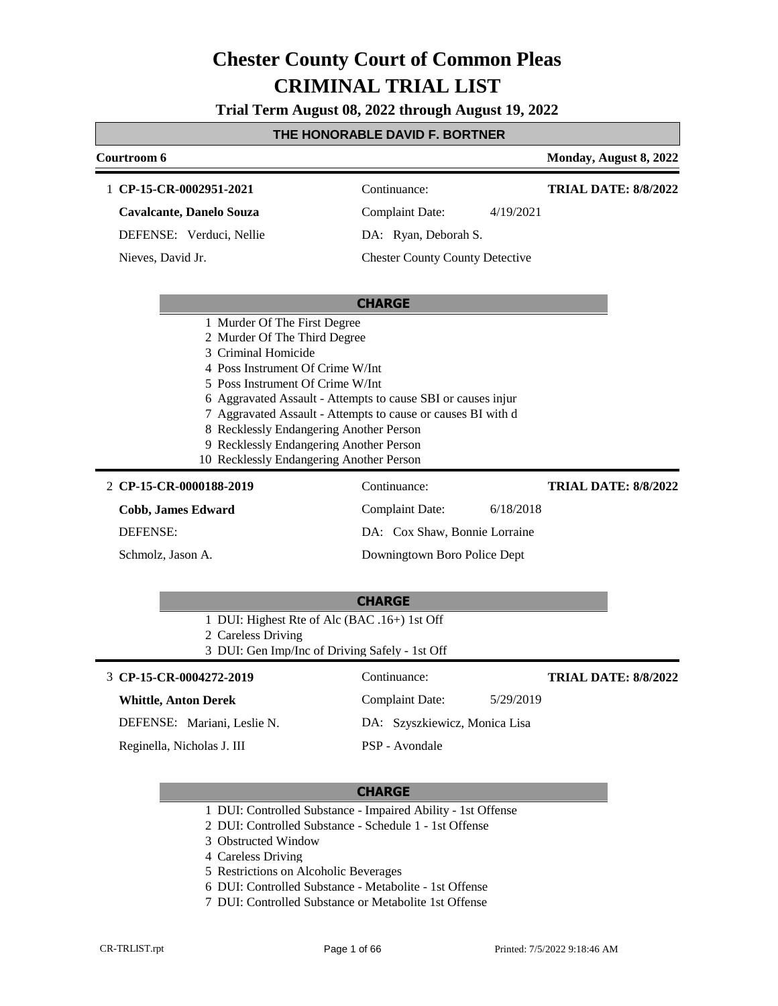**Trial Term August 08, 2022 through August 19, 2022**

#### **THE HONORABLE DAVID F. BORTNER**

| Courtroom 6                                                                                                                                                                                                                                                                                   |                                                                                                                              | Monday, August 8, 2022      |
|-----------------------------------------------------------------------------------------------------------------------------------------------------------------------------------------------------------------------------------------------------------------------------------------------|------------------------------------------------------------------------------------------------------------------------------|-----------------------------|
| 1 CP-15-CR-0002951-2021                                                                                                                                                                                                                                                                       | Continuance:                                                                                                                 | <b>TRIAL DATE: 8/8/2022</b> |
| <b>Cavalcante, Danelo Souza</b>                                                                                                                                                                                                                                                               | <b>Complaint Date:</b><br>4/19/2021                                                                                          |                             |
| DEFENSE: Verduci, Nellie                                                                                                                                                                                                                                                                      | DA: Ryan, Deborah S.                                                                                                         |                             |
| Nieves, David Jr.                                                                                                                                                                                                                                                                             | <b>Chester County County Detective</b>                                                                                       |                             |
|                                                                                                                                                                                                                                                                                               | <b>CHARGE</b>                                                                                                                |                             |
| 1 Murder Of The First Degree<br>2 Murder Of The Third Degree<br>3 Criminal Homicide<br>4 Poss Instrument Of Crime W/Int<br>5 Poss Instrument Of Crime W/Int<br>8 Recklessly Endangering Another Person<br>9 Recklessly Endangering Another Person<br>10 Recklessly Endangering Another Person | 6 Aggravated Assault - Attempts to cause SBI or causes injur<br>7 Aggravated Assault - Attempts to cause or causes BI with d |                             |
| 2 CP-15-CR-0000188-2019                                                                                                                                                                                                                                                                       | Continuance:                                                                                                                 | <b>TRIAL DATE: 8/8/2022</b> |
| <b>Cobb, James Edward</b>                                                                                                                                                                                                                                                                     | <b>Complaint Date:</b><br>6/18/2018                                                                                          |                             |
| <b>DEFENSE:</b>                                                                                                                                                                                                                                                                               | DA: Cox Shaw, Bonnie Lorraine                                                                                                |                             |
| Schmolz, Jason A.                                                                                                                                                                                                                                                                             | Downingtown Boro Police Dept                                                                                                 |                             |
| 1 DUI: Highest Rte of Alc (BAC .16+) 1st Off<br>2 Careless Driving<br>3 DUI: Gen Imp/Inc of Driving Safely - 1st Off                                                                                                                                                                          | <b>CHARGE</b>                                                                                                                |                             |
| 3 CP-15-CR-0004272-2019                                                                                                                                                                                                                                                                       | Continuance:                                                                                                                 | <b>TRIAL DATE: 8/8/2022</b> |
| <b>Whittle, Anton Derek</b>                                                                                                                                                                                                                                                                   | <b>Complaint Date:</b><br>5/29/2019                                                                                          |                             |
| DEFENSE: Mariani, Leslie N.                                                                                                                                                                                                                                                                   | DA: Szyszkiewicz, Monica Lisa                                                                                                |                             |
| Reginella, Nicholas J. III                                                                                                                                                                                                                                                                    | PSP - Avondale                                                                                                               |                             |
|                                                                                                                                                                                                                                                                                               | <b>CHARGE</b>                                                                                                                |                             |

- 1 DUI: Controlled Substance Impaired Ability 1st Offense
- 2 DUI: Controlled Substance Schedule 1 1st Offense
- 3 Obstructed Window
- 4 Careless Driving
- 5 Restrictions on Alcoholic Beverages
- 6 DUI: Controlled Substance Metabolite 1st Offense
- 7 DUI: Controlled Substance or Metabolite 1st Offense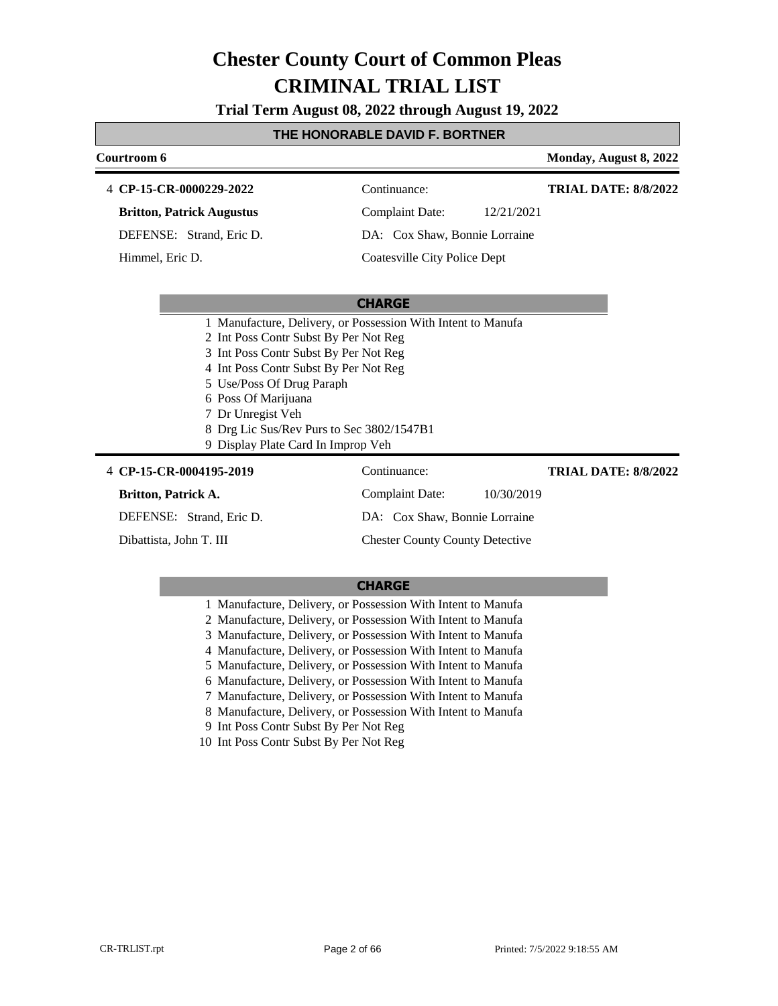**Trial Term August 08, 2022 through August 19, 2022**

#### **THE HONORABLE DAVID F. BORTNER**

#### **Courtroom 6 Monday, August 8, 2022 CP-15-CR-0000229-2022** 4 Continuance: **Britton, Patrick Augustus** DEFENSE: Strand, Eric D. Complaint Date: 12/21/2021 DA: Cox Shaw, Bonnie Lorraine **TRIAL DATE: 8/8/2022**

Coatesville City Police Dept

#### **CHARGE**

- 1 Manufacture, Delivery, or Possession With Intent to Manufa
- 2 Int Poss Contr Subst By Per Not Reg
- 3 Int Poss Contr Subst By Per Not Reg
- 4 Int Poss Contr Subst By Per Not Reg
- 5 Use/Poss Of Drug Paraph
- 6 Poss Of Marijuana
- 7 Dr Unregist Veh
- 8 Drg Lic Sus/Rev Purs to Sec 3802/1547B1
- 9 Display Plate Card In Improp Veh

#### 4 **CP-15-CR-0004195-2019** Continuance:

#### **Britton, Patrick A.**

Himmel, Eric D.

DEFENSE: Strand, Eric D.

Dibattista, John T. III

### Complaint Date: 10/30/2019 DA: Cox Shaw, Bonnie Lorraine

Chester County County Detective

### **CHARGE**

1 Manufacture, Delivery, or Possession With Intent to Manufa

- 2 Manufacture, Delivery, or Possession With Intent to Manufa
- 3 Manufacture, Delivery, or Possession With Intent to Manufa
- 4 Manufacture, Delivery, or Possession With Intent to Manufa
- 5 Manufacture, Delivery, or Possession With Intent to Manufa

6 Manufacture, Delivery, or Possession With Intent to Manufa

- 7 Manufacture, Delivery, or Possession With Intent to Manufa
- 8 Manufacture, Delivery, or Possession With Intent to Manufa
- 9 Int Poss Contr Subst By Per Not Reg
- 10 Int Poss Contr Subst By Per Not Reg

**TRIAL DATE: 8/8/2022**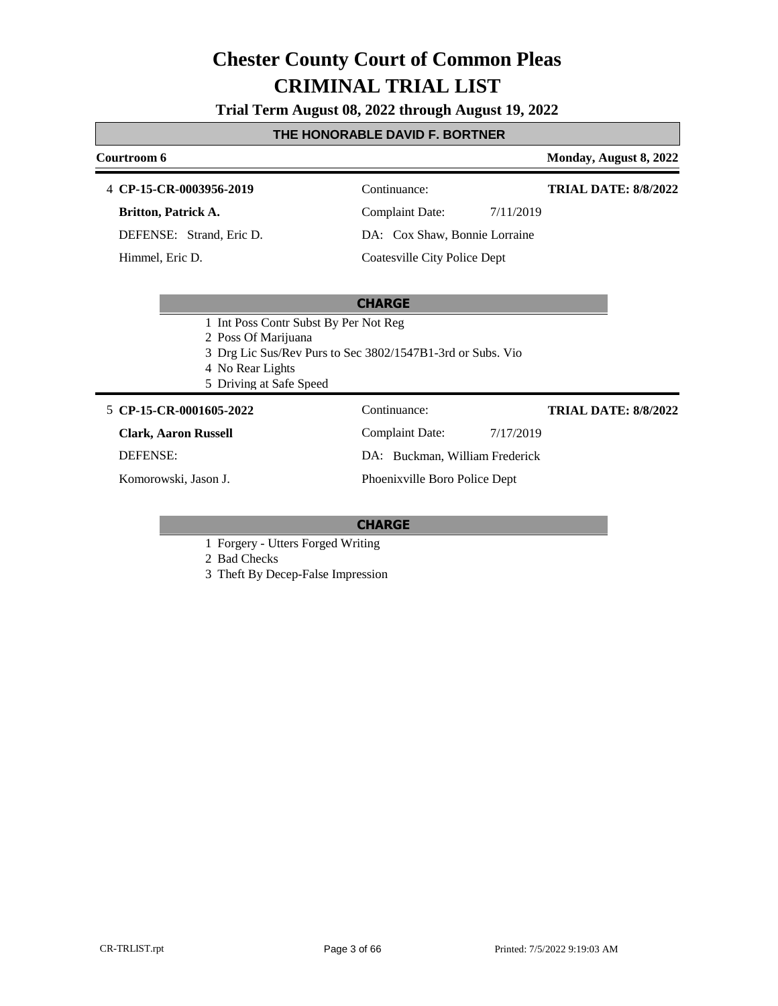**Trial Term August 08, 2022 through August 19, 2022**

#### **THE HONORABLE DAVID F. BORTNER**

#### **Courtroom 6 Monday, August 8, 2022 CP-15-CR-0003956-2019** 4 Continuance: **Britton, Patrick A.** DEFENSE: Strand, Eric D. Complaint Date: 7/11/2019 DA: Cox Shaw, Bonnie Lorraine Coatesville City Police Dept **TRIAL DATE: 8/8/2022** Himmel, Eric D.

#### **CHARGE**

- 1 Int Poss Contr Subst By Per Not Reg
- 2 Poss Of Marijuana
- 3 Drg Lic Sus/Rev Purs to Sec 3802/1547B1-3rd or Subs. Vio
- 4 No Rear Lights
- 5 Driving at Safe Speed

#### **CP-15-CR-0001605-2022** 5 Continuance:

**Clark, Aaron Russell**

DEFENSE:

Komorowski, Jason J.

Complaint Date: 7/17/2019 DA: Buckman, William Frederick Phoenixville Boro Police Dept

#### **CHARGE**

1 Forgery - Utters Forged Writing

2 Bad Checks

3 Theft By Decep-False Impression

**TRIAL DATE: 8/8/2022**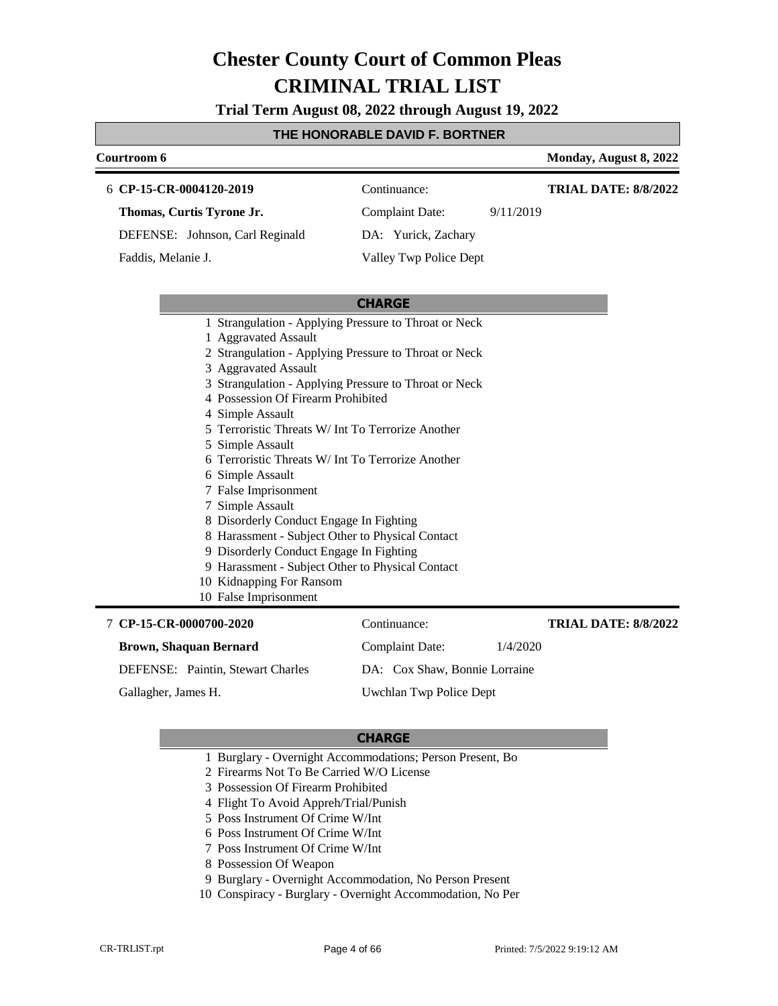**Trial Term August 08, 2022 through August 19, 2022**

#### **THE HONORABLE DAVID F. BORTNER**

#### **Courtroom 6 Monday, August 8, 2022**

**TRIAL DATE: 8/8/2022**

**CP-15-CR-0004120-2019** 6 Continuance:

**Thomas, Curtis Tyrone Jr.**

DEFENSE: Johnson, Carl Reginald

Faddis, Melanie J.

DA: Yurick, Zachary

Complaint Date: 9/11/2019

Valley Twp Police Dept

#### **CHARGE**

- 1 Strangulation Applying Pressure to Throat or Neck
- 1 Aggravated Assault
- 2 Strangulation Applying Pressure to Throat or Neck
- 3 Aggravated Assault
- 3 Strangulation Applying Pressure to Throat or Neck
- 4 Possession Of Firearm Prohibited
- 4 Simple Assault
- 5 Terroristic Threats W/ Int To Terrorize Another
- 5 Simple Assault
- 6 Terroristic Threats W/ Int To Terrorize Another
- 6 Simple Assault
- 7 False Imprisonment
- 7 Simple Assault
- 8 Disorderly Conduct Engage In Fighting
- 8 Harassment Subject Other to Physical Contact
- 9 Disorderly Conduct Engage In Fighting
- 9 Harassment Subject Other to Physical Contact
- 10 Kidnapping For Ransom
- 10 False Imprisonment

#### **CP-15-CR-0000700-2020** 7 Continuance: **Brown, Shaquan Bernard** DEFENSE: Paintin, Stewart Charles Complaint Date: 1/4/2020 DA: Cox Shaw, Bonnie Lorraine Uwchlan Twp Police Dept **TRIAL DATE: 8/8/2022** Gallagher, James H.

- 1 Burglary Overnight Accommodations; Person Present, Bo
- 2 Firearms Not To Be Carried W/O License
- 3 Possession Of Firearm Prohibited
- 4 Flight To Avoid Appreh/Trial/Punish
- 5 Poss Instrument Of Crime W/Int
- 6 Poss Instrument Of Crime W/Int
- 7 Poss Instrument Of Crime W/Int
- 8 Possession Of Weapon
- 9 Burglary Overnight Accommodation, No Person Present
- 10 Conspiracy Burglary Overnight Accommodation, No Per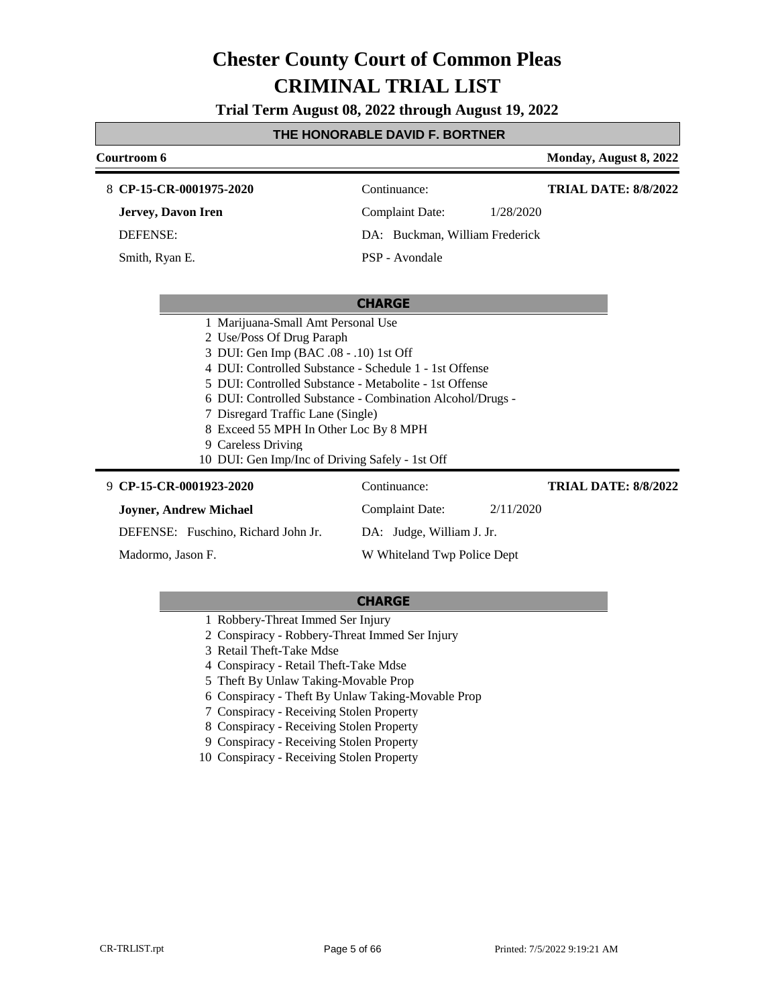**Trial Term August 08, 2022 through August 19, 2022**

### **THE HONORABLE DAVID F. BORTNER**

| Courtroom 6                                            |                                                           | Monday, August 8, 2022      |
|--------------------------------------------------------|-----------------------------------------------------------|-----------------------------|
| 8 CP-15-CR-0001975-2020                                | Continuance:                                              | <b>TRIAL DATE: 8/8/2022</b> |
| Jervey, Davon Iren                                     | Complaint Date:                                           | 1/28/2020                   |
| <b>DEFENSE:</b>                                        | DA: Buckman, William Frederick                            |                             |
| Smith, Ryan E.                                         | PSP - Avondale                                            |                             |
|                                                        |                                                           |                             |
|                                                        | <b>CHARGE</b>                                             |                             |
| 1 Marijuana-Small Amt Personal Use                     |                                                           |                             |
| 2 Use/Poss Of Drug Paraph                              |                                                           |                             |
| 3 DUI: Gen Imp (BAC .08 - .10) 1st Off                 |                                                           |                             |
| 4 DUI: Controlled Substance - Schedule 1 - 1st Offense |                                                           |                             |
| 5 DUI: Controlled Substance - Metabolite - 1st Offense |                                                           |                             |
|                                                        | 6 DUI: Controlled Substance - Combination Alcohol/Drugs - |                             |
| 7 Disregard Traffic Lane (Single)                      |                                                           |                             |
| 8 Exceed 55 MPH In Other Loc By 8 MPH                  |                                                           |                             |
| 9 Careless Driving                                     |                                                           |                             |
| 10 DUI: Gen Imp/Inc of Driving Safely - 1st Off        |                                                           |                             |
| 9 CP-15-CR-0001923-2020                                | Continuance:                                              | <b>TRIAL DATE: 8/8/2022</b> |
| <b>Joyner, Andrew Michael</b>                          | Complaint Date:                                           | 2/11/2020                   |
| DEFENSE: Fuschino, Richard John Jr.                    | DA: Judge, William J. Jr.                                 |                             |
| Madormo, Jason F.                                      | W Whiteland Twp Police Dept                               |                             |

- 1 Robbery-Threat Immed Ser Injury
- 2 Conspiracy Robbery-Threat Immed Ser Injury
- 3 Retail Theft-Take Mdse
- 4 Conspiracy Retail Theft-Take Mdse
- 5 Theft By Unlaw Taking-Movable Prop
- 6 Conspiracy Theft By Unlaw Taking-Movable Prop
- 7 Conspiracy Receiving Stolen Property
- 8 Conspiracy Receiving Stolen Property
- 9 Conspiracy Receiving Stolen Property
- 10 Conspiracy Receiving Stolen Property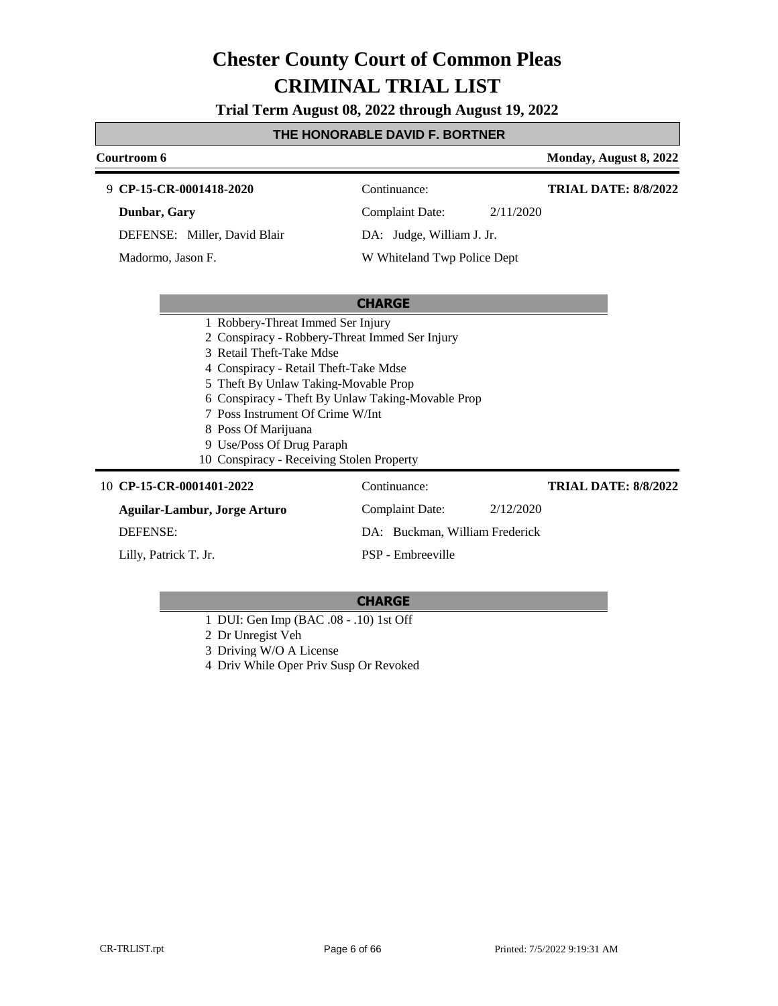**Trial Term August 08, 2022 through August 19, 2022**

### **THE HONORABLE DAVID F. BORTNER**

| Courtroom 6                                       |                                |           | Monday, August 8, 2022      |
|---------------------------------------------------|--------------------------------|-----------|-----------------------------|
| 9 CP-15-CR-0001418-2020                           | Continuance:                   |           | <b>TRIAL DATE: 8/8/2022</b> |
| Dunbar, Gary                                      | <b>Complaint Date:</b>         | 2/11/2020 |                             |
| DEFENSE: Miller, David Blair                      | DA: Judge, William J. Jr.      |           |                             |
| Madormo, Jason F.                                 | W Whiteland Twp Police Dept    |           |                             |
|                                                   |                                |           |                             |
|                                                   | <b>CHARGE</b>                  |           |                             |
| 1 Robbery-Threat Immed Ser Injury                 |                                |           |                             |
| 2 Conspiracy - Robbery-Threat Immed Ser Injury    |                                |           |                             |
| 3 Retail Theft-Take Mdse                          |                                |           |                             |
| 4 Conspiracy - Retail Theft-Take Mdse             |                                |           |                             |
| 5 Theft By Unlaw Taking-Movable Prop              |                                |           |                             |
| 6 Conspiracy - Theft By Unlaw Taking-Movable Prop |                                |           |                             |
| 7 Poss Instrument Of Crime W/Int                  |                                |           |                             |
| 8 Poss Of Marijuana                               |                                |           |                             |
| 9 Use/Poss Of Drug Paraph                         |                                |           |                             |
| 10 Conspiracy - Receiving Stolen Property         |                                |           |                             |
| 10 CP-15-CR-0001401-2022                          | Continuance:                   |           | <b>TRIAL DATE: 8/8/2022</b> |
| <b>Aguilar-Lambur, Jorge Arturo</b>               | <b>Complaint Date:</b>         | 2/12/2020 |                             |
| <b>DEFENSE:</b>                                   | DA: Buckman, William Frederick |           |                             |

Lilly, Patrick T. Jr.

#### **CHARGE**

PSP - Embreeville

- 1 DUI: Gen Imp (BAC .08 .10) 1st Off
- 2 Dr Unregist Veh
- 3 Driving W/O A License
- 4 Driv While Oper Priv Susp Or Revoked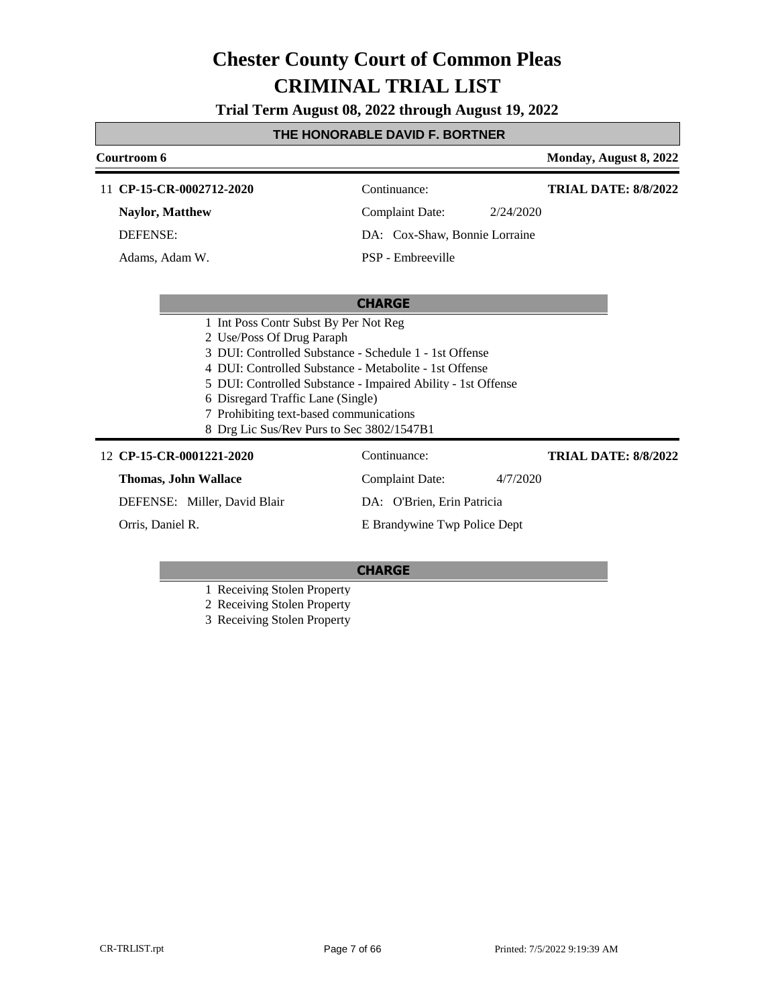**Trial Term August 08, 2022 through August 19, 2022**

### **THE HONORABLE DAVID F. BORTNER**

| Courtroom 6                                                                                                                                                                                                                                                                                                                                                                         |                                     | Monday, August 8, 2022      |
|-------------------------------------------------------------------------------------------------------------------------------------------------------------------------------------------------------------------------------------------------------------------------------------------------------------------------------------------------------------------------------------|-------------------------------------|-----------------------------|
| 11 CP-15-CR-0002712-2020                                                                                                                                                                                                                                                                                                                                                            | Continuance:                        | <b>TRIAL DATE: 8/8/2022</b> |
| <b>Naylor, Matthew</b>                                                                                                                                                                                                                                                                                                                                                              | <b>Complaint Date:</b><br>2/24/2020 |                             |
| <b>DEFENSE:</b>                                                                                                                                                                                                                                                                                                                                                                     | DA: Cox-Shaw, Bonnie Lorraine       |                             |
| Adams, Adam W.                                                                                                                                                                                                                                                                                                                                                                      | PSP - Embreeville                   |                             |
|                                                                                                                                                                                                                                                                                                                                                                                     |                                     |                             |
|                                                                                                                                                                                                                                                                                                                                                                                     | <b>CHARGE</b>                       |                             |
| 1 Int Poss Contr Subst By Per Not Reg<br>2 Use/Poss Of Drug Paraph<br>3 DUI: Controlled Substance - Schedule 1 - 1st Offense<br>4 DUI: Controlled Substance - Metabolite - 1st Offense<br>5 DUI: Controlled Substance - Impaired Ability - 1st Offense<br>6 Disregard Traffic Lane (Single)<br>7 Prohibiting text-based communications<br>8 Drg Lic Sus/Rev Purs to Sec 3802/1547B1 |                                     |                             |
| 12 CP-15-CR-0001221-2020                                                                                                                                                                                                                                                                                                                                                            | Continuance:                        | <b>TRIAL DATE: 8/8/2022</b> |
| <b>Thomas, John Wallace</b>                                                                                                                                                                                                                                                                                                                                                         | <b>Complaint Date:</b><br>4/7/2020  |                             |
| DEFENSE: Miller, David Blair                                                                                                                                                                                                                                                                                                                                                        | DA: O'Brien, Erin Patricia          |                             |
| Orris, Daniel R.                                                                                                                                                                                                                                                                                                                                                                    | E Brandywine Twp Police Dept        |                             |

### **CHARGE**

1 Receiving Stolen Property

2 Receiving Stolen Property

3 Receiving Stolen Property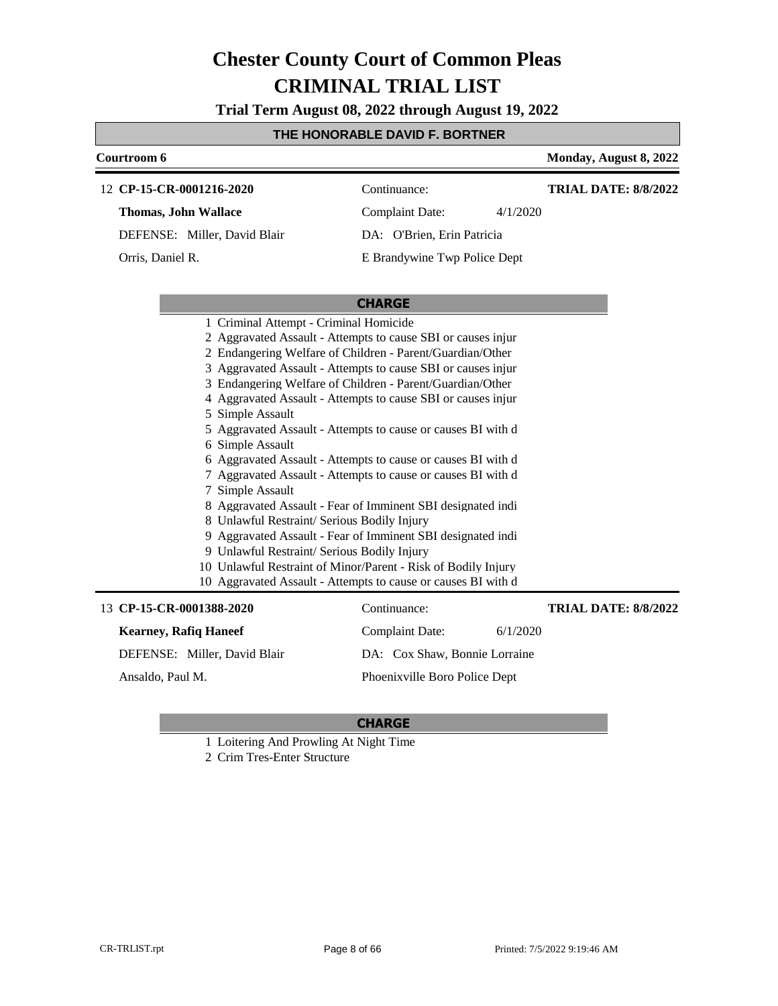**Trial Term August 08, 2022 through August 19, 2022**

#### **THE HONORABLE DAVID F. BORTNER**

| Courtroom 6                                                    |                              |          | Monday, August 8, 2022      |
|----------------------------------------------------------------|------------------------------|----------|-----------------------------|
| 12 CP-15-CR-0001216-2020                                       | Continuance:                 |          | <b>TRIAL DATE: 8/8/2022</b> |
| <b>Thomas, John Wallace</b>                                    | Complaint Date:              | 4/1/2020 |                             |
| DEFENSE: Miller, David Blair                                   | DA: O'Brien, Erin Patricia   |          |                             |
| Orris, Daniel R.                                               | E Brandywine Twp Police Dept |          |                             |
|                                                                |                              |          |                             |
|                                                                | <b>CHARGE</b>                |          |                             |
| 1 Criminal Attempt - Criminal Homicide                         |                              |          |                             |
| 2 Aggravated Assault - Attempts to cause SBI or causes injure  |                              |          |                             |
| 2 Endangering Welfare of Children - Parent/Guardian/Other      |                              |          |                             |
| 3 Aggravated Assault - Attempts to cause SBI or causes injured |                              |          |                             |
| 3 Endangering Welfare of Children - Parent/Guardian/Other      |                              |          |                             |
| 4 Aggravated Assault - Attempts to cause SBI or causes injured |                              |          |                             |

- 5 Simple Assault
- 5 Aggravated Assault Attempts to cause or causes BI with d
- 6 Simple Assault
- 6 Aggravated Assault Attempts to cause or causes BI with d
- 7 Aggravated Assault Attempts to cause or causes BI with d
- 7 Simple Assault
- 8 Aggravated Assault Fear of Imminent SBI designated indi
- 8 Unlawful Restraint/ Serious Bodily Injury
- 9 Aggravated Assault Fear of Imminent SBI designated indi
- 9 Unlawful Restraint/ Serious Bodily Injury
- 10 Unlawful Restraint of Minor/Parent Risk of Bodily Injury
- 10 Aggravated Assault Attempts to cause or causes BI with d

| 13 CP-15-CR-0001388-2020     | Continuance:                  |          | <b>TRIAL DATE: 8/8/2022</b> |
|------------------------------|-------------------------------|----------|-----------------------------|
| <b>Kearney, Rafiq Haneef</b> | <b>Complaint Date:</b>        | 6/1/2020 |                             |
| DEFENSE: Miller, David Blair | DA: Cox Shaw, Bonnie Lorraine |          |                             |
| Ansaldo, Paul M.             | Phoenixville Boro Police Dept |          |                             |
|                              |                               |          |                             |

- 1 Loitering And Prowling At Night Time
- 2 Crim Tres-Enter Structure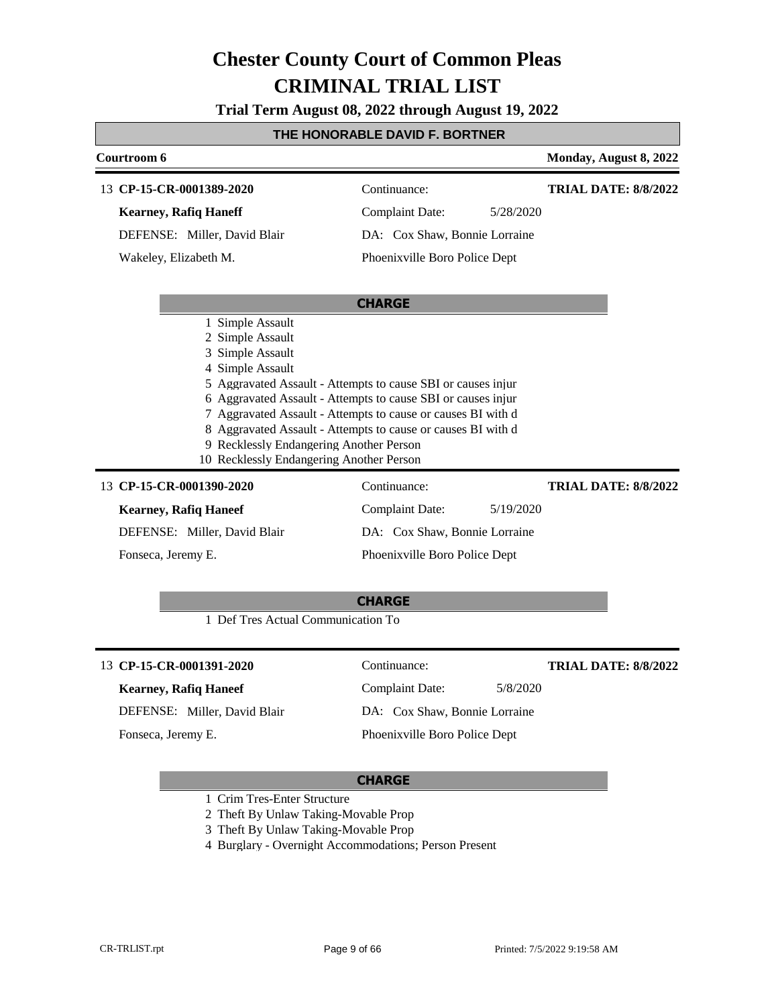**Trial Term August 08, 2022 through August 19, 2022**

### **THE HONORABLE DAVID F. BORTNER**

| Courtroom 6                                                                                                                                                         |                                                                                                                                                                                                                                                              | Monday, August 8, 2022      |
|---------------------------------------------------------------------------------------------------------------------------------------------------------------------|--------------------------------------------------------------------------------------------------------------------------------------------------------------------------------------------------------------------------------------------------------------|-----------------------------|
| 13 CP-15-CR-0001389-2020                                                                                                                                            | Continuance:                                                                                                                                                                                                                                                 | <b>TRIAL DATE: 8/8/2022</b> |
| <b>Kearney, Rafiq Haneff</b>                                                                                                                                        | <b>Complaint Date:</b><br>5/28/2020                                                                                                                                                                                                                          |                             |
| DEFENSE: Miller, David Blair                                                                                                                                        | DA: Cox Shaw, Bonnie Lorraine                                                                                                                                                                                                                                |                             |
| Wakeley, Elizabeth M.                                                                                                                                               | Phoenixville Boro Police Dept                                                                                                                                                                                                                                |                             |
|                                                                                                                                                                     | <b>CHARGE</b>                                                                                                                                                                                                                                                |                             |
| 1 Simple Assault<br>2 Simple Assault<br>3 Simple Assault<br>4 Simple Assault<br>9 Recklessly Endangering Another Person<br>10 Recklessly Endangering Another Person | 5 Aggravated Assault - Attempts to cause SBI or causes injur<br>6 Aggravated Assault - Attempts to cause SBI or causes injur<br>7 Aggravated Assault - Attempts to cause or causes BI with d<br>8 Aggravated Assault - Attempts to cause or causes BI with d |                             |
| 13 CP-15-CR-0001390-2020                                                                                                                                            | Continuance:                                                                                                                                                                                                                                                 | <b>TRIAL DATE: 8/8/2022</b> |
| <b>Kearney, Rafiq Haneef</b>                                                                                                                                        | <b>Complaint Date:</b><br>5/19/2020                                                                                                                                                                                                                          |                             |
| DEFENSE: Miller, David Blair                                                                                                                                        | DA: Cox Shaw, Bonnie Lorraine                                                                                                                                                                                                                                |                             |
| Fonseca, Jeremy E.                                                                                                                                                  | Phoenixville Boro Police Dept                                                                                                                                                                                                                                |                             |
|                                                                                                                                                                     | <b>CHARGE</b>                                                                                                                                                                                                                                                |                             |
| 1 Def Tres Actual Communication To                                                                                                                                  |                                                                                                                                                                                                                                                              |                             |
| 13 CP-15-CR-0001391-2020                                                                                                                                            | Continuance:                                                                                                                                                                                                                                                 | <b>TRIAL DATE: 8/8/2022</b> |
| <b>Kearney, Rafiq Haneef</b>                                                                                                                                        | <b>Complaint Date:</b><br>5/8/2020                                                                                                                                                                                                                           |                             |
| DEFENSE: Miller, David Blair                                                                                                                                        | DA: Cox Shaw, Bonnie Lorraine                                                                                                                                                                                                                                |                             |
| Fonseca, Jeremy E.                                                                                                                                                  | Phoenixville Boro Police Dept                                                                                                                                                                                                                                |                             |

- 1 Crim Tres-Enter Structure
- 2 Theft By Unlaw Taking-Movable Prop
- 3 Theft By Unlaw Taking-Movable Prop
- 4 Burglary Overnight Accommodations; Person Present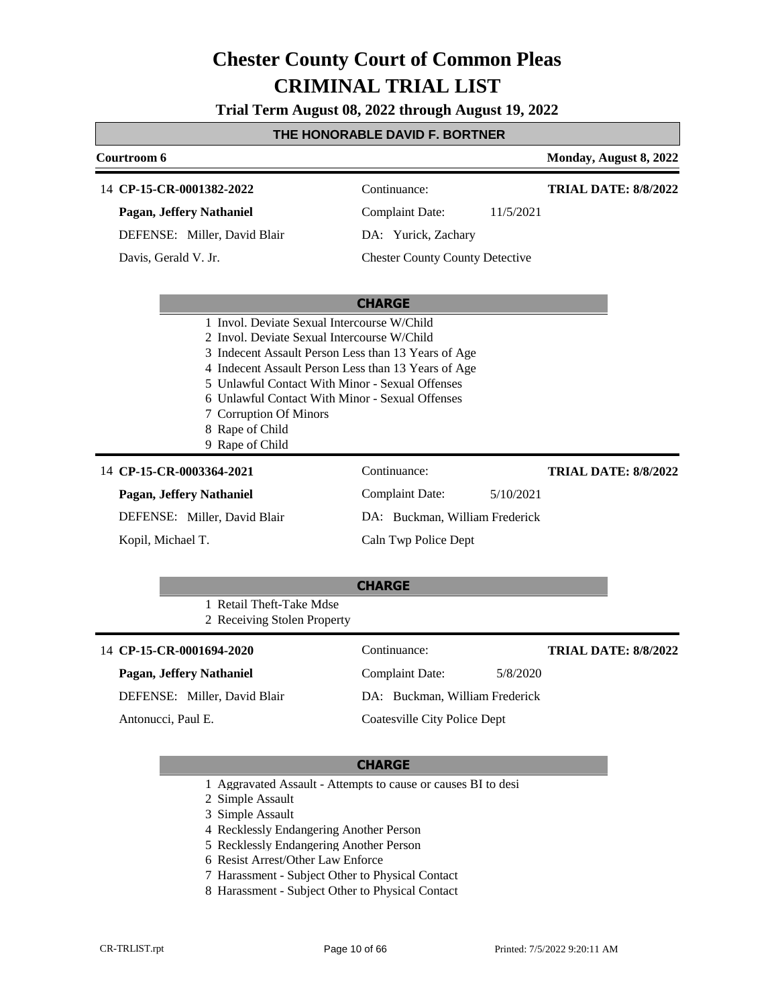**Trial Term August 08, 2022 through August 19, 2022**

### **THE HONORABLE DAVID F. BORTNER**

| Courtroom 6                                                                                                                                                                                                                                                                                                                                                                    |                                                                                                                      | Monday, August 8, 2022      |
|--------------------------------------------------------------------------------------------------------------------------------------------------------------------------------------------------------------------------------------------------------------------------------------------------------------------------------------------------------------------------------|----------------------------------------------------------------------------------------------------------------------|-----------------------------|
| 14 CP-15-CR-0001382-2022<br>Pagan, Jeffery Nathaniel<br>DEFENSE: Miller, David Blair<br>Davis, Gerald V. Jr.                                                                                                                                                                                                                                                                   | Continuance:<br><b>Complaint Date:</b><br>11/5/2021<br>DA: Yurick, Zachary<br><b>Chester County County Detective</b> | <b>TRIAL DATE: 8/8/2022</b> |
| 1 Invol. Deviate Sexual Intercourse W/Child<br>2 Invol. Deviate Sexual Intercourse W/Child<br>3 Indecent Assault Person Less than 13 Years of Age<br>4 Indecent Assault Person Less than 13 Years of Age<br>5 Unlawful Contact With Minor - Sexual Offenses<br>6 Unlawful Contact With Minor - Sexual Offenses<br>7 Corruption Of Minors<br>8 Rape of Child<br>9 Rape of Child | <b>CHARGE</b>                                                                                                        |                             |
| 14 CP-15-CR-0003364-2021<br>Pagan, Jeffery Nathaniel<br>DEFENSE: Miller, David Blair<br>Kopil, Michael T.                                                                                                                                                                                                                                                                      | Continuance:<br><b>Complaint Date:</b><br>5/10/2021<br>DA: Buckman, William Frederick<br>Caln Twp Police Dept        | <b>TRIAL DATE: 8/8/2022</b> |
| 1 Retail Theft-Take Mdse<br>2 Receiving Stolen Property                                                                                                                                                                                                                                                                                                                        | <b>CHARGE</b>                                                                                                        |                             |
| 14 CP-15-CR-0001694-2020<br>Pagan, Jeffery Nathaniel                                                                                                                                                                                                                                                                                                                           | Continuance:<br><b>Complaint Date:</b><br>5/8/2020                                                                   | <b>TRIAL DATE: 8/8/2022</b> |

DEFENSE: Miller, David Blair

Antonucci, Paul E.

DA: Buckman, William Frederick Coatesville City Police Dept

- 1 Aggravated Assault Attempts to cause or causes BI to desi
- 2 Simple Assault
- 3 Simple Assault
- 4 Recklessly Endangering Another Person
- 5 Recklessly Endangering Another Person
- 6 Resist Arrest/Other Law Enforce
- 7 Harassment Subject Other to Physical Contact
- 8 Harassment Subject Other to Physical Contact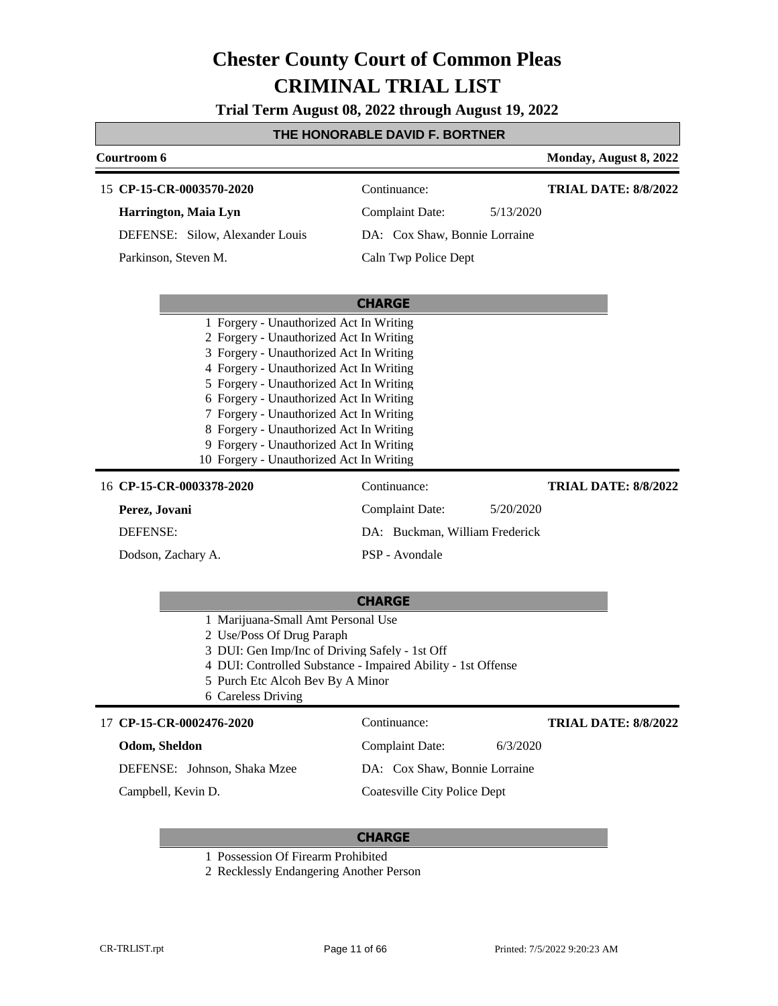**Trial Term August 08, 2022 through August 19, 2022**

### **THE HONORABLE DAVID F. BORTNER**

| Courtroom 6                                                                        |                                     |           | Monday, August 8, 2022      |
|------------------------------------------------------------------------------------|-------------------------------------|-----------|-----------------------------|
| 15 CP-15-CR-0003570-2020                                                           | Continuance:                        |           | <b>TRIAL DATE: 8/8/2022</b> |
| Harrington, Maia Lyn                                                               | <b>Complaint Date:</b>              | 5/13/2020 |                             |
| DEFENSE: Silow, Alexander Louis                                                    | DA: Cox Shaw, Bonnie Lorraine       |           |                             |
| Parkinson, Steven M.                                                               | Caln Twp Police Dept                |           |                             |
|                                                                                    |                                     |           |                             |
|                                                                                    | <b>CHARGE</b>                       |           |                             |
| 1 Forgery - Unauthorized Act In Writing                                            |                                     |           |                             |
| 2 Forgery - Unauthorized Act In Writing<br>3 Forgery - Unauthorized Act In Writing |                                     |           |                             |
| 4 Forgery - Unauthorized Act In Writing                                            |                                     |           |                             |
| 5 Forgery - Unauthorized Act In Writing                                            |                                     |           |                             |
| 6 Forgery - Unauthorized Act In Writing                                            |                                     |           |                             |
| 7 Forgery - Unauthorized Act In Writing                                            |                                     |           |                             |
| 8 Forgery - Unauthorized Act In Writing<br>9 Forgery - Unauthorized Act In Writing |                                     |           |                             |
| 10 Forgery - Unauthorized Act In Writing                                           |                                     |           |                             |
| 16 CP-15-CR-0003378-2020                                                           | Continuance:                        |           | <b>TRIAL DATE: 8/8/2022</b> |
| Perez, Jovani                                                                      | <b>Complaint Date:</b>              | 5/20/2020 |                             |
| DEFENSE:                                                                           | DA: Buckman, William Frederick      |           |                             |
| Dodson, Zachary A.                                                                 | PSP - Avondale                      |           |                             |
|                                                                                    |                                     |           |                             |
|                                                                                    | <b>CHARGE</b>                       |           |                             |
| 1 Marijuana-Small Amt Personal Use                                                 |                                     |           |                             |
| 2 Use/Poss Of Drug Paraph<br>3 DUI: Gen Imp/Inc of Driving Safely - 1st Off        |                                     |           |                             |
| 4 DUI: Controlled Substance - Impaired Ability - 1st Offense                       |                                     |           |                             |
| 5 Purch Etc Alcoh Bev By A Minor                                                   |                                     |           |                             |
| 6 Careless Driving                                                                 |                                     |           |                             |
| 17 CP-15-CR-0002476-2020                                                           | Continuance:                        |           | <b>TRIAL DATE: 8/8/2022</b> |
| Odom, Sheldon                                                                      | <b>Complaint Date:</b>              | 6/3/2020  |                             |
| DEFENSE: Johnson, Shaka Mzee                                                       | DA: Cox Shaw, Bonnie Lorraine       |           |                             |
| Campbell, Kevin D.                                                                 | <b>Coatesville City Police Dept</b> |           |                             |
|                                                                                    |                                     |           |                             |

- 1 Possession Of Firearm Prohibited
- 2 Recklessly Endangering Another Person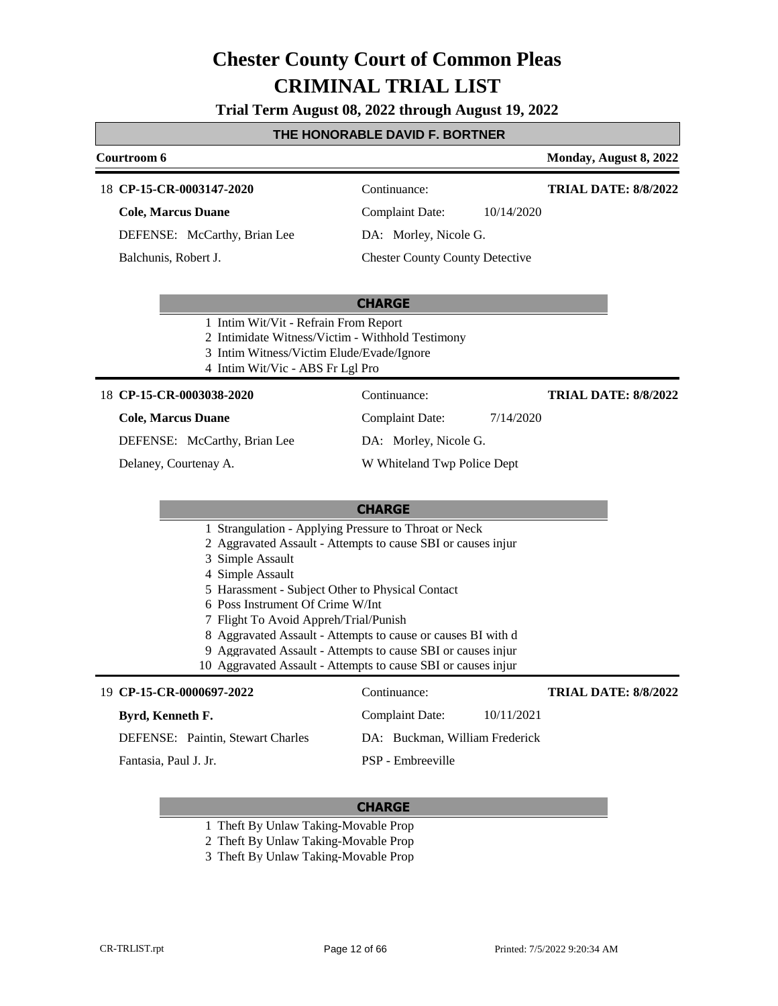**Trial Term August 08, 2022 through August 19, 2022**

#### **THE HONORABLE DAVID F. BORTNER**

#### **Courtroom 6 Monday, August 8, 2022 CP-15-CR-0003147-2020** 18 Continuance: **Cole, Marcus Duane** Complaint Date: 10/14/2020 **TRIAL DATE: 8/8/2022**

DEFENSE: McCarthy, Brian Lee

Balchunis, Robert J.

DA: Morley, Nicole G.

#### Chester County County Detective

### **CHARGE**

- 1 Intim Wit/Vit Refrain From Report
- 2 Intimidate Witness/Victim Withhold Testimony
- 3 Intim Witness/Victim Elude/Evade/Ignore
- 4 Intim Wit/Vic ABS Fr Lgl Pro

#### **CP-15-CR-0003038-2020** 18 Continuance:

### **Cole, Marcus Duane**

DEFENSE: McCarthy, Brian Lee

Delaney, Courtenay A.

W Whiteland Twp Police Dept

### **CHARGE**

- 1 Strangulation Applying Pressure to Throat or Neck
- 2 Aggravated Assault Attempts to cause SBI or causes injur
- 3 Simple Assault
- 4 Simple Assault
- 5 Harassment Subject Other to Physical Contact
- 6 Poss Instrument Of Crime W/Int
- 7 Flight To Avoid Appreh/Trial/Punish
- 8 Aggravated Assault Attempts to cause or causes BI with d
- 9 Aggravated Assault Attempts to cause SBI or causes injur
- 10 Aggravated Assault Attempts to cause SBI or causes injur

#### **CP-15-CR-0000697-2022** 19 Continuance: **Byrd, Kenneth F.** DEFENSE: Paintin, Stewart Charles Complaint Date: 10/11/2021 DA: Buckman, William Frederick PSP - Embreeville **TRIAL DATE: 8/8/2022** Fantasia, Paul J. Jr.

#### **CHARGE**

- 1 Theft By Unlaw Taking-Movable Prop
- 2 Theft By Unlaw Taking-Movable Prop
- 3 Theft By Unlaw Taking-Movable Prop

Complaint Date: 7/14/2020 DA: Morley, Nicole G. **TRIAL DATE: 8/8/2022**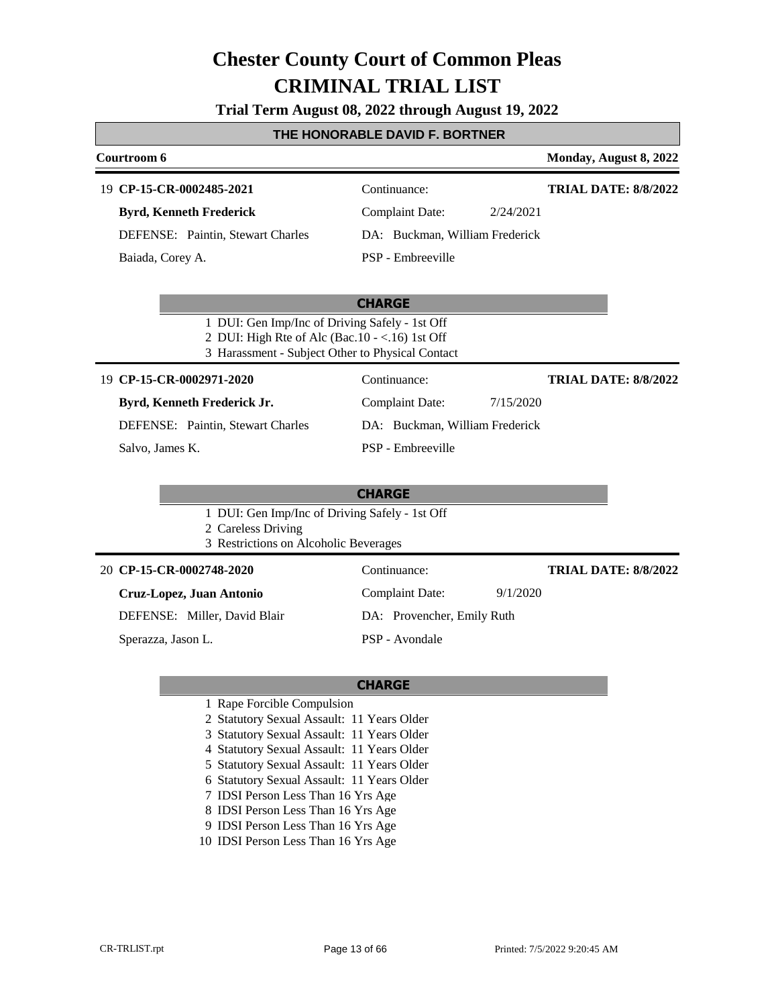**Trial Term August 08, 2022 through August 19, 2022**

#### **THE HONORABLE DAVID F. BORTNER**

| Courtroom 6                              |                                | Monday, August 8, 2022      |
|------------------------------------------|--------------------------------|-----------------------------|
| 19 CP-15-CR-0002485-2021                 | Continuance:                   | <b>TRIAL DATE: 8/8/2022</b> |
| <b>Byrd, Kenneth Frederick</b>           | Complaint Date:<br>2/24/2021   |                             |
| <b>DEFENSE:</b> Paintin, Stewart Charles | DA: Buckman, William Frederick |                             |
| Baiada, Corey A.                         | PSP - Embreeville              |                             |

#### **CHARGE**

- 1 DUI: Gen Imp/Inc of Driving Safely 1st Off
- 2 DUI: High Rte of Alc (Bac.10 <.16) 1st Off
- 3 Harassment Subject Other to Physical Contact

#### **CP-15-CR-0002971-2020** 19 Continuance:

### **Byrd, Kenneth Frederick Jr.**

DEFENSE: Paintin, Stewart Charles

Salvo, James K.

### **CHARGE**

PSP - Embreeville

Complaint Date: 7/15/2020 DA: Buckman, William Frederick

Complaint Date: 9/1/2020

DA: Provencher, Emily Ruth

**TRIAL DATE: 8/8/2022**

**TRIAL DATE: 8/8/2022**

1 DUI: Gen Imp/Inc of Driving Safely - 1st Off

2 Careless Driving

3 Restrictions on Alcoholic Beverages

#### **CP-15-CR-0002748-2020** 20 Continuance:

| Cruz-Lopez, Juan Antonio |
|--------------------------|
|--------------------------|

DEFENSE: Miller, David Blair

Sperazza, Jason L.

# **CHARGE**

PSP - Avondale

- 1 Rape Forcible Compulsion
- 2 Statutory Sexual Assault: 11 Years Older
- 3 Statutory Sexual Assault: 11 Years Older
- 4 Statutory Sexual Assault: 11 Years Older
- 5 Statutory Sexual Assault: 11 Years Older
- 6 Statutory Sexual Assault: 11 Years Older
- 7 IDSI Person Less Than 16 Yrs Age
- 8 IDSI Person Less Than 16 Yrs Age
- 9 IDSI Person Less Than 16 Yrs Age
- 10 IDSI Person Less Than 16 Yrs Age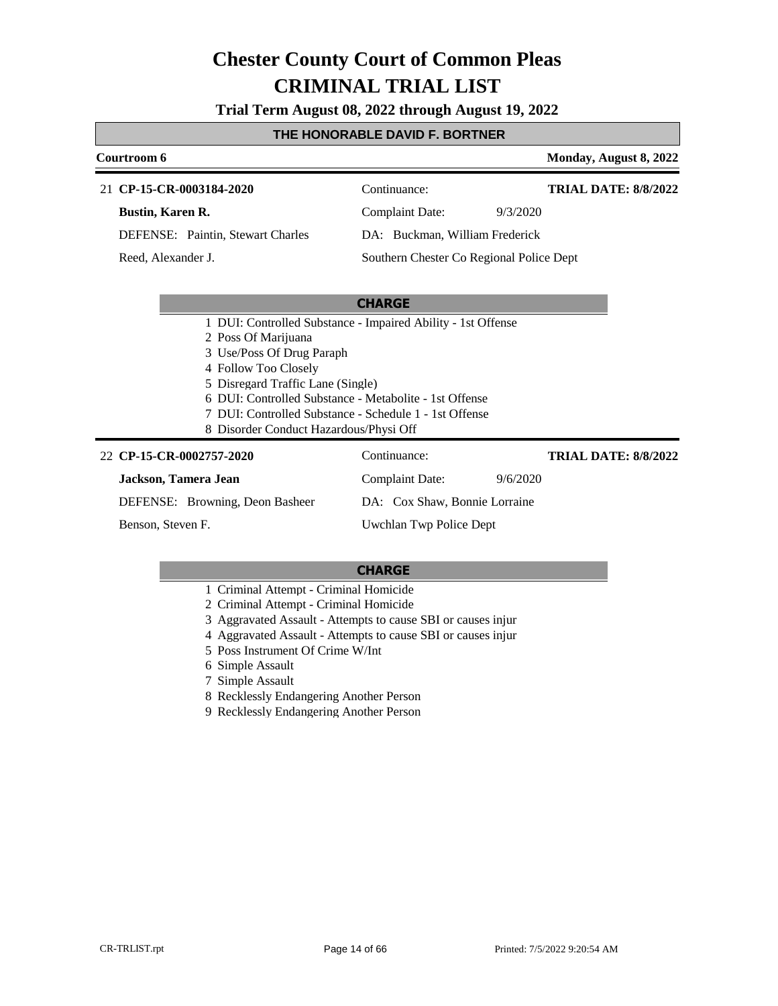**Trial Term August 08, 2022 through August 19, 2022**

#### **THE HONORABLE DAVID F. BORTNER**

#### **Courtroom 6 Monday, August 8, 2022 CP-15-CR-0003184-2020** 21 Continuance: **Bustin, Karen R.** DEFENSE: Paintin, Stewart Charles Complaint Date: 9/3/2020 DA: Buckman, William Frederick Southern Chester Co Regional Police Dept **TRIAL DATE: 8/8/2022** Reed, Alexander J.

#### **CHARGE**

- 1 DUI: Controlled Substance Impaired Ability 1st Offense
- 2 Poss Of Marijuana
- 3 Use/Poss Of Drug Paraph
- 4 Follow Too Closely
- 5 Disregard Traffic Lane (Single)
- 6 DUI: Controlled Substance Metabolite 1st Offense
- 7 DUI: Controlled Substance Schedule 1 1st Offense
- 8 Disorder Conduct Hazardous/Physi Off

#### **CP-15-CR-0002757-2020** 22 Continuance: **Jackson, Tamera Jean** DEFENSE: Browning, Deon Basheer Complaint Date: 9/6/2020 DA: Cox Shaw, Bonnie Lorraine Uwchlan Twp Police Dept **TRIAL DATE: 8/8/2022** Benson, Steven F.

- 1 Criminal Attempt Criminal Homicide
- 2 Criminal Attempt Criminal Homicide
- 3 Aggravated Assault Attempts to cause SBI or causes injur
- 4 Aggravated Assault Attempts to cause SBI or causes injur
- 5 Poss Instrument Of Crime W/Int
- 6 Simple Assault
- 7 Simple Assault
- 8 Recklessly Endangering Another Person
- 9 Recklessly Endangering Another Person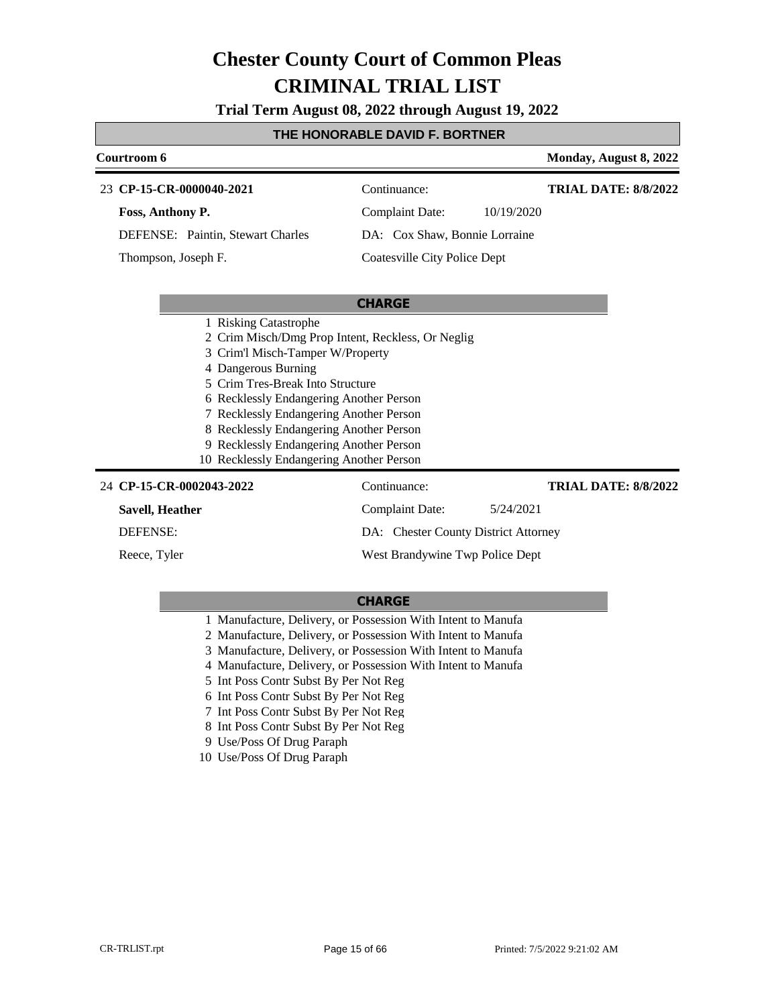**Trial Term August 08, 2022 through August 19, 2022**

### **THE HONORABLE DAVID F. BORTNER**

| Courtroom 6     |                                                                                                                                                                                                                                                                                                                                                                                                   |                                      |            | Monday, August 8, 2022      |
|-----------------|---------------------------------------------------------------------------------------------------------------------------------------------------------------------------------------------------------------------------------------------------------------------------------------------------------------------------------------------------------------------------------------------------|--------------------------------------|------------|-----------------------------|
|                 | 23 CP-15-CR-0000040-2021                                                                                                                                                                                                                                                                                                                                                                          | Continuance:                         |            | <b>TRIAL DATE: 8/8/2022</b> |
|                 | Foss, Anthony P.                                                                                                                                                                                                                                                                                                                                                                                  | <b>Complaint Date:</b>               | 10/19/2020 |                             |
|                 | DEFENSE: Paintin, Stewart Charles                                                                                                                                                                                                                                                                                                                                                                 | DA: Cox Shaw, Bonnie Lorraine        |            |                             |
|                 | Thompson, Joseph F.                                                                                                                                                                                                                                                                                                                                                                               | Coatesville City Police Dept         |            |                             |
|                 |                                                                                                                                                                                                                                                                                                                                                                                                   |                                      |            |                             |
|                 |                                                                                                                                                                                                                                                                                                                                                                                                   | <b>CHARGE</b>                        |            |                             |
|                 | 1 Risking Catastrophe<br>2 Crim Misch/Dmg Prop Intent, Reckless, Or Neglig<br>3 Crim'l Misch-Tamper W/Property<br>4 Dangerous Burning<br>5 Crim Tres-Break Into Structure<br>6 Recklessly Endangering Another Person<br>7 Recklessly Endangering Another Person<br>8 Recklessly Endangering Another Person<br>9 Recklessly Endangering Another Person<br>10 Recklessly Endangering Another Person |                                      |            |                             |
|                 | 24 CP-15-CR-0002043-2022                                                                                                                                                                                                                                                                                                                                                                          | Continuance:                         |            | <b>TRIAL DATE: 8/8/2022</b> |
| Savell, Heather |                                                                                                                                                                                                                                                                                                                                                                                                   | Complaint Date:                      | 5/24/2021  |                             |
| <b>DEFENSE:</b> |                                                                                                                                                                                                                                                                                                                                                                                                   | DA: Chester County District Attorney |            |                             |
| Reece, Tyler    |                                                                                                                                                                                                                                                                                                                                                                                                   | West Brandywine Twp Police Dept      |            |                             |

- 1 Manufacture, Delivery, or Possession With Intent to Manufa
- 2 Manufacture, Delivery, or Possession With Intent to Manufa
- 3 Manufacture, Delivery, or Possession With Intent to Manufa
- 4 Manufacture, Delivery, or Possession With Intent to Manufa
- 5 Int Poss Contr Subst By Per Not Reg
- 6 Int Poss Contr Subst By Per Not Reg
- 7 Int Poss Contr Subst By Per Not Reg
- 8 Int Poss Contr Subst By Per Not Reg
- 9 Use/Poss Of Drug Paraph
- 10 Use/Poss Of Drug Paraph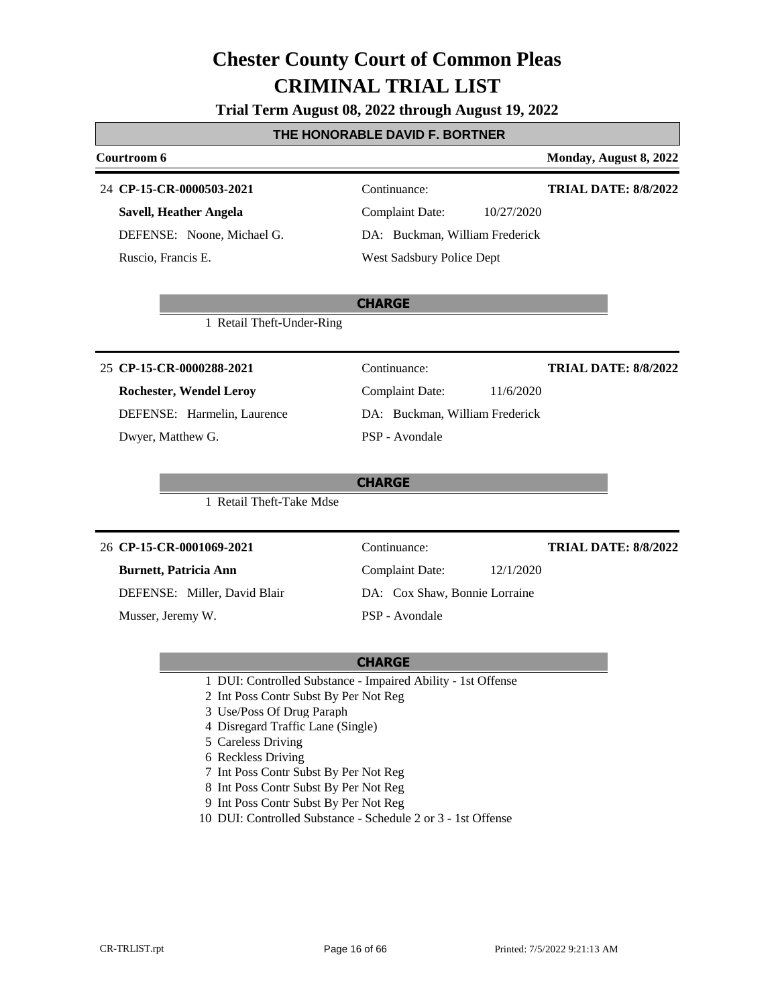**Trial Term August 08, 2022 through August 19, 2022**

#### **THE HONORABLE DAVID F. BORTNER**

### **Courtroom 6 Monday, August 8, 2022 CHARGE CP-15-CR-0000503-2021** 24 Continuance: **Savell, Heather Angela** DEFENSE: Noone, Michael G. Complaint Date: 10/27/2020 DA: Buckman, William Frederick West Sadsbury Police Dept **TRIAL DATE: 8/8/2022** Ruscio, Francis E. 1 Retail Theft-Under-Ring **CHARGE CP-15-CR-0000288-2021** 25 Continuance: **Rochester, Wendel Leroy** DEFENSE: Harmelin, Laurence Complaint Date: 11/6/2020 DA: Buckman, William Frederick PSP - Avondale **TRIAL DATE: 8/8/2022** Dwyer, Matthew G. 1 Retail Theft-Take Mdse **CHARGE CP-15-CR-0001069-2021** 26 Continuance: **Burnett, Patricia Ann** DEFENSE: Miller, David Blair Complaint Date: 12/1/2020 DA: Cox Shaw, Bonnie Lorraine PSP - Avondale **TRIAL DATE: 8/8/2022** Musser, Jeremy W.

- 1 DUI: Controlled Substance Impaired Ability 1st Offense
- 2 Int Poss Contr Subst By Per Not Reg
- 3 Use/Poss Of Drug Paraph
- 4 Disregard Traffic Lane (Single)
- 5 Careless Driving
- 6 Reckless Driving
- 7 Int Poss Contr Subst By Per Not Reg
- 8 Int Poss Contr Subst By Per Not Reg
- 9 Int Poss Contr Subst By Per Not Reg
- 10 DUI: Controlled Substance Schedule 2 or 3 1st Offense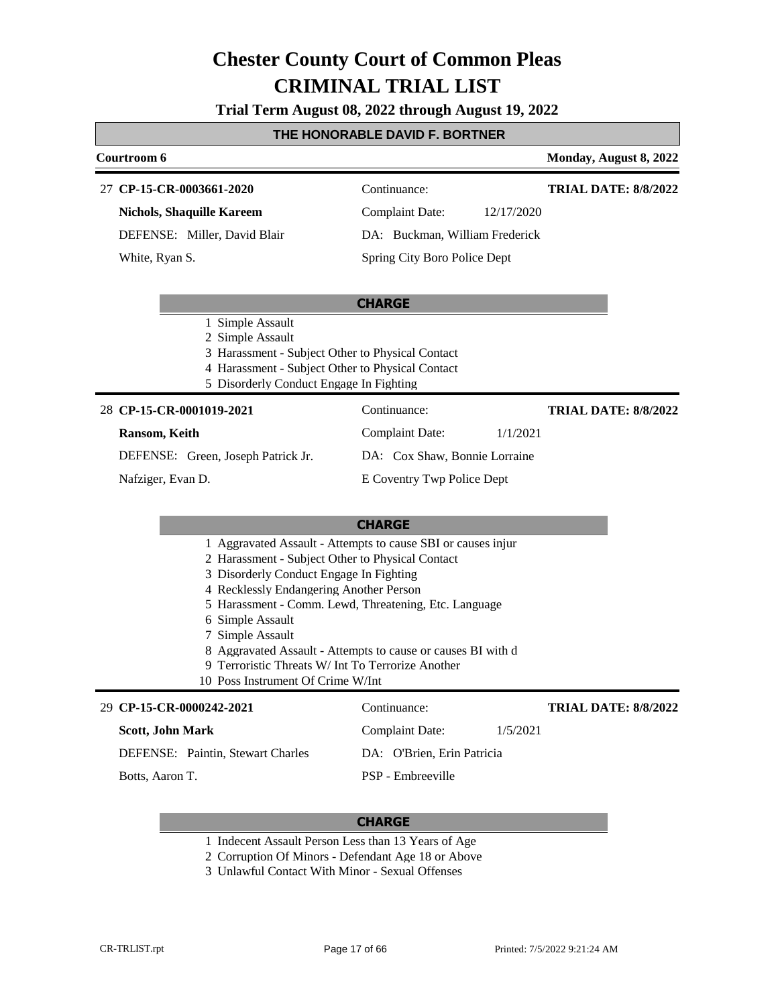**Trial Term August 08, 2022 through August 19, 2022**

#### **THE HONORABLE DAVID F. BORTNER**

### **Courtroom 6 Monday, August 8, 2022 CP-15-CR-0003661-2020** 27 Continuance: **TRIAL DATE: 8/8/2022**

**Nichols, Shaquille Kareem**

DEFENSE: Miller, David Blair

White, Ryan S.

Complaint Date: 12/17/2020 DA: Buckman, William Frederick

Spring City Boro Police Dept

#### **CHARGE**

- 1 Simple Assault
- 2 Simple Assault
- 3 Harassment Subject Other to Physical Contact
- 4 Harassment Subject Other to Physical Contact
- 5 Disorderly Conduct Engage In Fighting

#### **CP-15-CR-0001019-2021** 28 Continuance:

DEFENSE: Green, Joseph Patrick Jr.

#### **Ransom, Keith**

Nafziger, Evan D.

DA: Cox Shaw, Bonnie Lorraine

#### **CHARGE**

- 1 Aggravated Assault Attempts to cause SBI or causes injur
- 2 Harassment Subject Other to Physical Contact
- 3 Disorderly Conduct Engage In Fighting
- 4 Recklessly Endangering Another Person
- 5 Harassment Comm. Lewd, Threatening, Etc. Language
- 6 Simple Assault
- 7 Simple Assault
- 8 Aggravated Assault Attempts to cause or causes BI with d
- 9 Terroristic Threats W/ Int To Terrorize Another
- 10 Poss Instrument Of Crime W/Int

#### **CP-15-CR-0000242-2021** 29 Continuance: **Scott, John Mark** DEFENSE: Paintin, Stewart Charles Complaint Date: 1/5/2021 DA: O'Brien, Erin Patricia PSP - Embreeville **TRIAL DATE: 8/8/2022** Botts, Aaron T.

- 1 Indecent Assault Person Less than 13 Years of Age
- 2 Corruption Of Minors Defendant Age 18 or Above
- 3 Unlawful Contact With Minor Sexual Offenses
- Complaint Date: 1/1/2021 **TRIAL DATE: 8/8/2022**
- E Coventry Twp Police Dept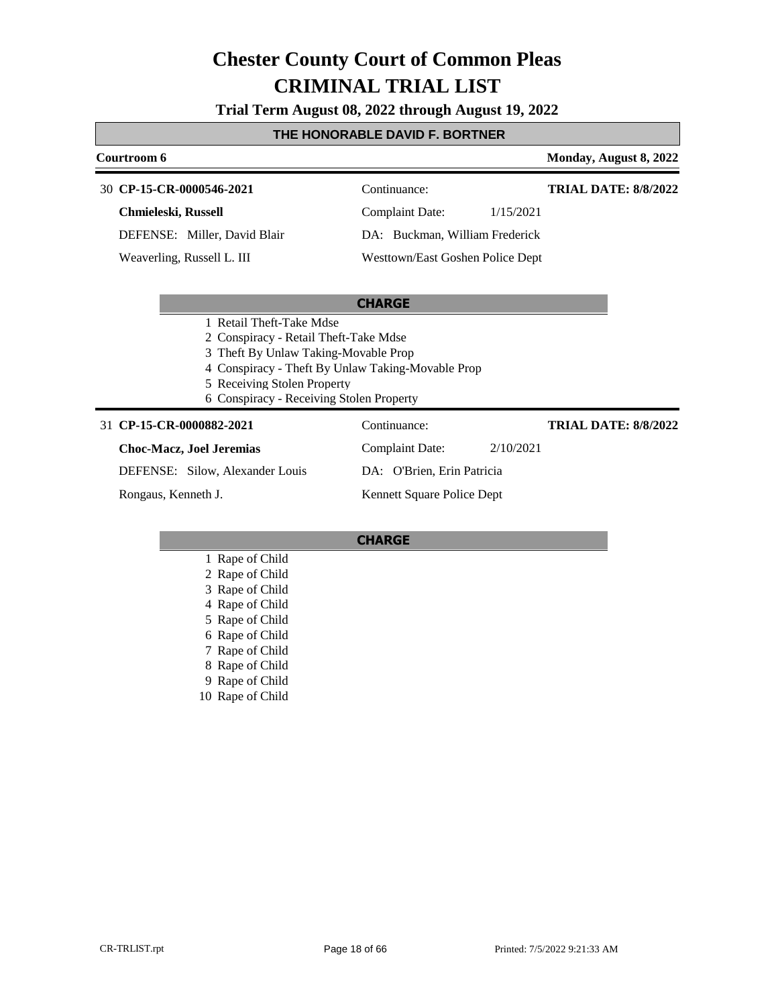**Trial Term August 08, 2022 through August 19, 2022**

### **THE HONORABLE DAVID F. BORTNER**

| Courtroom 6                                       |                                     | Monday, August 8, 2022      |
|---------------------------------------------------|-------------------------------------|-----------------------------|
| 30 CP-15-CR-0000546-2021                          | Continuance:                        | <b>TRIAL DATE: 8/8/2022</b> |
| Chmieleski, Russell                               | <b>Complaint Date:</b><br>1/15/2021 |                             |
| DEFENSE: Miller, David Blair                      | DA: Buckman, William Frederick      |                             |
| Weaverling, Russell L. III                        | Westtown/East Goshen Police Dept    |                             |
|                                                   |                                     |                             |
|                                                   | <b>CHARGE</b>                       |                             |
| 1 Retail Theft-Take Mdse                          |                                     |                             |
| 2 Conspiracy - Retail Theft-Take Mdse             |                                     |                             |
| Theft By Unlaw Taking-Movable Prop                |                                     |                             |
| 4 Conspiracy - Theft By Unlaw Taking-Movable Prop |                                     |                             |
| 5 Receiving Stolen Property                       |                                     |                             |
| 6 Conspiracy - Receiving Stolen Property          |                                     |                             |
| 31 CP-15-CR-0000882-2021                          | Continuance:                        | <b>TRIAL DATE: 8/8/2022</b> |
| <b>Choc-Macz, Joel Jeremias</b>                   | <b>Complaint Date:</b><br>2/10/2021 |                             |
| DEFENSE: Silow, Alexander Louis                   | DA: O'Brien, Erin Patricia          |                             |
| Rongaus, Kenneth J.                               | Kennett Square Police Dept          |                             |
|                                                   |                                     |                             |

- 1 Rape of Child
- 2 Rape of Child
- 3 Rape of Child
- 4 Rape of Child
- 5 Rape of Child
- 
- 6 Rape of Child
- 7 Rape of Child
- 8 Rape of Child
- 9 Rape of Child
- 10 Rape of Child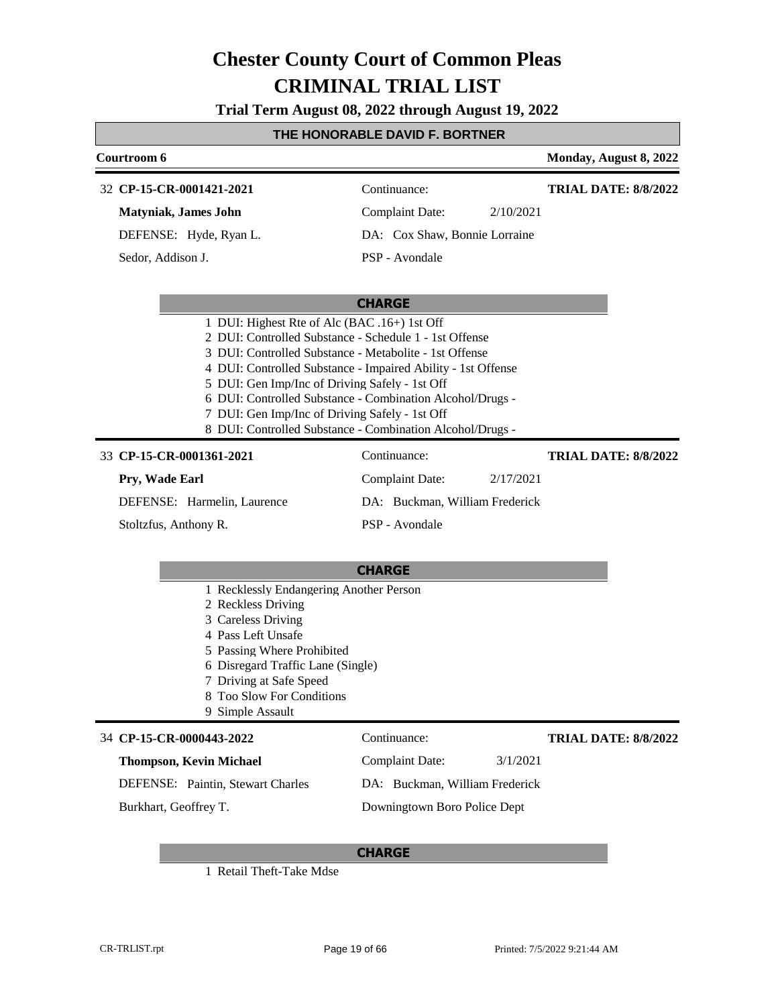**Trial Term August 08, 2022 through August 19, 2022**

#### **THE HONORABLE DAVID F. BORTNER**

| Courtroom 6                 |  |                               | Monday, August 8, 2022 |                             |
|-----------------------------|--|-------------------------------|------------------------|-----------------------------|
| 32 CP-15-CR-0001421-2021    |  | Continuance:                  |                        | <b>TRIAL DATE: 8/8/2022</b> |
| <b>Matyniak, James John</b> |  | <b>Complaint Date:</b>        | 2/10/2021              |                             |
| DEFENSE: Hyde, Ryan L.      |  | DA: Cox Shaw, Bonnie Lorraine |                        |                             |
| Sedor, Addison J.           |  | PSP - Avondale                |                        |                             |

#### **CHARGE**

| 1 DUI: Highest Rte of Alc (BAC .16+) 1st Off                                                                                                                                                                                                                                                                                 |
|------------------------------------------------------------------------------------------------------------------------------------------------------------------------------------------------------------------------------------------------------------------------------------------------------------------------------|
| 2 DUI: Controlled Substance - Schedule 1 - 1st Offense                                                                                                                                                                                                                                                                       |
| 3 DUI: Controlled Substance - Metabolite - 1st Offense                                                                                                                                                                                                                                                                       |
| 4 DUI: Controlled Substance - Impaired Ability - 1st Offense                                                                                                                                                                                                                                                                 |
| 5 DUI: Gen Imp/Inc of Driving Safely - 1st Off                                                                                                                                                                                                                                                                               |
| 6 DUI: Controlled Substance - Combination Alcohol/Drugs -                                                                                                                                                                                                                                                                    |
| 7 DUI: Gen Imp/Inc of Driving Safely - 1st Off                                                                                                                                                                                                                                                                               |
| $\alpha$ products and $\alpha$ and $\alpha$ and $\alpha$ and $\alpha$ and $\alpha$ and $\alpha$ and $\alpha$ and $\alpha$ and $\alpha$ and $\alpha$ and $\alpha$ and $\alpha$ and $\alpha$ and $\alpha$ and $\alpha$ and $\alpha$ and $\alpha$ and $\alpha$ and $\alpha$ and $\alpha$ and $\alpha$ and $\alpha$ and $\alpha$ |

8 DUI: Controlled Substance - Combination Alcohol/Drugs -

#### 33 **CP-15-CR-0001361-2021** Continuance:

| CP-15-CR-0001361-2021       | Continuance:                   |           | <b>TRIAL DATE: 8/8/2022</b> |
|-----------------------------|--------------------------------|-----------|-----------------------------|
| Prv. Wade Earl              | Complaint Date:                | 2/17/2021 |                             |
| DEFENSE: Harmelin, Laurence | DA: Buckman, William Frederick |           |                             |
| Stoltzfus, Anthony R.       | PSP - Avondale                 |           |                             |

#### **CHARGE**

- 1 Recklessly Endangering Another Person
- 2 Reckless Driving
- 3 Careless Driving
- 4 Pass Left Unsafe
- 5 Passing Where Prohibited
- 6 Disregard Traffic Lane (Single)
- 7 Driving at Safe Speed
- 8 Too Slow For Conditions
- 9 Simple Assault

#### **CP-15-CR-0000443-2022** 34 Continuance:

#### **Thompson, Kevin Michael**

DEFENSE: Paintin, Stewart Charles

Burkhart, Geoffrey T.

**TRIAL DATE: 8/8/2022**

Complaint Date: 3/1/2021 DA: Buckman, William Frederick

Downingtown Boro Police Dept

#### **CHARGE**

1 Retail Theft-Take Mdse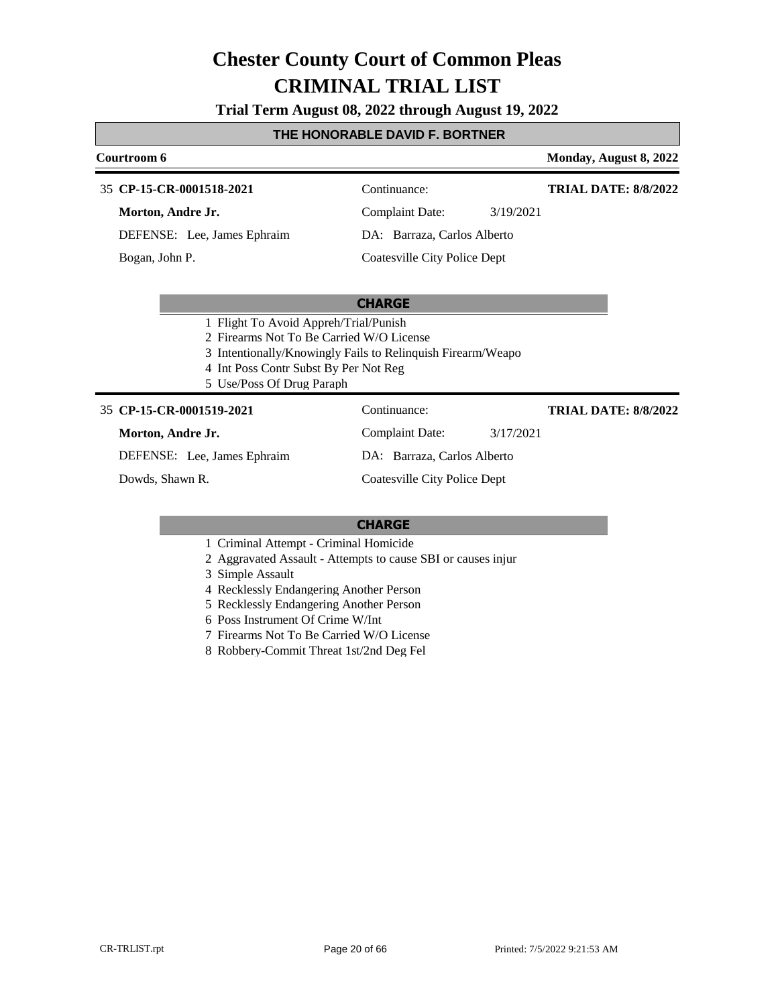**Trial Term August 08, 2022 through August 19, 2022**

#### **THE HONORABLE DAVID F. BORTNER**

### **Courtroom 6 Monday, August 8, 2022 CP-15-CR-0001518-2021** 35 Continuance: **Morton, Andre Jr.** Complaint Date: 3/19/2021 **TRIAL DATE: 8/8/2022**

**CHARGE**

DEFENSE: Lee, James Ephraim

Bogan, John P.

DA: Barraza, Carlos Alberto Coatesville City Police Dept

# 3 Intentionally/Knowingly Fails to Relinquish Firearm/Weapo

**TRIAL DATE: 8/8/2022**

4 Int Poss Contr Subst By Per Not Reg 5 Use/Poss Of Drug Paraph

1 Flight To Avoid Appreh/Trial/Punish 2 Firearms Not To Be Carried W/O License

#### **CP-15-CR-0001519-2021** 35 Continuance:

#### **Morton, Andre Jr.**

DEFENSE: Lee, James Ephraim

Dowds, Shawn R.

DA: Barraza, Carlos Alberto Coatesville City Police Dept

Complaint Date: 3/17/2021

- 1 Criminal Attempt Criminal Homicide
- 2 Aggravated Assault Attempts to cause SBI or causes injur
- 3 Simple Assault
- 4 Recklessly Endangering Another Person
- 5 Recklessly Endangering Another Person
- 6 Poss Instrument Of Crime W/Int
- 7 Firearms Not To Be Carried W/O License
- 8 Robbery-Commit Threat 1st/2nd Deg Fel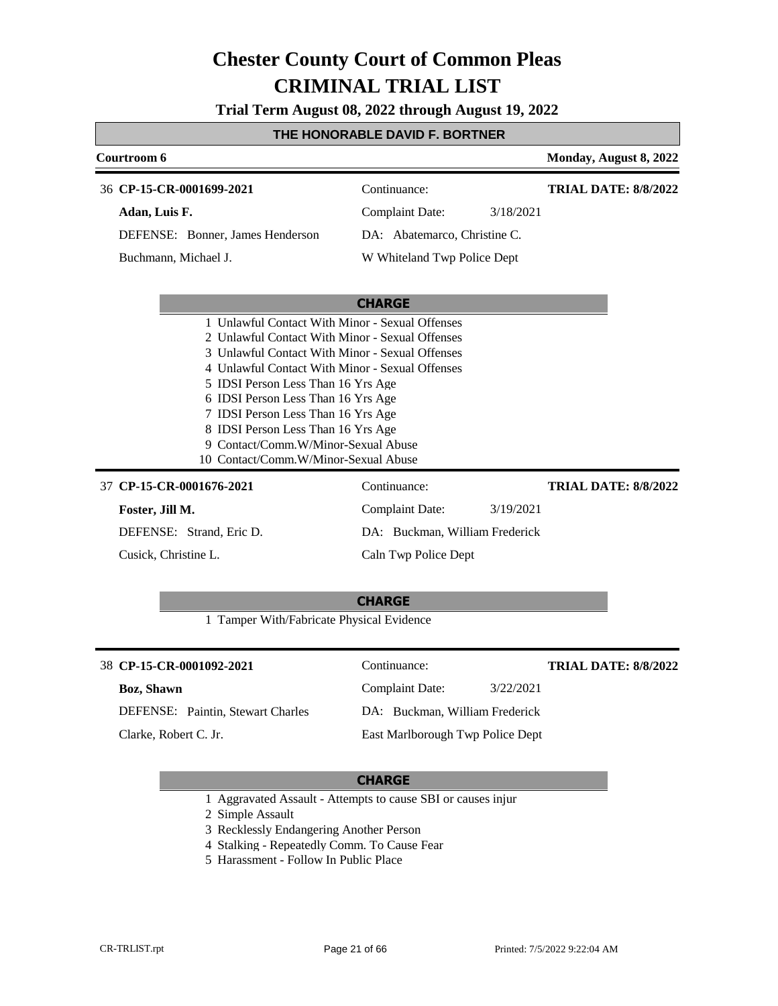**Trial Term August 08, 2022 through August 19, 2022**

### **THE HONORABLE DAVID F. BORTNER**

| Courtroom 6                                                                                                                                                                                                                                                                                                                                                                                                                                     |                                                                                       | Monday, August 8, 2022      |
|-------------------------------------------------------------------------------------------------------------------------------------------------------------------------------------------------------------------------------------------------------------------------------------------------------------------------------------------------------------------------------------------------------------------------------------------------|---------------------------------------------------------------------------------------|-----------------------------|
| 36 CP-15-CR-0001699-2021<br>Adan, Luis F.                                                                                                                                                                                                                                                                                                                                                                                                       | Continuance:<br><b>Complaint Date:</b><br>3/18/2021                                   | <b>TRIAL DATE: 8/8/2022</b> |
| DEFENSE: Bonner, James Henderson<br>Buchmann, Michael J.                                                                                                                                                                                                                                                                                                                                                                                        | DA: Abatemarco, Christine C.<br>W Whiteland Twp Police Dept                           |                             |
| 1 Unlawful Contact With Minor - Sexual Offenses<br>2 Unlawful Contact With Minor - Sexual Offenses<br>3 Unlawful Contact With Minor - Sexual Offenses<br>4 Unlawful Contact With Minor - Sexual Offenses<br>5 IDSI Person Less Than 16 Yrs Age<br>6 IDSI Person Less Than 16 Yrs Age<br>7 IDSI Person Less Than 16 Yrs Age<br>8 IDSI Person Less Than 16 Yrs Age<br>9 Contact/Comm.W/Minor-Sexual Abuse<br>10 Contact/Comm.W/Minor-Sexual Abuse | <b>CHARGE</b>                                                                         |                             |
| 37 CP-15-CR-0001676-2021<br>Foster, Jill M.<br>DEFENSE: Strand, Eric D.                                                                                                                                                                                                                                                                                                                                                                         | Continuance:<br><b>Complaint Date:</b><br>3/19/2021<br>DA: Buckman, William Frederick | <b>TRIAL DATE: 8/8/2022</b> |
| Cusick, Christine L.<br>1 Tamper With/Fabricate Physical Evidence                                                                                                                                                                                                                                                                                                                                                                               | Caln Twp Police Dept<br><b>CHARGE</b>                                                 |                             |

| 38 CP-15-CR-0001092-2021                 | Continuance:                     |           | <b>TRIAL DATE: 8/8/2022</b> |
|------------------------------------------|----------------------------------|-----------|-----------------------------|
| <b>Boz, Shawn</b>                        | Complaint Date:                  | 3/22/2021 |                             |
| <b>DEFENSE:</b> Paintin, Stewart Charles | DA: Buckman, William Frederick   |           |                             |
| Clarke, Robert C. Jr.                    | East Marlborough Twp Police Dept |           |                             |

#### **CHARGE**

1 Aggravated Assault - Attempts to cause SBI or causes injur

2 Simple Assault

- 3 Recklessly Endangering Another Person
- 4 Stalking Repeatedly Comm. To Cause Fear
- 5 Harassment Follow In Public Place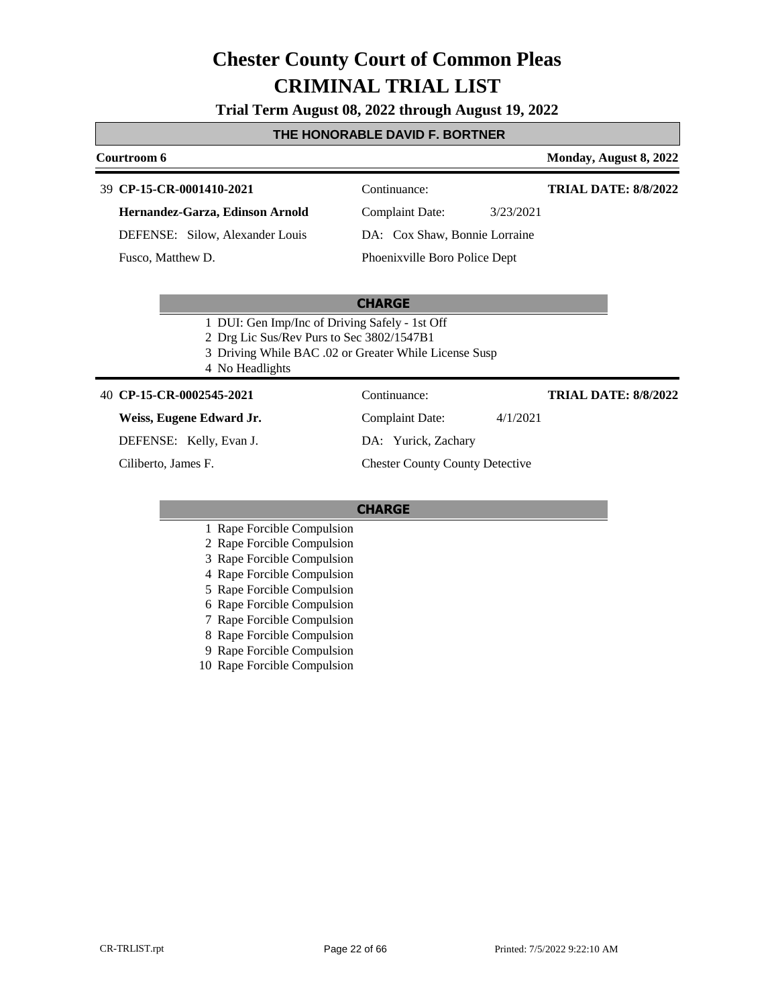**Trial Term August 08, 2022 through August 19, 2022**

#### **THE HONORABLE DAVID F. BORTNER**

#### **Courtroom 6 Monday, August 8, 2022**

# **CP-15-CR-0001410-2021** 39 Continuance:

**TRIAL DATE: 8/8/2022**

**Hernandez-Garza, Edinson Arnold**

DEFENSE: Silow, Alexander Louis

Fusco, Matthew D.

Complaint Date: 3/23/2021 DA: Cox Shaw, Bonnie Lorraine

Phoenixville Boro Police Dept

#### **CHARGE**

- 1 DUI: Gen Imp/Inc of Driving Safely 1st Off
- 2 Drg Lic Sus/Rev Purs to Sec 3802/1547B1
- 3 Driving While BAC .02 or Greater While License Susp
- 4 No Headlights

#### **CP-15-CR-0002545-2021** 40 Continuance:

#### **Weiss, Eugene Edward Jr.**

DEFENSE: Kelly, Evan J.

Ciliberto, James F.

Complaint Date: 4/1/2021

DA: Yurick, Zachary

Chester County County Detective

#### **CHARGE**

- 1 Rape Forcible Compulsion
- 2 Rape Forcible Compulsion
- 3 Rape Forcible Compulsion
- 4 Rape Forcible Compulsion
- 5 Rape Forcible Compulsion
- 6 Rape Forcible Compulsion
- 7 Rape Forcible Compulsion
- 8 Rape Forcible Compulsion
- 9 Rape Forcible Compulsion
- 10 Rape Forcible Compulsion

**TRIAL DATE: 8/8/2022**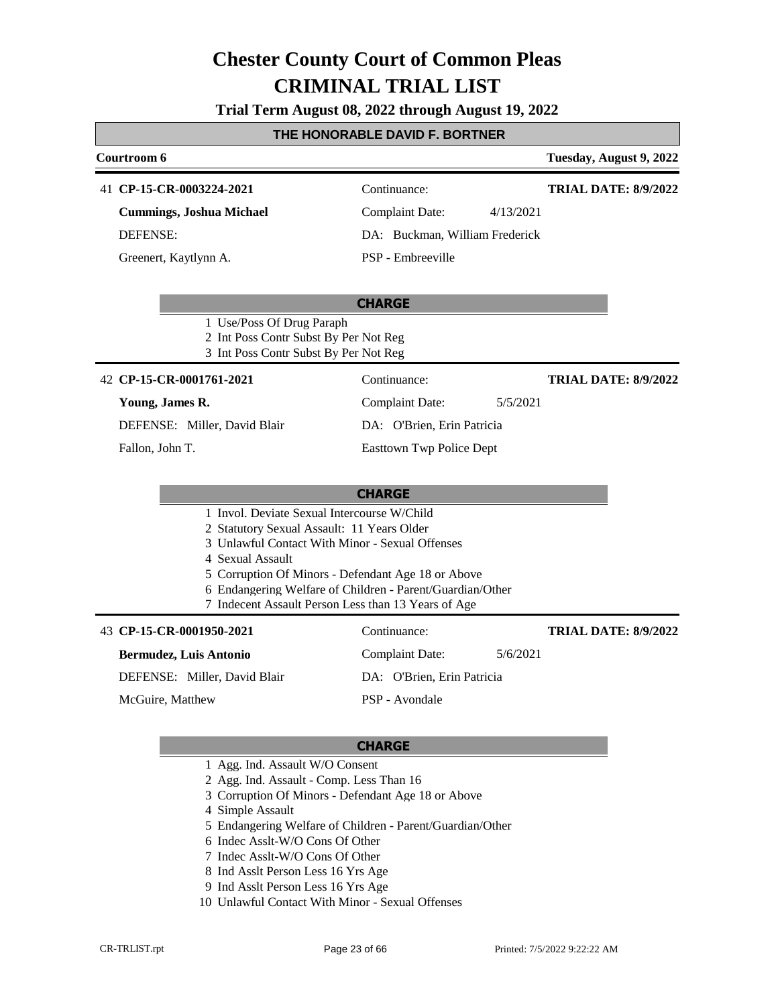**Trial Term August 08, 2022 through August 19, 2022**

### **THE HONORABLE DAVID F. BORTNER**

| Courtroom 6                                                                                                                                                                                                                                                                   |                                                           | Tuesday, August 9, 2022     |
|-------------------------------------------------------------------------------------------------------------------------------------------------------------------------------------------------------------------------------------------------------------------------------|-----------------------------------------------------------|-----------------------------|
| 41 CP-15-CR-0003224-2021                                                                                                                                                                                                                                                      | Continuance:                                              | <b>TRIAL DATE: 8/9/2022</b> |
| <b>Cummings, Joshua Michael</b>                                                                                                                                                                                                                                               | Complaint Date:<br>4/13/2021                              |                             |
| <b>DEFENSE:</b>                                                                                                                                                                                                                                                               | DA: Buckman, William Frederick                            |                             |
| Greenert, Kaytlynn A.                                                                                                                                                                                                                                                         | PSP - Embreeville                                         |                             |
|                                                                                                                                                                                                                                                                               | <b>CHARGE</b>                                             |                             |
| 1 Use/Poss Of Drug Paraph<br>2 Int Poss Contr Subst By Per Not Reg<br>3 Int Poss Contr Subst By Per Not Reg                                                                                                                                                                   |                                                           |                             |
| 42 CP-15-CR-0001761-2021                                                                                                                                                                                                                                                      | Continuance:                                              | <b>TRIAL DATE: 8/9/2022</b> |
| Young, James R.                                                                                                                                                                                                                                                               | <b>Complaint Date:</b><br>5/5/2021                        |                             |
| DEFENSE: Miller, David Blair                                                                                                                                                                                                                                                  | DA: O'Brien, Erin Patricia                                |                             |
| Fallon, John T.                                                                                                                                                                                                                                                               | <b>Easttown Twp Police Dept</b>                           |                             |
|                                                                                                                                                                                                                                                                               | <b>CHARGE</b>                                             |                             |
| 1 Invol. Deviate Sexual Intercourse W/Child<br>2 Statutory Sexual Assault: 11 Years Older<br>3 Unlawful Contact With Minor - Sexual Offenses<br>4 Sexual Assault<br>5 Corruption Of Minors - Defendant Age 18 or Above<br>7 Indecent Assault Person Less than 13 Years of Age | 6 Endangering Welfare of Children - Parent/Guardian/Other |                             |
| 43 CP-15-CR-0001950-2021                                                                                                                                                                                                                                                      | Continuance:                                              | <b>TRIAL DATE: 8/9/2022</b> |
| <b>Bermudez, Luis Antonio</b>                                                                                                                                                                                                                                                 | <b>Complaint Date:</b><br>5/6/2021                        |                             |
| DEFENSE: Miller, David Blair                                                                                                                                                                                                                                                  | DA: O'Brien, Erin Patricia                                |                             |
| McGuire, Matthew                                                                                                                                                                                                                                                              | PSP - Avondale                                            |                             |

- 1 Agg. Ind. Assault W/O Consent
- 2 Agg. Ind. Assault Comp. Less Than 16
- 3 Corruption Of Minors Defendant Age 18 or Above
- 4 Simple Assault
- 5 Endangering Welfare of Children Parent/Guardian/Other
- 6 Indec Asslt-W/O Cons Of Other
- 7 Indec Asslt-W/O Cons Of Other
- 8 Ind Asslt Person Less 16 Yrs Age
- 9 Ind Asslt Person Less 16 Yrs Age
- 10 Unlawful Contact With Minor Sexual Offenses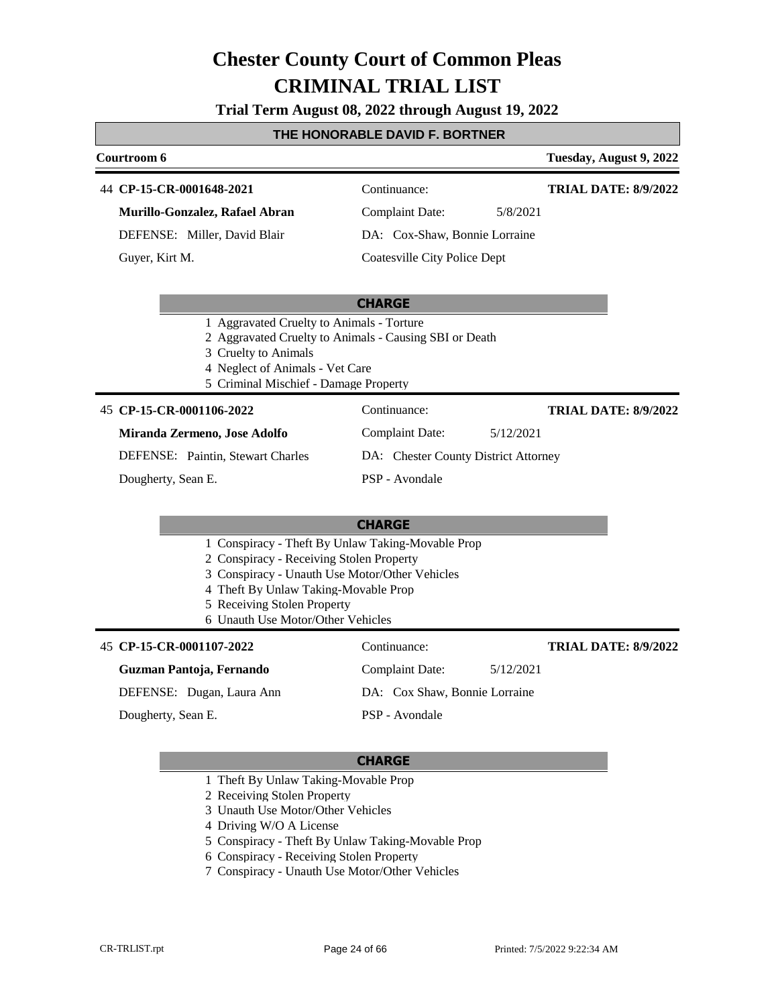**Trial Term August 08, 2022 through August 19, 2022**

#### **THE HONORABLE DAVID F. BORTNER**

#### **Courtroom 6 Tuesday, August 9, 2022** 44 **CP-15-CR-0001648-2021** Continuance: **Murillo-Gonzalez, Rafael Abran** DEFENSE: Miller, David Blair Complaint Date: 5/8/2021 DA: Cox-Shaw, Bonnie Lorraine Coatesville City Police Dept **TRIAL DATE: 8/9/2022** Guyer, Kirt M.

#### **CHARGE**

- 1 Aggravated Cruelty to Animals Torture
- 2 Aggravated Cruelty to Animals Causing SBI or Death
- 3 Cruelty to Animals
- 
- 

#### **CP-15-CR-0001106-2022** 45 Continuance:

| , СГ-19-СІГООО1100- <i>2022</i>          | Communico.                           | 1 MBD DRIE: 9/2/202 |
|------------------------------------------|--------------------------------------|---------------------|
| Miranda Zermeno, Jose Adolfo             | Complaint Date:<br>5/12/2021         |                     |
| <b>DEFENSE:</b> Paintin, Stewart Charles | DA: Chester County District Attorney |                     |
| Dougherty, Sean E.                       | PSP - Avondale                       |                     |

#### **CHARGE**

- 1 Conspiracy Theft By Unlaw Taking-Movable Prop
- 2 Conspiracy Receiving Stolen Property
- 3 Conspiracy Unauth Use Motor/Other Vehicles
- 4 Theft By Unlaw Taking-Movable Prop
- 5 Receiving Stolen Property
- 6 Unauth Use Motor/Other Vehicles

#### **CP-15-CR-0001107-2022** 45 Continuance: **Guzman Pantoja, Fernando** DEFENSE: Dugan, Laura Ann Complaint Date: 5/12/2021 DA: Cox Shaw, Bonnie Lorraine PSP - Avondale **TRIAL DATE: 8/9/2022** Dougherty, Sean E.

#### **CHARGE**

- 1 Theft By Unlaw Taking-Movable Prop
- 2 Receiving Stolen Property
- 3 Unauth Use Motor/Other Vehicles
- 4 Driving W/O A License
- 5 Conspiracy Theft By Unlaw Taking-Movable Prop
- 6 Conspiracy Receiving Stolen Property
- 7 Conspiracy Unauth Use Motor/Other Vehicles

- 
- 4 Neglect of Animals Vet Care
- 5 Criminal Mischief Damage Property

**TRIAL DATE: 8/9/2022**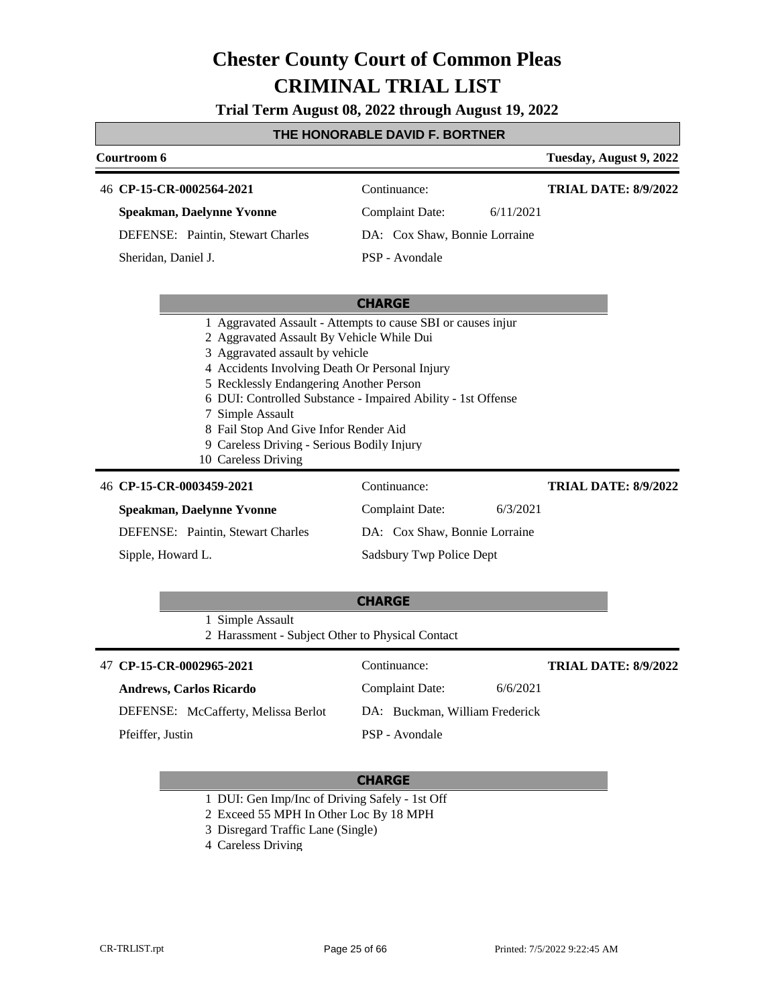**Trial Term August 08, 2022 through August 19, 2022**

### **THE HONORABLE DAVID F. BORTNER**

| Courtroom 6                                                                                                                                                                                                                                                                                                                                                                 |                                     | Tuesday, August 9, 2022     |  |  |
|-----------------------------------------------------------------------------------------------------------------------------------------------------------------------------------------------------------------------------------------------------------------------------------------------------------------------------------------------------------------------------|-------------------------------------|-----------------------------|--|--|
| 46 CP-15-CR-0002564-2021                                                                                                                                                                                                                                                                                                                                                    | Continuance:                        | <b>TRIAL DATE: 8/9/2022</b> |  |  |
| <b>Speakman, Daelynne Yvonne</b>                                                                                                                                                                                                                                                                                                                                            | <b>Complaint Date:</b><br>6/11/2021 |                             |  |  |
| DEFENSE: Paintin, Stewart Charles                                                                                                                                                                                                                                                                                                                                           | DA: Cox Shaw, Bonnie Lorraine       |                             |  |  |
| Sheridan, Daniel J.                                                                                                                                                                                                                                                                                                                                                         | PSP - Avondale                      |                             |  |  |
|                                                                                                                                                                                                                                                                                                                                                                             | <b>CHARGE</b>                       |                             |  |  |
| 2 Aggravated Assault By Vehicle While Dui<br>3 Aggravated assault by vehicle<br>4 Accidents Involving Death Or Personal Injury<br>5 Recklessly Endangering Another Person<br>6 DUI: Controlled Substance - Impaired Ability - 1st Offense<br>7 Simple Assault<br>8 Fail Stop And Give Infor Render Aid<br>9 Careless Driving - Serious Bodily Injury<br>10 Careless Driving |                                     |                             |  |  |
| 46 CP-15-CR-0003459-2021                                                                                                                                                                                                                                                                                                                                                    | Continuance:                        | <b>TRIAL DATE: 8/9/2022</b> |  |  |
| <b>Speakman, Daelynne Yvonne</b>                                                                                                                                                                                                                                                                                                                                            | <b>Complaint Date:</b><br>6/3/2021  |                             |  |  |
| DEFENSE: Paintin, Stewart Charles                                                                                                                                                                                                                                                                                                                                           | DA: Cox Shaw, Bonnie Lorraine       |                             |  |  |
| Sipple, Howard L.                                                                                                                                                                                                                                                                                                                                                           | Sadsbury Twp Police Dept            |                             |  |  |
|                                                                                                                                                                                                                                                                                                                                                                             | <b>CHARGE</b>                       |                             |  |  |
| 1 Simple Assault                                                                                                                                                                                                                                                                                                                                                            |                                     |                             |  |  |

| <b>1 SHIPIC ASSAULE</b>                          |
|--------------------------------------------------|
| 2 Harassment - Subject Other to Physical Contact |

| 47 CP-15-CR-0002965-2021            | Continuance:                   | <b>TRIAL DATE: 8/9/2022</b> |
|-------------------------------------|--------------------------------|-----------------------------|
| <b>Andrews, Carlos Ricardo</b>      | Complaint Date:<br>6/6/2021    |                             |
| DEFENSE: McCafferty, Melissa Berlot | DA: Buckman, William Frederick |                             |
| Pfeiffer, Justin                    | PSP - Avondale                 |                             |

- 1 DUI: Gen Imp/Inc of Driving Safely 1st Off
- 2 Exceed 55 MPH In Other Loc By 18 MPH
- 3 Disregard Traffic Lane (Single)
- 4 Careless Driving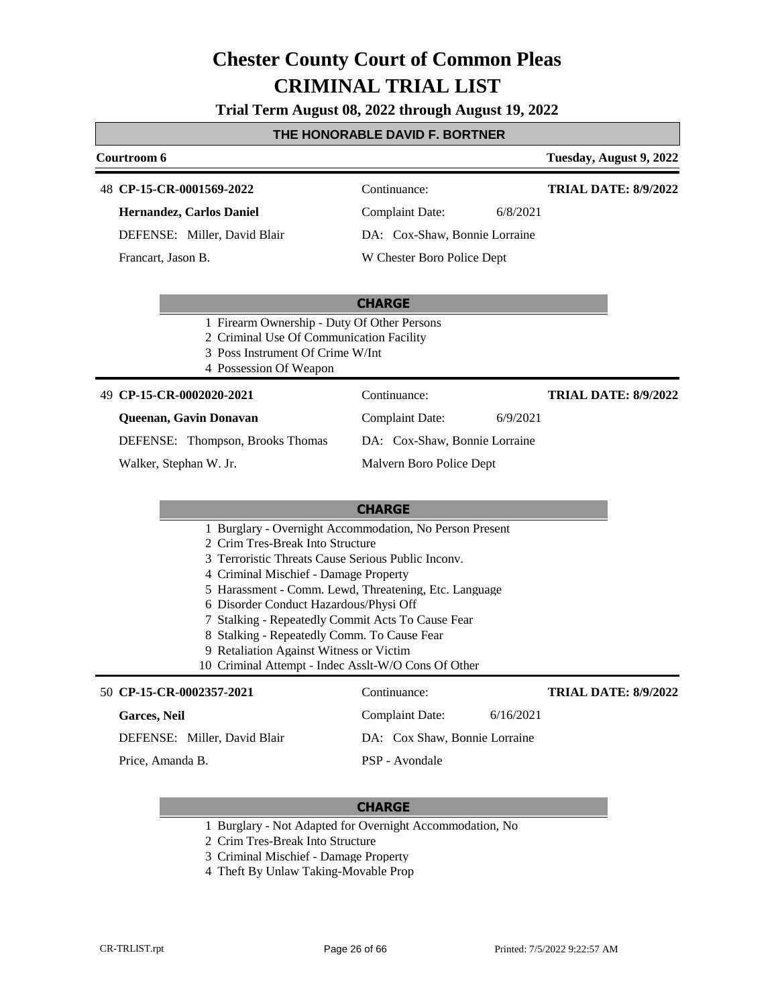**Trial Term August 08, 2022 through August 19, 2022**

#### **THE HONORABLE DAVID F. BORTNER**

| Courtroom 6                  |                               |          | Tuesday, August 9, 2022     |
|------------------------------|-------------------------------|----------|-----------------------------|
| 48 CP-15-CR-0001569-2022     | Continuance:                  |          | <b>TRIAL DATE: 8/9/2022</b> |
| Hernandez, Carlos Daniel     | Complaint Date:               | 6/8/2021 |                             |
| DEFENSE: Miller, David Blair | DA: Cox-Shaw, Bonnie Lorraine |          |                             |
| Francart, Jason B.           | W Chester Boro Police Dept    |          |                             |

#### **CHARGE**

- 1 Firearm Ownership Duty Of Other Persons
- 2 Criminal Use Of Communication Facility
- 3 Poss Instrument Of Crime W/Int
- 4 Possession Of Weapon

#### **CP-15-CR-0002020-2021** 49 Continuance:

#### **Queenan, Gavin Donavan**

DEFENSE: Thompson, Brooks Thomas

Walker, Stephan W. Jr.

Malvern Boro Police Dept

Complaint Date: 6/9/2021 DA: Cox-Shaw, Bonnie Lorraine

#### **CHARGE**

- 1 Burglary Overnight Accommodation, No Person Present
- 2 Crim Tres-Break Into Structure
- 3 Terroristic Threats Cause Serious Public Inconv.
- 4 Criminal Mischief Damage Property
- 5 Harassment Comm. Lewd, Threatening, Etc. Language
- 6 Disorder Conduct Hazardous/Physi Off
- 7 Stalking Repeatedly Commit Acts To Cause Fear
- 8 Stalking Repeatedly Comm. To Cause Fear
- 9 Retaliation Against Witness or Victim
- 10 Criminal Attempt Indec Asslt-W/O Cons Of Other

### **CP-15-CR-0002357-2021**

| 50 CP-15-CR-0002357-2021     | Continuance:                  |           | <b>TRIAL DATE: 8/9/2022</b> |
|------------------------------|-------------------------------|-----------|-----------------------------|
| <b>Garces, Neil</b>          | Complaint Date:               | 6/16/2021 |                             |
| DEFENSE: Miller, David Blair | DA: Cox Shaw, Bonnie Lorraine |           |                             |
| Price, Amanda B.             | PSP - Avondale                |           |                             |

#### **CHARGE**

- 1 Burglary Not Adapted for Overnight Accommodation, No
- 2 Crim Tres-Break Into Structure
- 3 Criminal Mischief Damage Property
- 4 Theft By Unlaw Taking-Movable Prop

**TRIAL DATE: 8/9/2022**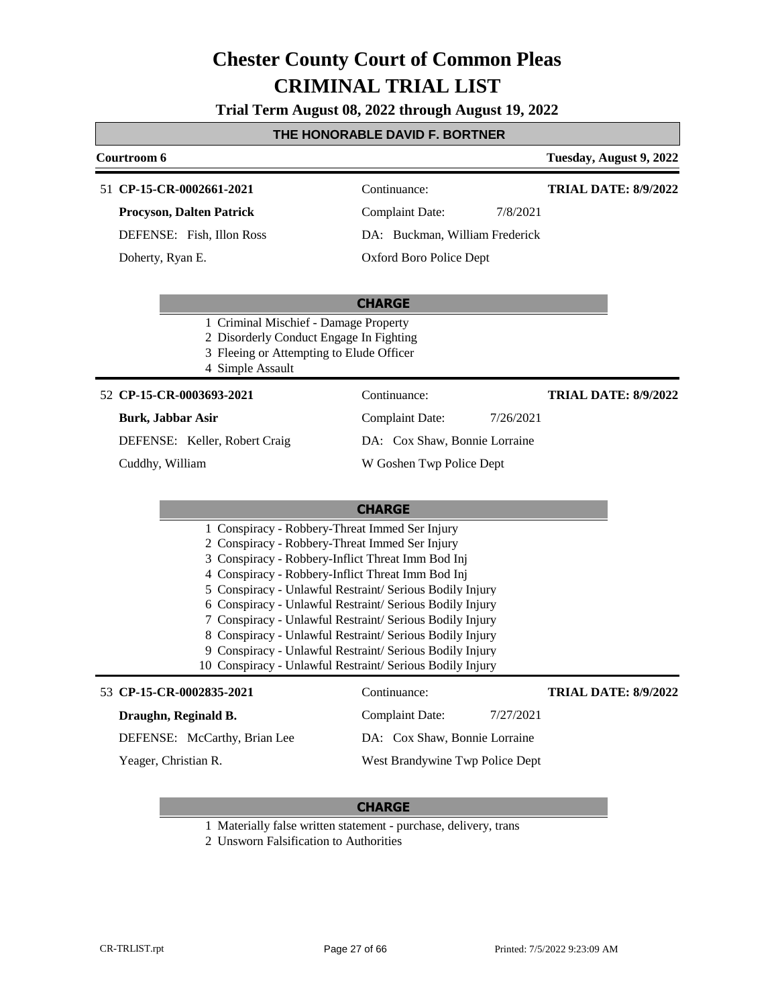**Trial Term August 08, 2022 through August 19, 2022**

#### **THE HONORABLE DAVID F. BORTNER**

#### **Courtroom 6 Tuesday, August 9, 2022 CP-15-CR-0002661-2021** 51 Continuance: **Procyson, Dalten Patrick** Complaint Date: 7/8/2021 **TRIAL DATE: 8/9/2022**

DEFENSE: Fish, Illon Ross

Doherty, Ryan E.

DA: Buckman, William Frederick

Oxford Boro Police Dept

#### **CHARGE**

- 1 Criminal Mischief Damage Property
- 2 Disorderly Conduct Engage In Fighting
- 3 Fleeing or Attempting to Elude Officer
- 4 Simple Assault

#### **CP-15-CR-0003693-2021** 52 Continuance:

#### **Burk, Jabbar Asir**

DEFENSE: Keller, Robert Craig

Cuddhy, William

**TRIAL DATE: 8/9/2022**

DA: Cox Shaw, Bonnie Lorraine

Complaint Date: 7/26/2021

W Goshen Twp Police Dept

### **CHARGE**

| <b>CIPANEE</b>                                          |
|---------------------------------------------------------|
| 1 Conspiracy - Robbery-Threat Immed Ser Injury          |
| 2 Conspiracy - Robbery-Threat Immed Ser Injury          |
| 3 Conspiracy - Robbery-Inflict Threat Imm Bod Inj       |
| 4 Conspiracy - Robbery-Inflict Threat Imm Bod Inj       |
| 5 Conspiracy - Unlawful Restraint/Serious Bodily Injury |
| 6 Conspiracy - Unlawful Restraint/Serious Bodily Injury |
| 7 Conspiracy - Unlawful Restraint/Serious Bodily Injury |
| 8 Conspiracy - Unlawful Restraint/Serious Bodily Injury |

- 9 Conspiracy Unlawful Restraint/ Serious Bodily Injury
- 10 Conspiracy Unlawful Restraint/ Serious Bodily Injury

#### 53 **CP-15-CR-0002835-2021** Continuance:

### **TRIAL DATE: 8/9/2022**

| Draughn, Reginald B.         | 7/27/2021<br>Complaint Date:    |
|------------------------------|---------------------------------|
| DEFENSE: McCarthy, Brian Lee | DA: Cox Shaw, Bonnie Lorraine   |
| Yeager, Christian R.         | West Brandywine Twp Police Dept |

- 1 Materially false written statement purchase, delivery, trans
- 2 Unsworn Falsification to Authorities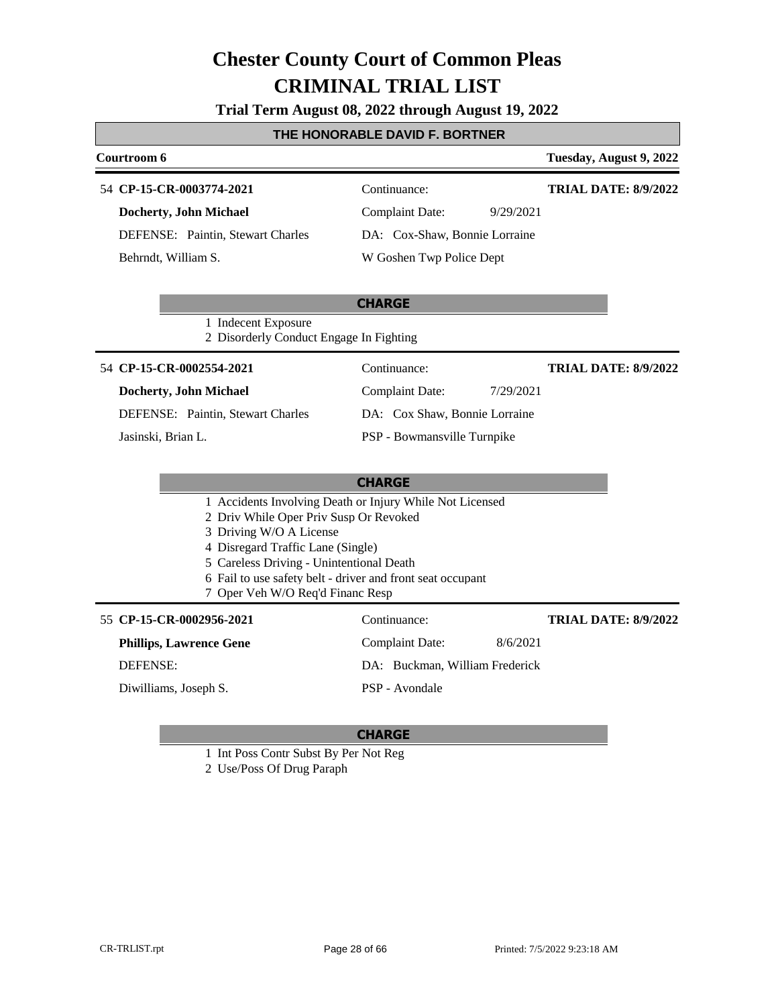**Trial Term August 08, 2022 through August 19, 2022**

### **THE HONORABLE DAVID F. BORTNER**

| Courtroom 6                                                                                                                                                                                                                                          |                                                          | Tuesday, August 9, 2022     |
|------------------------------------------------------------------------------------------------------------------------------------------------------------------------------------------------------------------------------------------------------|----------------------------------------------------------|-----------------------------|
| 54 CP-15-CR-0003774-2021                                                                                                                                                                                                                             | Continuance:                                             | <b>TRIAL DATE: 8/9/2022</b> |
| <b>Docherty, John Michael</b>                                                                                                                                                                                                                        | <b>Complaint Date:</b><br>9/29/2021                      |                             |
| DEFENSE: Paintin, Stewart Charles                                                                                                                                                                                                                    | DA: Cox-Shaw, Bonnie Lorraine                            |                             |
| Behrndt, William S.                                                                                                                                                                                                                                  | W Goshen Twp Police Dept                                 |                             |
|                                                                                                                                                                                                                                                      | <b>CHARGE</b>                                            |                             |
| 1 Indecent Exposure<br>2 Disorderly Conduct Engage In Fighting                                                                                                                                                                                       |                                                          |                             |
| 54 CP-15-CR-0002554-2021                                                                                                                                                                                                                             | Continuance:                                             | <b>TRIAL DATE: 8/9/2022</b> |
| Docherty, John Michael                                                                                                                                                                                                                               | <b>Complaint Date:</b><br>7/29/2021                      |                             |
| DEFENSE: Paintin, Stewart Charles                                                                                                                                                                                                                    | DA: Cox Shaw, Bonnie Lorraine                            |                             |
| Jasinski, Brian L.                                                                                                                                                                                                                                   | PSP - Bowmansville Turnpike                              |                             |
|                                                                                                                                                                                                                                                      | <b>CHARGE</b>                                            |                             |
| 2 Driv While Oper Priv Susp Or Revoked<br>3 Driving W/O A License<br>4 Disregard Traffic Lane (Single)<br>5 Careless Driving - Unintentional Death<br>6 Fail to use safety belt - driver and front seat occupant<br>7 Oper Veh W/O Req'd Financ Resp | 1 Accidents Involving Death or Injury While Not Licensed |                             |
| 55 CP-15-CR-0002956-2021                                                                                                                                                                                                                             | Continuance:                                             | <b>TRIAL DATE: 8/9/2022</b> |
| <b>Phillips, Lawrence Gene</b>                                                                                                                                                                                                                       | 8/6/2021<br><b>Complaint Date:</b>                       |                             |
| <b>DEFENSE:</b>                                                                                                                                                                                                                                      | DA: Buckman, William Frederick                           |                             |
| Diwilliams, Joseph S.                                                                                                                                                                                                                                | PSP - Avondale                                           |                             |

- 1 Int Poss Contr Subst By Per Not Reg
- 2 Use/Poss Of Drug Paraph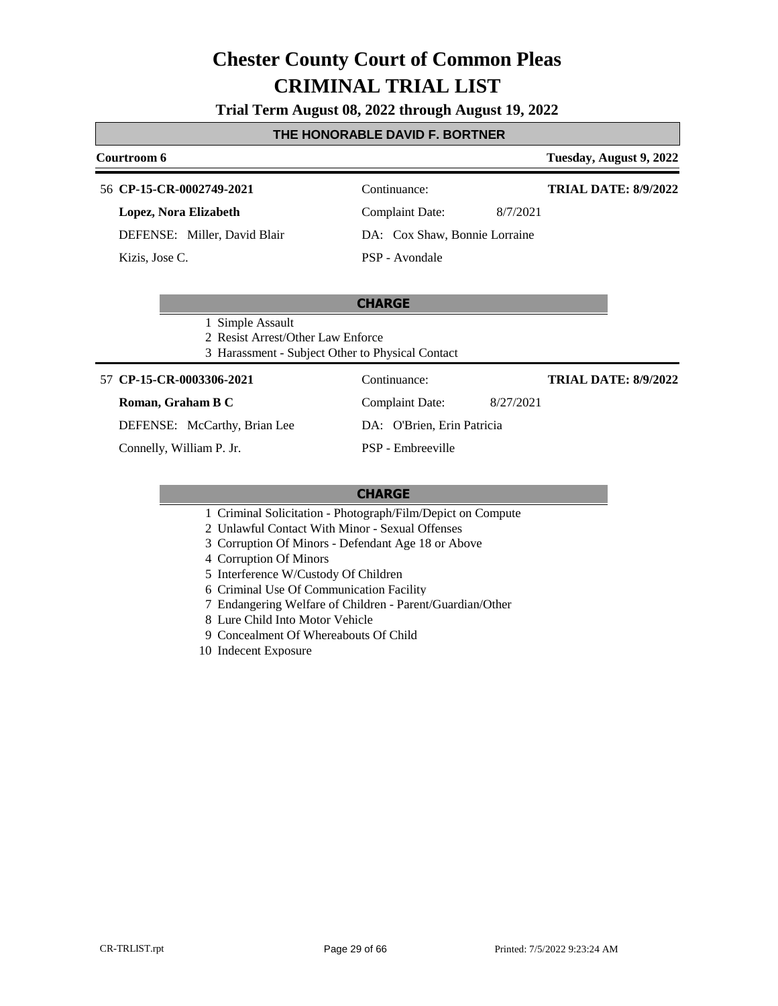#### **Trial Term August 08, 2022 through August 19, 2022**

#### **THE HONORABLE DAVID F. BORTNER**

### **Courtroom 6 Tuesday, August 9, 2022**

#### 56 **CP-15-CR-0002749-2021** Continuance:

**Lopez, Nora Elizabeth**

DEFENSE: Miller, David Blair

Kizis, Jose C.

PSP - Avondale

**TRIAL DATE: 8/9/2022**

Complaint Date: 8/7/2021 DA: Cox Shaw, Bonnie Lorraine

### **CHARGE**

1 Simple Assault

2 Resist Arrest/Other Law Enforce

3 Harassment - Subject Other to Physical Contact

#### **CP-15-CR-0003306-2021** 57 Continuance:

**Roman, Graham B C**

DEFENSE: McCarthy, Brian Lee

Connelly, William P. Jr.

DA: O'Brien, Erin Patricia PSP - Embreeville

#### **CHARGE**

- 1 Criminal Solicitation Photograph/Film/Depict on Compute
- 2 Unlawful Contact With Minor Sexual Offenses
- 3 Corruption Of Minors Defendant Age 18 or Above
- 4 Corruption Of Minors
- 5 Interference W/Custody Of Children
- 6 Criminal Use Of Communication Facility
- 7 Endangering Welfare of Children Parent/Guardian/Other
- 8 Lure Child Into Motor Vehicle
- 9 Concealment Of Whereabouts Of Child
- 10 Indecent Exposure

Complaint Date: 8/27/2021 **TRIAL DATE: 8/9/2022**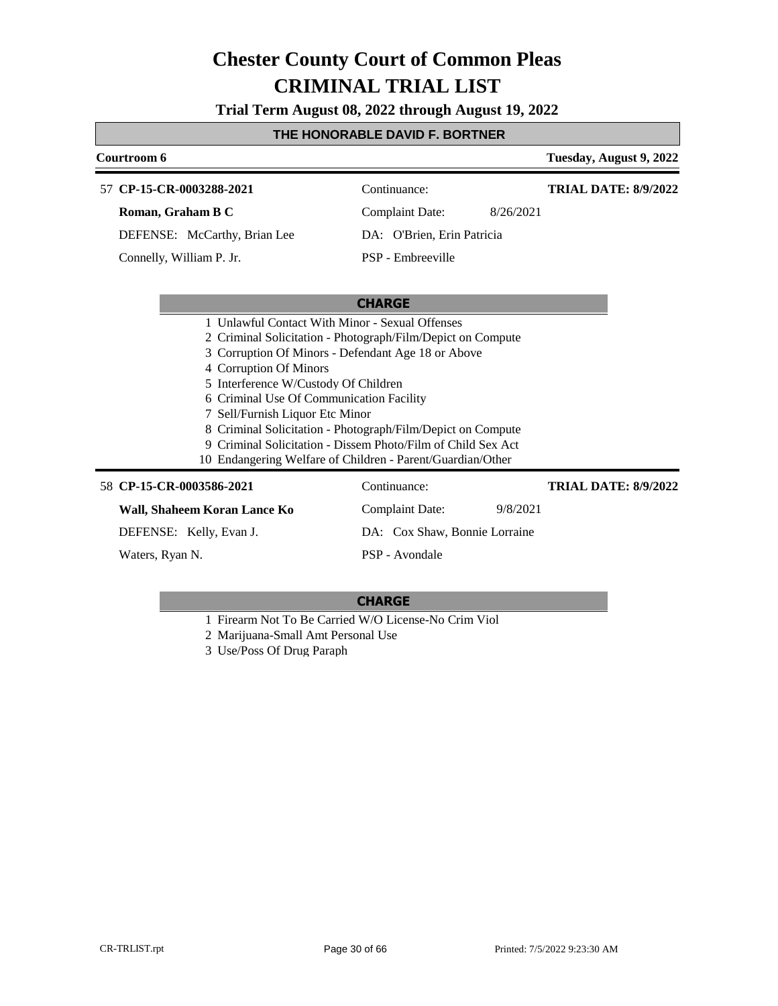**Trial Term August 08, 2022 through August 19, 2022**

### **THE HONORABLE DAVID F. BORTNER**

| Courtroom 6                                                  |                                                             | Tuesday, August 9, 2022     |
|--------------------------------------------------------------|-------------------------------------------------------------|-----------------------------|
| 57 CP-15-CR-0003288-2021                                     | Continuance:                                                | <b>TRIAL DATE: 8/9/2022</b> |
| Roman, Graham B C                                            | 8/26/2021<br><b>Complaint Date:</b>                         |                             |
| DEFENSE: McCarthy, Brian Lee                                 | DA: O'Brien, Erin Patricia                                  |                             |
| Connelly, William P. Jr.                                     | PSP - Embreeville                                           |                             |
|                                                              |                                                             |                             |
|                                                              | <b>CHARGE</b>                                               |                             |
| 1 Unlawful Contact With Minor - Sexual Offenses              |                                                             |                             |
| 2 Criminal Solicitation - Photograph/Film/Depict on Compute  |                                                             |                             |
| 3 Corruption Of Minors - Defendant Age 18 or Above           |                                                             |                             |
| 4 Corruption Of Minors                                       |                                                             |                             |
| 5 Interference W/Custody Of Children                         |                                                             |                             |
| 6 Criminal Use Of Communication Facility                     |                                                             |                             |
| 7 Sell/Furnish Liquor Etc Minor                              |                                                             |                             |
|                                                              | 8 Criminal Solicitation - Photograph/Film/Depict on Compute |                             |
| 9 Criminal Solicitation - Dissem Photo/Film of Child Sex Act |                                                             |                             |
| 10 Endangering Welfare of Children - Parent/Guardian/Other   |                                                             |                             |
| 58 CP-15-CR-0003586-2021                                     | Continuance:                                                | <b>TRIAL DATE: 8/9/2022</b> |
| Wall, Shaheem Koran Lance Ko                                 | <b>Complaint Date:</b><br>9/8/2021                          |                             |
| DEFENSE: Kelly, Evan J.                                      | DA: Cox Shaw, Bonnie Lorraine                               |                             |

Waters, Ryan N.

**CHARGE**

PSP - Avondale

1 Firearm Not To Be Carried W/O License-No Crim Viol

2 Marijuana-Small Amt Personal Use

3 Use/Poss Of Drug Paraph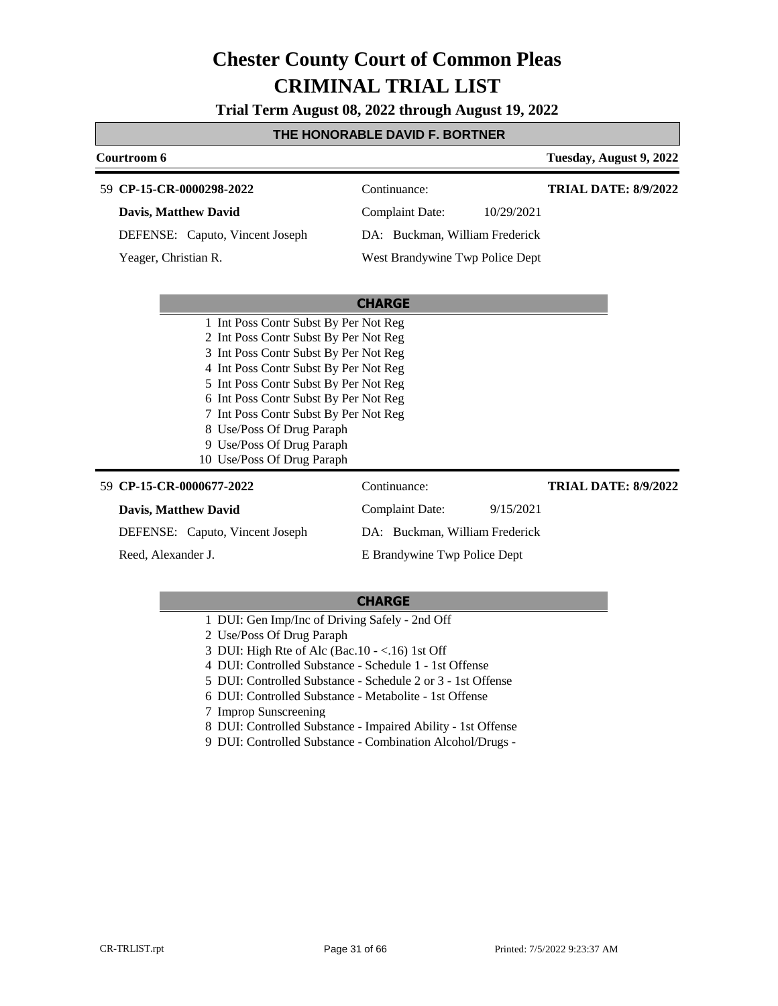**Trial Term August 08, 2022 through August 19, 2022**

### **THE HONORABLE DAVID F. BORTNER**

| Courtroom 6                     | Tuesday, August 9, 2022         |                             |
|---------------------------------|---------------------------------|-----------------------------|
| 59 CP-15-CR-0000298-2022        | Continuance:                    | <b>TRIAL DATE: 8/9/2022</b> |
| <b>Davis, Matthew David</b>     | Complaint Date:                 | 10/29/2021                  |
| DEFENSE: Caputo, Vincent Joseph | DA: Buckman, William Frederick  |                             |
| Yeager, Christian R.            | West Brandywine Twp Police Dept |                             |

|                                       | <b>CHARGE</b>                  |           |                             |
|---------------------------------------|--------------------------------|-----------|-----------------------------|
| 1 Int Poss Contr Subst By Per Not Reg |                                |           |                             |
| 2 Int Poss Contr Subst By Per Not Reg |                                |           |                             |
| 3 Int Poss Contr Subst By Per Not Reg |                                |           |                             |
| 4 Int Poss Contr Subst By Per Not Reg |                                |           |                             |
| 5 Int Poss Contr Subst By Per Not Reg |                                |           |                             |
| 6 Int Poss Contr Subst By Per Not Reg |                                |           |                             |
| 7 Int Poss Contr Subst By Per Not Reg |                                |           |                             |
| 8 Use/Poss Of Drug Paraph             |                                |           |                             |
| 9 Use/Poss Of Drug Paraph             |                                |           |                             |
| 10 Use/Poss Of Drug Paraph            |                                |           |                             |
| 59 CP-15-CR-0000677-2022              | Continuance:                   |           | <b>TRIAL DATE: 8/9/2022</b> |
| <b>Davis, Matthew David</b>           | Complaint Date:                | 9/15/2021 |                             |
| DEFENSE: Caputo, Vincent Joseph       | DA: Buckman, William Frederick |           |                             |
| Reed, Alexander J.                    | E Brandywine Twp Police Dept   |           |                             |

- 1 DUI: Gen Imp/Inc of Driving Safely 2nd Off
- 2 Use/Poss Of Drug Paraph
- 3 DUI: High Rte of Alc (Bac.10 <.16) 1st Off
- 4 DUI: Controlled Substance Schedule 1 1st Offense
- 5 DUI: Controlled Substance Schedule 2 or 3 1st Offense
- 6 DUI: Controlled Substance Metabolite 1st Offense
- 7 Improp Sunscreening
- 8 DUI: Controlled Substance Impaired Ability 1st Offense
- 9 DUI: Controlled Substance Combination Alcohol/Drugs -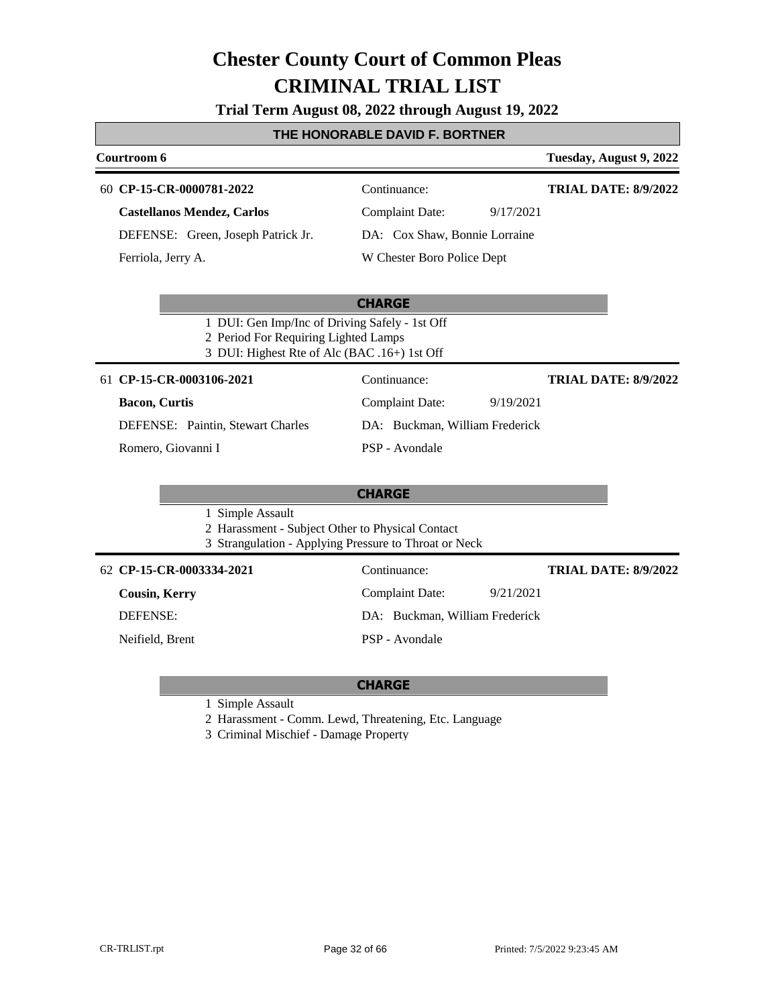**Trial Term August 08, 2022 through August 19, 2022**

#### **THE HONORABLE DAVID F. BORTNER**

| Courtroom 6                        |                               | Tuesday, August 9, 2022     |
|------------------------------------|-------------------------------|-----------------------------|
| 60 CP-15-CR-0000781-2022           | Continuance:                  | <b>TRIAL DATE: 8/9/2022</b> |
| <b>Castellanos Mendez, Carlos</b>  | Complaint Date:<br>9/17/2021  |                             |
| DEFENSE: Green, Joseph Patrick Jr. | DA: Cox Shaw, Bonnie Lorraine |                             |
| Ferriola, Jerry A.                 | W Chester Boro Police Dept    |                             |

#### **CHARGE**

- 1 DUI: Gen Imp/Inc of Driving Safely 1st Off
- 2 Period For Requiring Lighted Lamps
- 3 DUI: Highest Rte of Alc (BAC .16+) 1st Off

#### **CP-15-CR-0003106-2021** 61 Continuance:

### **Bacon, Curtis**

DEFENSE: Paintin, Stewart Charles

Romero, Giovanni I

#### **CHARGE**

PSP - Avondale

1 Simple Assault

- 2 Harassment Subject Other to Physical Contact
- 3 Strangulation Applying Pressure to Throat or Neck

#### **CP-15-CR-0003334-2021** 62 Continuance:

**Cousin, Kerry**

DEFENSE:

Neifield, Brent

Complaint Date: 9/21/2021 DA: Buckman, William Frederick PSP - Avondale

Complaint Date: 9/19/2021 DA: Buckman, William Frederick

**TRIAL DATE: 8/9/2022**

**TRIAL DATE: 8/9/2022**

#### **CHARGE**

1 Simple Assault

2 Harassment - Comm. Lewd, Threatening, Etc. Language

3 Criminal Mischief - Damage Property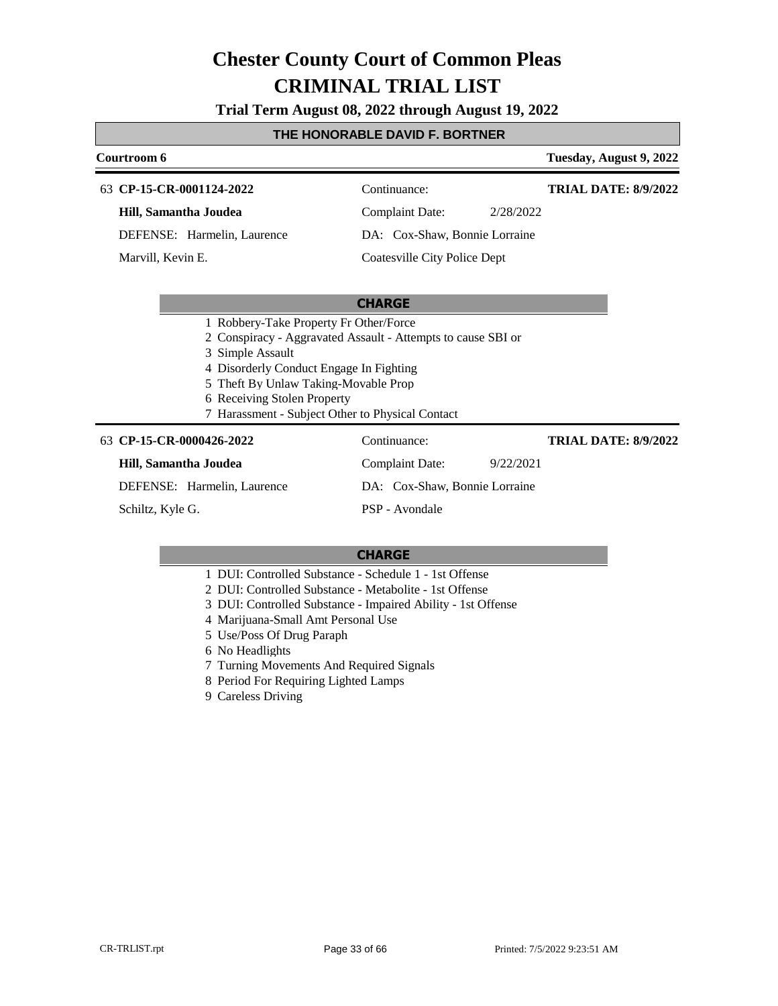**Trial Term August 08, 2022 through August 19, 2022**

#### **THE HONORABLE DAVID F. BORTNER**

#### **Courtroom 6 Tuesday, August 9, 2022 CP-15-CR-0001124-2022** 63 Continuance: **Hill, Samantha Joudea** DEFENSE: Harmelin, Laurence Complaint Date: 2/28/2022 DA: Cox-Shaw, Bonnie Lorraine Coatesville City Police Dept **TRIAL DATE: 8/9/2022** Marvill, Kevin E.

#### **CHARGE**

- 1 Robbery-Take Property Fr Other/Force
- 2 Conspiracy Aggravated Assault Attempts to cause SBI or

3 Simple Assault

- 4 Disorderly Conduct Engage In Fighting
- 5 Theft By Unlaw Taking-Movable Prop
- 6 Receiving Stolen Property
- 7 Harassment Subject Other to Physical Contact

#### **CP-15-CR-0000426-2022** 63 Continuance: **Hill, Samantha Joudea** DEFENSE: Harmelin, Laurence Complaint Date: 9/22/2021 DA: Cox-Shaw, Bonnie Lorraine PSP - Avondale **TRIAL DATE: 8/9/2022** Schiltz, Kyle G.

- 1 DUI: Controlled Substance Schedule 1 1st Offense
- 2 DUI: Controlled Substance Metabolite 1st Offense
- 3 DUI: Controlled Substance Impaired Ability 1st Offense
- 4 Marijuana-Small Amt Personal Use
- 5 Use/Poss Of Drug Paraph
- 6 No Headlights
- 7 Turning Movements And Required Signals
- 8 Period For Requiring Lighted Lamps
- 9 Careless Driving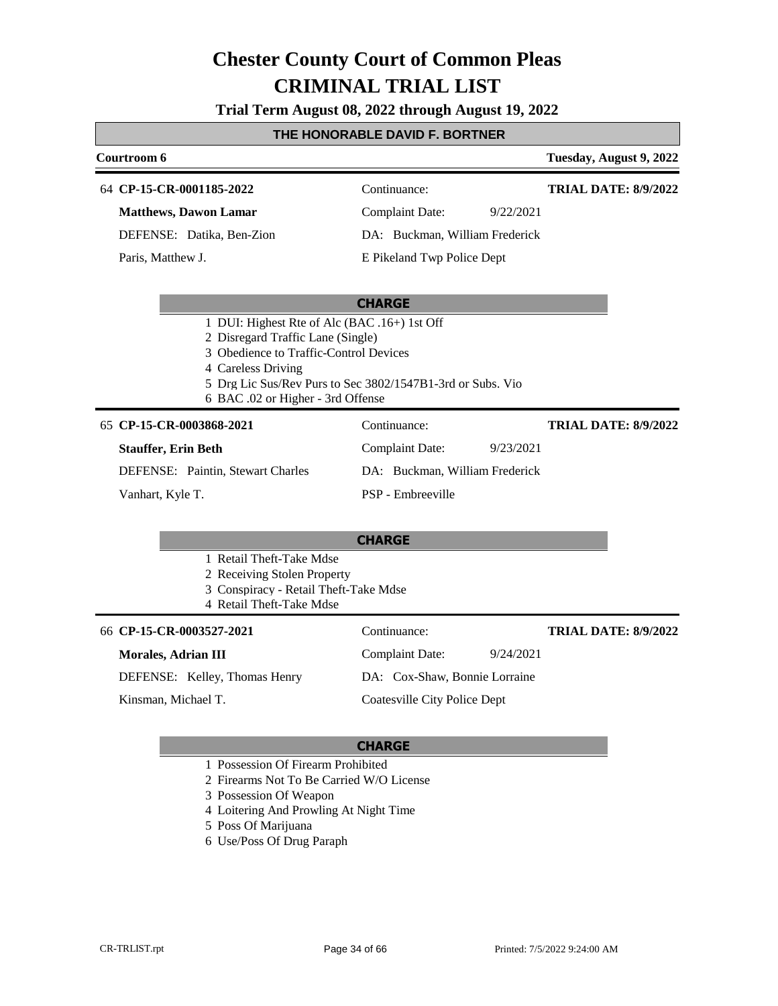**Trial Term August 08, 2022 through August 19, 2022**

#### **THE HONORABLE DAVID F. BORTNER**

| Courtroom 6                  |                                | Tuesday, August 9, 2022     |
|------------------------------|--------------------------------|-----------------------------|
| 64 CP-15-CR-0001185-2022     | Continuance:                   | <b>TRIAL DATE: 8/9/2022</b> |
| <b>Matthews, Dawon Lamar</b> | Complaint Date:<br>9/22/2021   |                             |
| DEFENSE: Datika, Ben-Zion    | DA: Buckman, William Frederick |                             |
| Paris, Matthew J.            | E Pikeland Twp Police Dept     |                             |

#### **CHARGE**

- 1 DUI: Highest Rte of Alc (BAC .16+) 1st Off
- 2 Disregard Traffic Lane (Single)
- 3 Obedience to Traffic-Control Devices
- 4 Careless Driving
- 5 Drg Lic Sus/Rev Purs to Sec 3802/1547B1-3rd or Subs. Vio
- 6 BAC .02 or Higher 3rd Offense

#### 65 **CP-15-CR-0003868-2021** Continuance:

#### **Stauffer, Erin Beth**

**TRIAL DATE: 8/9/2022**

DEFENSE: Paintin, Stewart Charles

Vanhart, Kyle T.

DA: Buckman, William Frederick PSP - Embreeville

Complaint Date: 9/23/2021

#### **CHARGE**

- 1 Retail Theft-Take Mdse
- 2 Receiving Stolen Property
- 3 Conspiracy Retail Theft-Take Mdse
- 4 Retail Theft-Take Mdse

| 66 CP-15-CR-0003527-2021      | Continuance:                        | <b>TRIAL DATE: 8/9/2022</b> |
|-------------------------------|-------------------------------------|-----------------------------|
| Morales, Adrian III           | 9/24/2021<br><b>Complaint Date:</b> |                             |
| DEFENSE: Kelley, Thomas Henry | DA: Cox-Shaw, Bonnie Lorraine       |                             |
| Kinsman, Michael T.           | Coatesville City Police Dept        |                             |

- 1 Possession Of Firearm Prohibited
- 2 Firearms Not To Be Carried W/O License
- 3 Possession Of Weapon
- 4 Loitering And Prowling At Night Time
- 5 Poss Of Marijuana
- 6 Use/Poss Of Drug Paraph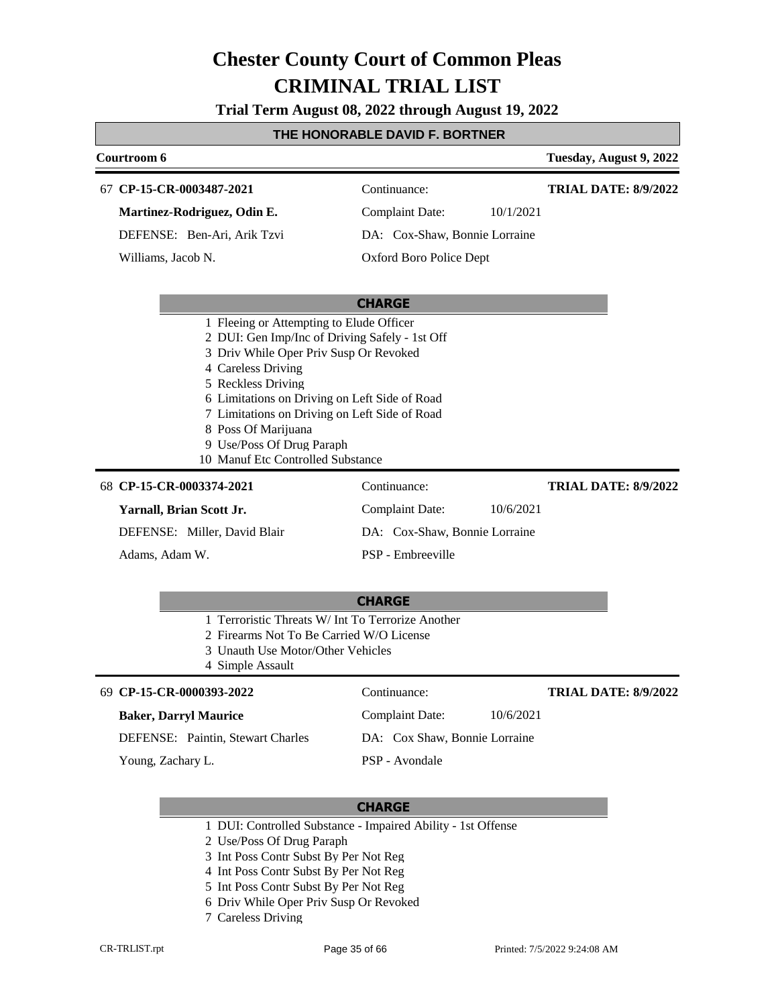**Trial Term August 08, 2022 through August 19, 2022**

### **THE HONORABLE DAVID F. BORTNER**

| Courtroom 6                                                                                                                                                                                                                                                                                                                     |                               | Tuesday, August 9, 2022     |
|---------------------------------------------------------------------------------------------------------------------------------------------------------------------------------------------------------------------------------------------------------------------------------------------------------------------------------|-------------------------------|-----------------------------|
| 67 CP-15-CR-0003487-2021                                                                                                                                                                                                                                                                                                        | Continuance:                  | <b>TRIAL DATE: 8/9/2022</b> |
| Martinez-Rodriguez, Odin E.                                                                                                                                                                                                                                                                                                     | <b>Complaint Date:</b>        | 10/1/2021                   |
| DEFENSE: Ben-Ari, Arik Tzvi                                                                                                                                                                                                                                                                                                     | DA: Cox-Shaw, Bonnie Lorraine |                             |
| Williams, Jacob N.                                                                                                                                                                                                                                                                                                              | Oxford Boro Police Dept       |                             |
|                                                                                                                                                                                                                                                                                                                                 |                               |                             |
|                                                                                                                                                                                                                                                                                                                                 | <b>CHARGE</b>                 |                             |
| 2 DUI: Gen Imp/Inc of Driving Safely - 1st Off<br>3 Driv While Oper Priv Susp Or Revoked<br>4 Careless Driving<br>5 Reckless Driving<br>6 Limitations on Driving on Left Side of Road<br>7 Limitations on Driving on Left Side of Road<br>8 Poss Of Marijuana<br>9 Use/Poss Of Drug Paraph<br>10 Manuf Etc Controlled Substance |                               |                             |
| 68 CP-15-CR-0003374-2021                                                                                                                                                                                                                                                                                                        | Continuance:                  | <b>TRIAL DATE: 8/9/2022</b> |
| Yarnall, Brian Scott Jr.                                                                                                                                                                                                                                                                                                        | <b>Complaint Date:</b>        | 10/6/2021                   |
| DEFENSE: Miller, David Blair                                                                                                                                                                                                                                                                                                    | DA: Cox-Shaw, Bonnie Lorraine |                             |
| Adams, Adam W.                                                                                                                                                                                                                                                                                                                  | PSP - Embreeville             |                             |
|                                                                                                                                                                                                                                                                                                                                 | <b>CUADCE</b>                 |                             |

#### **CHARGE**

- 1 Terroristic Threats W/ Int To Terrorize Another
- 2 Firearms Not To Be Carried W/O License
- 3 Unauth Use Motor/Other Vehicles

4 Simple Assault

| 69 CP-15-CR-0000393-2022                 | Continuance:                  | <b>TRIAL DATE: 8/9/2022</b> |
|------------------------------------------|-------------------------------|-----------------------------|
| <b>Baker, Darryl Maurice</b>             | 10/6/2021<br>Complaint Date:  |                             |
| <b>DEFENSE:</b> Paintin, Stewart Charles | DA: Cox Shaw, Bonnie Lorraine |                             |
| Young, Zachary L.                        | PSP - Avondale                |                             |

- 1 DUI: Controlled Substance Impaired Ability 1st Offense
- 2 Use/Poss Of Drug Paraph
- 3 Int Poss Contr Subst By Per Not Reg
- 4 Int Poss Contr Subst By Per Not Reg
- 5 Int Poss Contr Subst By Per Not Reg
- 6 Driv While Oper Priv Susp Or Revoked
- 7 Careless Driving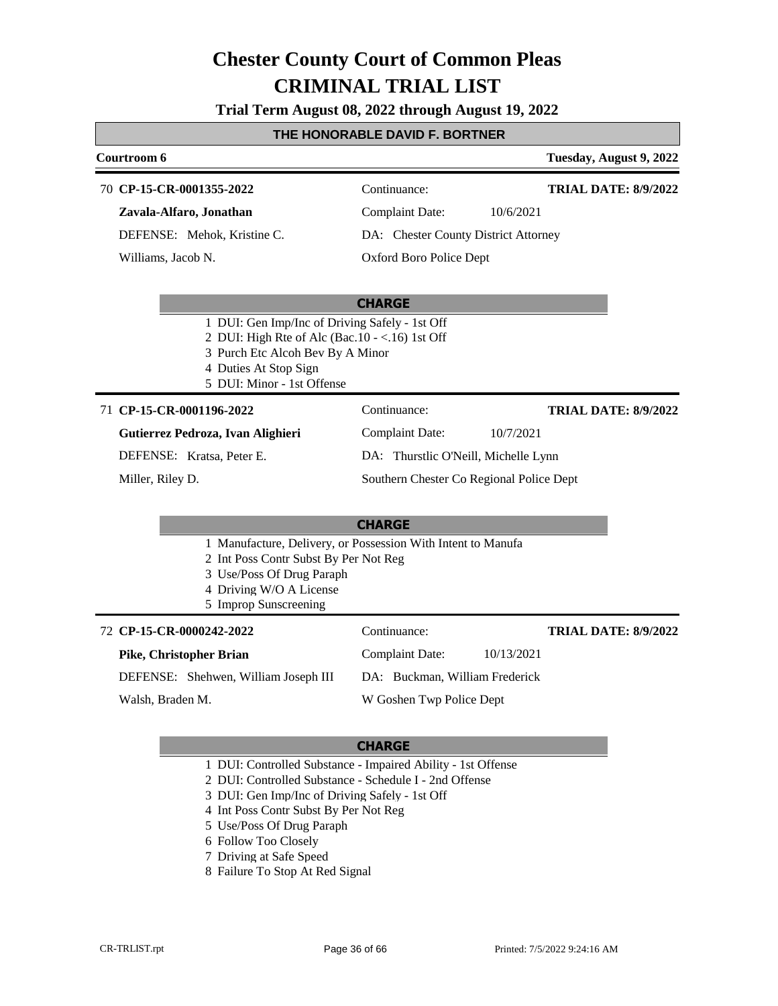**Trial Term August 08, 2022 through August 19, 2022**

#### **THE HONORABLE DAVID F. BORTNER**

### **Courtroom 6 Tuesday, August 9, 2022 CHARGE CP-15-CR-0001355-2022** 70 Continuance: **Zavala-Alfaro, Jonathan** DEFENSE: Mehok, Kristine C. Complaint Date: 10/6/2021 DA: Chester County District Attorney Oxford Boro Police Dept **TRIAL DATE: 8/9/2022** Williams, Jacob N. 1 DUI: Gen Imp/Inc of Driving Safely - 1st Off 2 DUI: High Rte of Alc (Bac.10 - <.16) 1st Off 3 Purch Etc Alcoh Bev By A Minor 4 Duties At Stop Sign 5 DUI: Minor - 1st Offense 71 **CP-15-CR-0001196-2022** Continuance: Complaint Date: 10/7/2021 **TRIAL DATE: 8/9/2022**

#### **Gutierrez Pedroza, Ivan Alighieri**

DEFENSE: Kratsa, Peter E.

Miller, Riley D.

DA: Thurstlic O'Neill, Michelle Lynn

Southern Chester Co Regional Police Dept

### **CHARGE**

- 1 Manufacture, Delivery, or Possession With Intent to Manufa
- 2 Int Poss Contr Subst By Per Not Reg
- 3 Use/Poss Of Drug Paraph
- 4 Driving W/O A License
- 5 Improp Sunscreening

### **CP-15-CR-0000242-2022** 72 Continuance:

### **Pike, Christopher Brian**

DEFENSE: Shehwen, William Joseph III

Walsh, Braden M.

DA: Buckman, William Frederick W Goshen Twp Police Dept

Complaint Date: 10/13/2021

#### **CHARGE**

- 1 DUI: Controlled Substance Impaired Ability 1st Offense
- 2 DUI: Controlled Substance Schedule I 2nd Offense
- 3 DUI: Gen Imp/Inc of Driving Safely 1st Off
- 4 Int Poss Contr Subst By Per Not Reg
- 5 Use/Poss Of Drug Paraph
- 6 Follow Too Closely
- 7 Driving at Safe Speed
- 8 Failure To Stop At Red Signal

**TRIAL DATE: 8/9/2022**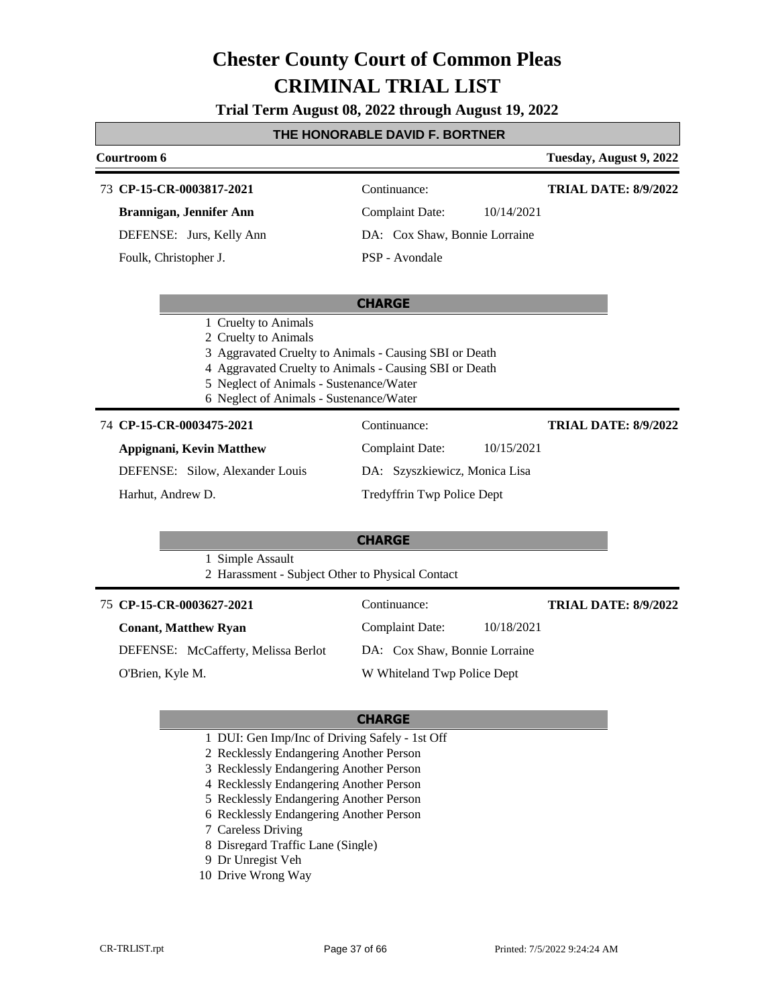**Trial Term August 08, 2022 through August 19, 2022**

#### **THE HONORABLE DAVID F. BORTNER**

|                          | Courtroom 6                                                                                                                                                                                                                                            |                                      | Tuesday, August 9, 2022     |
|--------------------------|--------------------------------------------------------------------------------------------------------------------------------------------------------------------------------------------------------------------------------------------------------|--------------------------------------|-----------------------------|
|                          | 73 CP-15-CR-0003817-2021                                                                                                                                                                                                                               | Continuance:                         | <b>TRIAL DATE: 8/9/2022</b> |
|                          | Brannigan, Jennifer Ann                                                                                                                                                                                                                                | <b>Complaint Date:</b><br>10/14/2021 |                             |
|                          | DEFENSE: Jurs, Kelly Ann                                                                                                                                                                                                                               | DA: Cox Shaw, Bonnie Lorraine        |                             |
|                          | Foulk, Christopher J.                                                                                                                                                                                                                                  | PSP - Avondale                       |                             |
|                          |                                                                                                                                                                                                                                                        | <b>CHARGE</b>                        |                             |
|                          | 1 Cruelty to Animals<br>2 Cruelty to Animals<br>3 Aggravated Cruelty to Animals - Causing SBI or Death<br>4 Aggravated Cruelty to Animals - Causing SBI or Death<br>5 Neglect of Animals - Sustenance/Water<br>6 Neglect of Animals - Sustenance/Water |                                      |                             |
| 74 CP-15-CR-0003475-2021 |                                                                                                                                                                                                                                                        | Continuance:                         | <b>TRIAL DATE: 8/9/2022</b> |
|                          | Appignani, Kevin Matthew                                                                                                                                                                                                                               | <b>Complaint Date:</b><br>10/15/2021 |                             |
|                          | DEFENSE: Silow, Alexander Louis                                                                                                                                                                                                                        | DA: Szyszkiewicz, Monica Lisa        |                             |
|                          | Harhut, Andrew D.                                                                                                                                                                                                                                      | Tredyffrin Twp Police Dept           |                             |
|                          |                                                                                                                                                                                                                                                        | <b>CHARGE</b>                        |                             |
|                          | 1 Simple Assault<br>2 Harassment - Subject Other to Physical Contact                                                                                                                                                                                   |                                      |                             |
|                          | 75 CP-15-CR-0003627-2021                                                                                                                                                                                                                               | Continuance:                         | <b>TRIAL DATE: 8/9/2022</b> |
|                          | <b>Conant, Matthew Ryan</b>                                                                                                                                                                                                                            | 10/18/2021<br>Complaint Date:        |                             |
|                          | DEFENSE: McCafferty, Melissa Berlot                                                                                                                                                                                                                    | DA: Cox Shaw, Bonnie Lorraine        |                             |
|                          | O'Brien, Kyle M.                                                                                                                                                                                                                                       | W Whiteland Twp Police Dept          |                             |

- 1 DUI: Gen Imp/Inc of Driving Safely 1st Off
- 2 Recklessly Endangering Another Person
- 3 Recklessly Endangering Another Person
- 4 Recklessly Endangering Another Person
- 5 Recklessly Endangering Another Person
- 6 Recklessly Endangering Another Person
- 7 Careless Driving
- 8 Disregard Traffic Lane (Single)
- 9 Dr Unregist Veh
- 10 Drive Wrong Way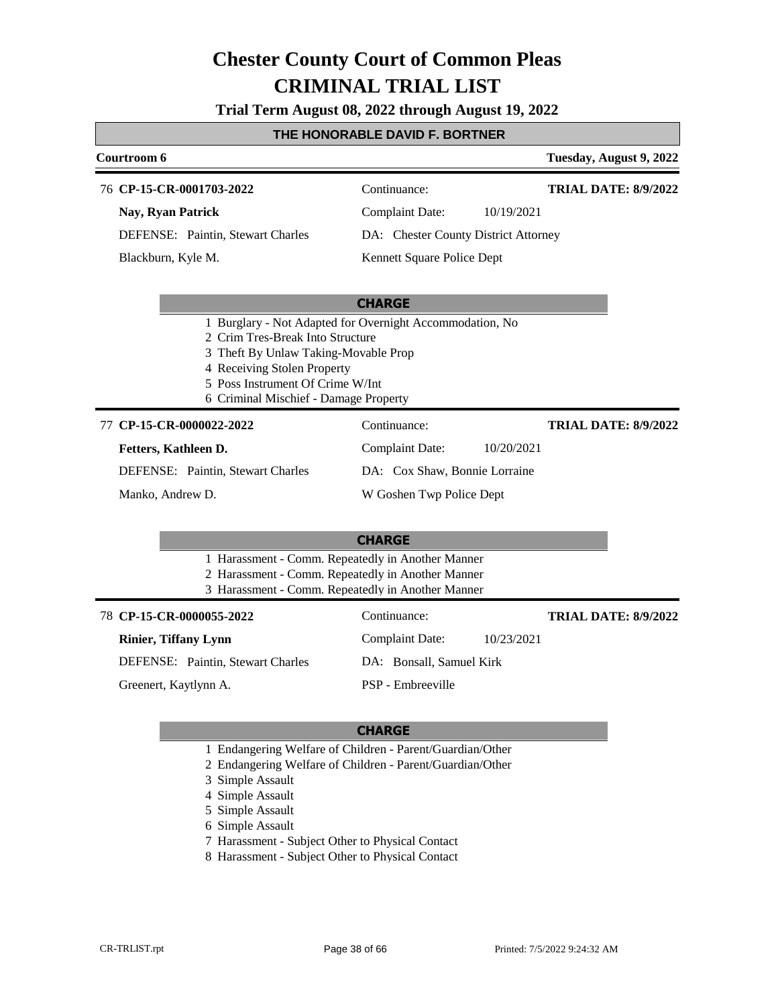**Trial Term August 08, 2022 through August 19, 2022**

### **THE HONORABLE DAVID F. BORTNER**

| Courtroom 6                                                                                            |                                                          | Tuesday, August 9, 2022     |
|--------------------------------------------------------------------------------------------------------|----------------------------------------------------------|-----------------------------|
| 76 CP-15-CR-0001703-2022                                                                               | Continuance:                                             | <b>TRIAL DATE: 8/9/2022</b> |
| Nay, Ryan Patrick                                                                                      | <b>Complaint Date:</b><br>10/19/2021                     |                             |
| DEFENSE: Paintin, Stewart Charles                                                                      | DA: Chester County District Attorney                     |                             |
| Blackburn, Kyle M.                                                                                     | Kennett Square Police Dept                               |                             |
|                                                                                                        |                                                          |                             |
|                                                                                                        | <b>CHARGE</b>                                            |                             |
| 2 Crim Tres-Break Into Structure                                                                       | 1 Burglary - Not Adapted for Overnight Accommodation, No |                             |
| 3 Theft By Unlaw Taking-Movable Prop                                                                   |                                                          |                             |
| 4 Receiving Stolen Property                                                                            |                                                          |                             |
| 5 Poss Instrument Of Crime W/Int<br>6 Criminal Mischief - Damage Property                              |                                                          |                             |
| 77 CP-15-CR-0000022-2022                                                                               | Continuance:                                             | <b>TRIAL DATE: 8/9/2022</b> |
| Fetters, Kathleen D.                                                                                   | <b>Complaint Date:</b><br>10/20/2021                     |                             |
| DEFENSE: Paintin, Stewart Charles                                                                      | DA: Cox Shaw, Bonnie Lorraine                            |                             |
| Manko, Andrew D.                                                                                       | W Goshen Twp Police Dept                                 |                             |
|                                                                                                        |                                                          |                             |
|                                                                                                        | <b>CHARGE</b>                                            |                             |
| 1 Harassment - Comm. Repeatedly in Another Manner<br>2 Harassment - Comm. Repeatedly in Another Manner |                                                          |                             |
| 3 Harassment - Comm. Repeatedly in Another Manner                                                      |                                                          |                             |
| 78 CP-15-CR-0000055-2022                                                                               | Continuance:                                             | <b>TRIAL DATE: 8/9/2022</b> |
| <b>Rinier, Tiffany Lynn</b>                                                                            | <b>Complaint Date:</b><br>10/23/2021                     |                             |
| DEFENSE: Paintin, Stewart Charles                                                                      | DA: Bonsall, Samuel Kirk                                 |                             |
| Greenert, Kaytlynn A.                                                                                  | PSP - Embreeville                                        |                             |
|                                                                                                        |                                                          |                             |

- 1 Endangering Welfare of Children Parent/Guardian/Other
- 2 Endangering Welfare of Children Parent/Guardian/Other
- 3 Simple Assault
- 4 Simple Assault
- 5 Simple Assault
- 6 Simple Assault
- 7 Harassment Subject Other to Physical Contact
- 8 Harassment Subject Other to Physical Contact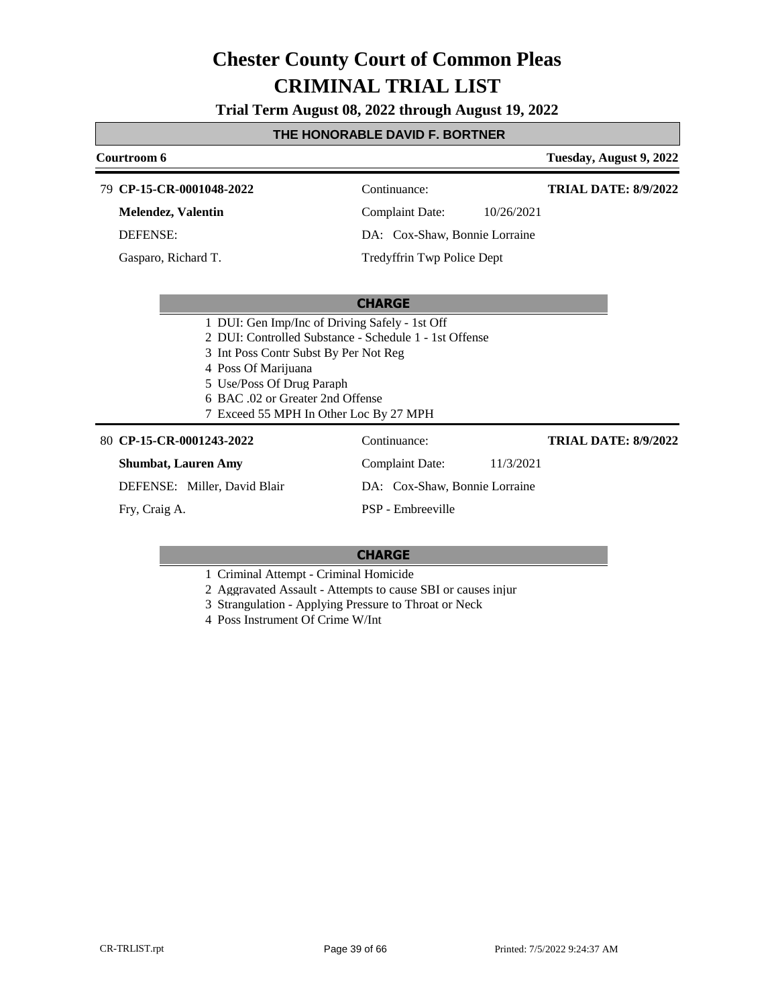**Trial Term August 08, 2022 through August 19, 2022**

### **THE HONORABLE DAVID F. BORTNER**

| Courtroom 6                           |                                                         | Tuesday, August 9, 2022     |
|---------------------------------------|---------------------------------------------------------|-----------------------------|
| 79 CP-15-CR-0001048-2022              | Continuance:                                            | <b>TRIAL DATE: 8/9/2022</b> |
| Melendez, Valentin                    | <b>Complaint Date:</b>                                  | 10/26/2021                  |
| <b>DEFENSE:</b>                       | DA: Cox-Shaw, Bonnie Lorraine                           |                             |
| Gasparo, Richard T.                   | Tredyffrin Twp Police Dept                              |                             |
|                                       |                                                         |                             |
|                                       | <b>CHARGE</b>                                           |                             |
|                                       | 1 DUI: Gen Imp/Inc of Driving Safely - 1st Off          |                             |
|                                       | 2. DUI: Controlled Substance - Schedule 1 - 1st Offense |                             |
| 3 Int Poss Contr Subst By Per Not Reg |                                                         |                             |
| 4 Poss Of Marijuana                   |                                                         |                             |
| 5 Use/Poss Of Drug Paraph             |                                                         |                             |
| 6 BAC .02 or Greater 2nd Offense      |                                                         |                             |
|                                       | 7 Exceed 55 MPH In Other Loc By 27 MPH                  |                             |
| 80 CP-15-CR-0001243-2022              | Continuance:                                            | <b>TRIAL DATE: 8/9/2022</b> |
| <b>Shumbat, Lauren Amy</b>            | <b>Complaint Date:</b>                                  | 11/3/2021                   |
| DEFENSE: Miller, David Blair          | DA: Cox-Shaw, Bonnie Lorraine                           |                             |
| Fry, Craig A.                         | PSP - Embreeville                                       |                             |

- 1 Criminal Attempt Criminal Homicide
- 2 Aggravated Assault Attempts to cause SBI or causes injur
- 3 Strangulation Applying Pressure to Throat or Neck
- 4 Poss Instrument Of Crime W/Int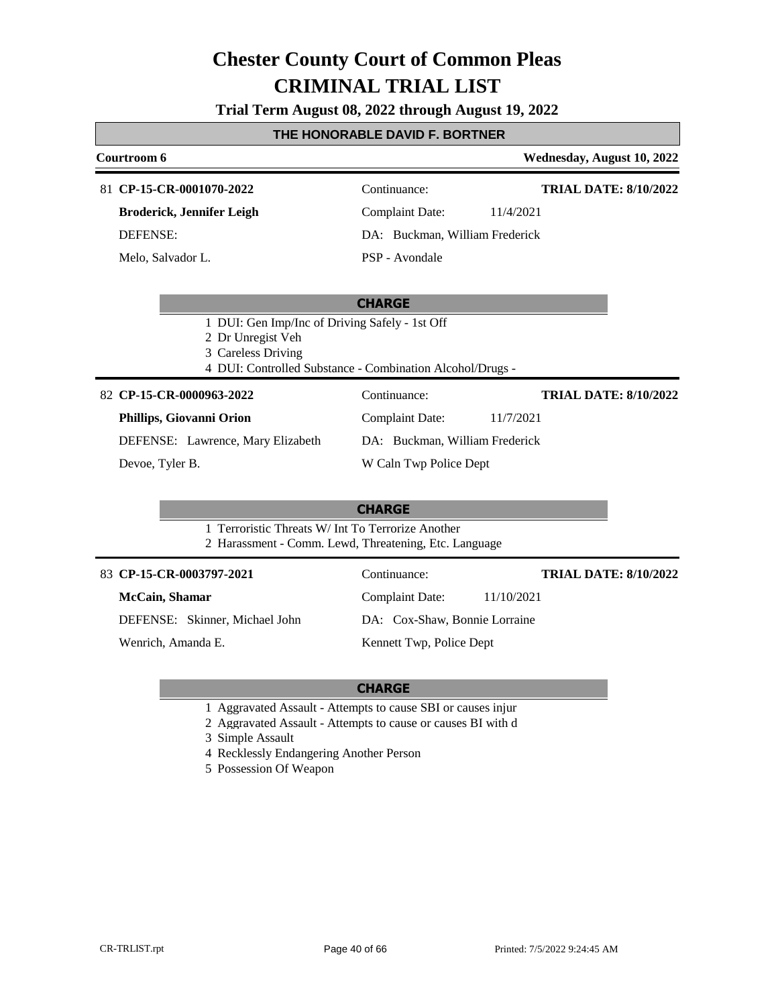**Trial Term August 08, 2022 through August 19, 2022**

#### **THE HONORABLE DAVID F. BORTNER**

| Courtroom 6                      |                                | Wednesday, August 10, 2022   |
|----------------------------------|--------------------------------|------------------------------|
| 81 CP-15-CR-0001070-2022         | Continuance:                   | <b>TRIAL DATE: 8/10/2022</b> |
| <b>Broderick, Jennifer Leigh</b> | Complaint Date:                | 11/4/2021                    |
| <b>DEFENSE:</b>                  | DA: Buckman, William Frederick |                              |
| Melo, Salvador L.                | PSP - Avondale                 |                              |

#### **CHARGE**

- 1 DUI: Gen Imp/Inc of Driving Safely 1st Off
- 2 Dr Unregist Veh
- 3 Careless Driving
- 4 DUI: Controlled Substance Combination Alcohol/Drugs -

#### **CP-15-CR-0000963-2022** 82 Continuance:

#### **Phillips, Giovanni Orion**

DEFENSE: Lawrence, Mary Elizabeth

Devoe, Tyler B.

#### **CHARGE**

- 1 Terroristic Threats W/ Int To Terrorize Another
- 2 Harassment Comm. Lewd, Threatening, Etc. Language

#### 83 **CP-15-CR-0003797-2021** Continuance:

**McCain, Shamar**

DEFENSE: Skinner, Michael John

Wenrich, Amanda E.

Complaint Date: 11/7/2021 DA: Buckman, William Frederick

W Caln Twp Police Dept

#### Kennett Twp, Police Dept

#### **CHARGE**

- 1 Aggravated Assault Attempts to cause SBI or causes injur
- 2 Aggravated Assault Attempts to cause or causes BI with d
- 3 Simple Assault
- 4 Recklessly Endangering Another Person
- 5 Possession Of Weapon

Complaint Date: 11/10/2021 DA: Cox-Shaw, Bonnie Lorraine **TRIAL DATE: 8/10/2022**

**TRIAL DATE: 8/10/2022**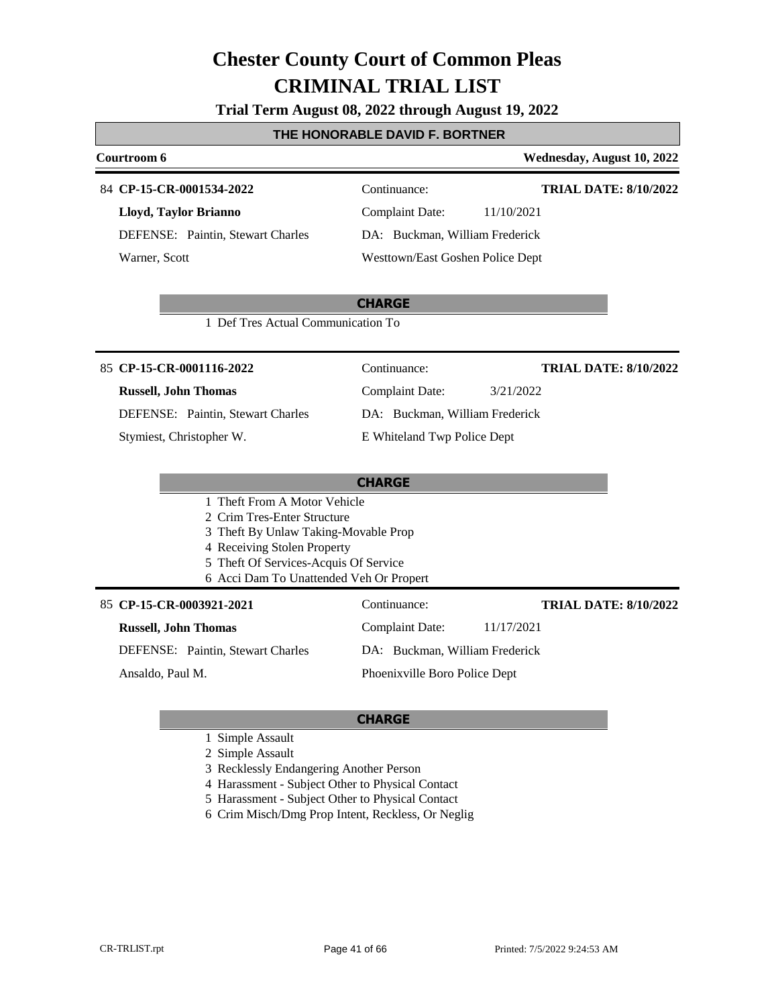**Trial Term August 08, 2022 through August 19, 2022**

#### **THE HONORABLE DAVID F. BORTNER**

### 84 **CP-15-CR-0001534-2022** Continuance:

**Lloyd, Taylor Brianno** DEFENSE: Paintin, Stewart Charles Warner, Scott

### **Courtroom 6 Wednesday, August 10, 2022**

Complaint Date: 11/10/2021 DA: Buckman, William Frederick

**TRIAL DATE: 8/10/2022**

**TRIAL DATE: 8/10/2022**

# Westtown/East Goshen Police Dept

### **CHARGE**

1 Def Tres Actual Communication To

#### 85 **CP-15-CR-0001116-2022** Continuance:

#### **Russell, John Thomas**

DEFENSE: Paintin, Stewart Charles

Stymiest, Christopher W.

| Continuance:                   | <b>TRIAL DATE: 8/10/2022</b> |
|--------------------------------|------------------------------|
| Complaint Date:                | 3/21/2022                    |
| DA: Buckman, William Frederick |                              |
| E Whiteland Twp Police Dept    |                              |
|                                |                              |

#### **CHARGE**

#### 1 Theft From A Motor Vehicle

2 Crim Tres-Enter Structure

- 3 Theft By Unlaw Taking-Movable Prop
- 4 Receiving Stolen Property
- 5 Theft Of Services-Acquis Of Service
- 6 Acci Dam To Unattended Veh Or Propert

#### 85 **CP-15-CR-0003921-2021** Continuance:

### **Russell, John Thomas**

DEFENSE: Paintin, Stewart Charles

Ansaldo, Paul M.

DA: Buckman, William Frederick

Complaint Date: 11/17/2021

#### Phoenixville Boro Police Dept

- 1 Simple Assault
- 2 Simple Assault
- 3 Recklessly Endangering Another Person
- 4 Harassment Subject Other to Physical Contact
- 5 Harassment Subject Other to Physical Contact
- 6 Crim Misch/Dmg Prop Intent, Reckless, Or Neglig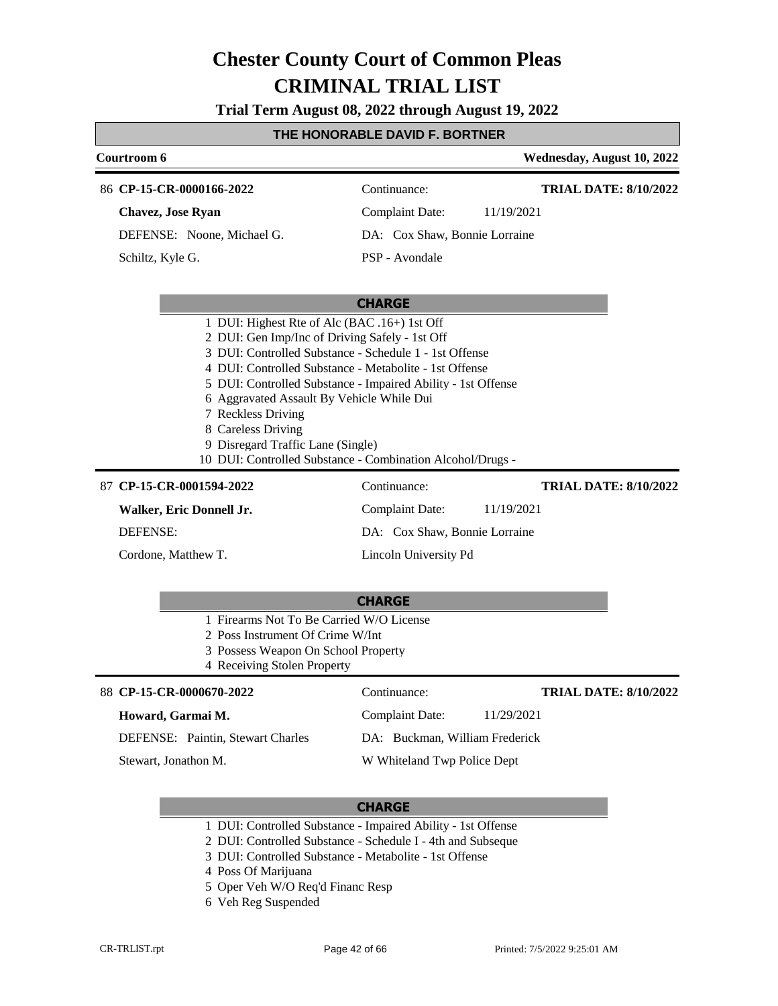**Trial Term August 08, 2022 through August 19, 2022**

### **THE HONORABLE DAVID F. BORTNER**

| Courtroom 6                                                                                                                                                                                                                                                                                                                                                                                                      |                                | Wednesday, August 10, 2022   |
|------------------------------------------------------------------------------------------------------------------------------------------------------------------------------------------------------------------------------------------------------------------------------------------------------------------------------------------------------------------------------------------------------------------|--------------------------------|------------------------------|
| 86 CP-15-CR-0000166-2022                                                                                                                                                                                                                                                                                                                                                                                         | Continuance:                   | <b>TRIAL DATE: 8/10/2022</b> |
| <b>Chavez</b> , Jose Ryan                                                                                                                                                                                                                                                                                                                                                                                        | <b>Complaint Date:</b>         | 11/19/2021                   |
| DEFENSE: Noone, Michael G.                                                                                                                                                                                                                                                                                                                                                                                       | DA: Cox Shaw, Bonnie Lorraine  |                              |
| Schiltz, Kyle G.                                                                                                                                                                                                                                                                                                                                                                                                 | PSP - Avondale                 |                              |
|                                                                                                                                                                                                                                                                                                                                                                                                                  |                                |                              |
|                                                                                                                                                                                                                                                                                                                                                                                                                  | <b>CHARGE</b>                  |                              |
| 1 DUI: Highest Rte of Alc (BAC .16+) 1st Off<br>2 DUI: Gen Imp/Inc of Driving Safely - 1st Off<br>3 DUI: Controlled Substance - Schedule 1 - 1st Offense<br>4 DUI: Controlled Substance - Metabolite - 1st Offense<br>5 DUI: Controlled Substance - Impaired Ability - 1st Offense<br>6 Aggravated Assault By Vehicle While Dui<br>7 Reckless Driving<br>8 Careless Driving<br>9 Disregard Traffic Lane (Single) |                                |                              |
| 10 DUI: Controlled Substance - Combination Alcohol/Drugs -<br>87 CP-15-CR-0001594-2022                                                                                                                                                                                                                                                                                                                           | Continuance:                   | <b>TRIAL DATE: 8/10/2022</b> |
| Walker, Eric Donnell Jr.                                                                                                                                                                                                                                                                                                                                                                                         | <b>Complaint Date:</b>         | 11/19/2021                   |
| <b>DEFENSE:</b>                                                                                                                                                                                                                                                                                                                                                                                                  | DA: Cox Shaw, Bonnie Lorraine  |                              |
| Cordone, Matthew T.                                                                                                                                                                                                                                                                                                                                                                                              | Lincoln University Pd          |                              |
| 1 Firearms Not To Be Carried W/O License<br>2 Poss Instrument Of Crime W/Int<br>3 Possess Weapon On School Property<br>4 Receiving Stolen Property                                                                                                                                                                                                                                                               | <b>CHARGE</b>                  |                              |
| 88 CP-15-CR-0000670-2022                                                                                                                                                                                                                                                                                                                                                                                         | Continuance:                   | <b>TRIAL DATE: 8/10/2022</b> |
| Howard, Garmai M.                                                                                                                                                                                                                                                                                                                                                                                                | <b>Complaint Date:</b>         | 11/29/2021                   |
| <b>DEFENSE:</b> Paintin, Stewart Charles                                                                                                                                                                                                                                                                                                                                                                         | DA: Buckman, William Frederick |                              |

- 1 DUI: Controlled Substance Impaired Ability 1st Offense
- 2 DUI: Controlled Substance Schedule I 4th and Subseque
- 3 DUI: Controlled Substance Metabolite 1st Offense
- 4 Poss Of Marijuana
- 5 Oper Veh W/O Req'd Financ Resp
- 6 Veh Reg Suspended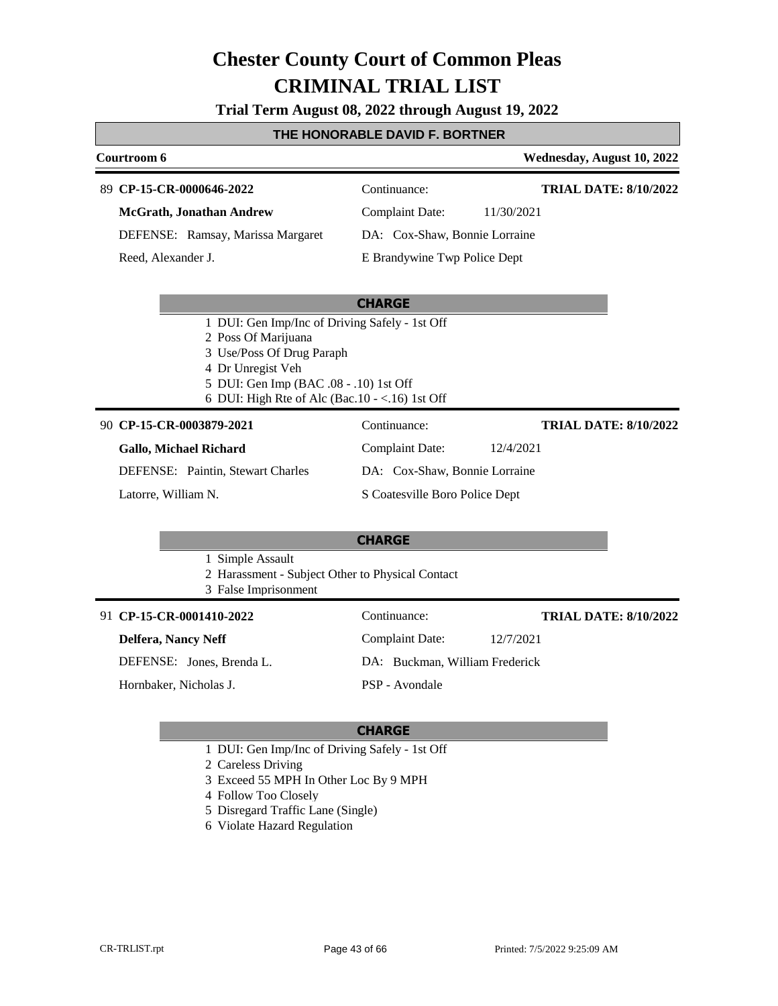**Trial Term August 08, 2022 through August 19, 2022**

#### **THE HONORABLE DAVID F. BORTNER**

#### **Courtroom 6 Wednesday, August 10, 2022 CP-15-CR-0000646-2022** 89 Continuance: **McGrath, Jonathan Andrew** DEFENSE: Ramsay, Marissa Margaret Complaint Date: 11/30/2021 DA: Cox-Shaw, Bonnie Lorraine E Brandywine Twp Police Dept **TRIAL DATE: 8/10/2022** Reed, Alexander J.

#### **CHARGE**

- 1 DUI: Gen Imp/Inc of Driving Safely 1st Off
- 2 Poss Of Marijuana
- 3 Use/Poss Of Drug Paraph
- 4 Dr Unregist Veh
- 5 DUI: Gen Imp (BAC .08 .10) 1st Off
- 6 DUI: High Rte of Alc (Bac.10 <.16) 1st Off

#### **CP-15-CR-0003879-2021** 90 Continuance:

**Gallo, Michael Richard** DEFENSE: Paintin, Stewart Charles Complaint Date: 12/4/2021 DA: Cox-Shaw, Bonnie Lorraine

Latorre, William N.

S Coatesville Boro Police Dept

#### **CHARGE**

- 1 Simple Assault
- 2 Harassment Subject Other to Physical Contact
- 3 False Imprisonment

#### **CP-15-CR-0001410-2022** 91 Continuance:

### **Delfera, Nancy Neff**

DEFENSE: Jones, Brenda L.

Hornbaker, Nicholas J.

Complaint Date: 12/7/2021 DA: Buckman, William Frederick PSP - Avondale

### **CHARGE**

- 1 DUI: Gen Imp/Inc of Driving Safely 1st Off
- 2 Careless Driving
- 3 Exceed 55 MPH In Other Loc By 9 MPH
- 4 Follow Too Closely
- 5 Disregard Traffic Lane (Single)
- 6 Violate Hazard Regulation

**TRIAL DATE: 8/10/2022**

**TRIAL DATE: 8/10/2022**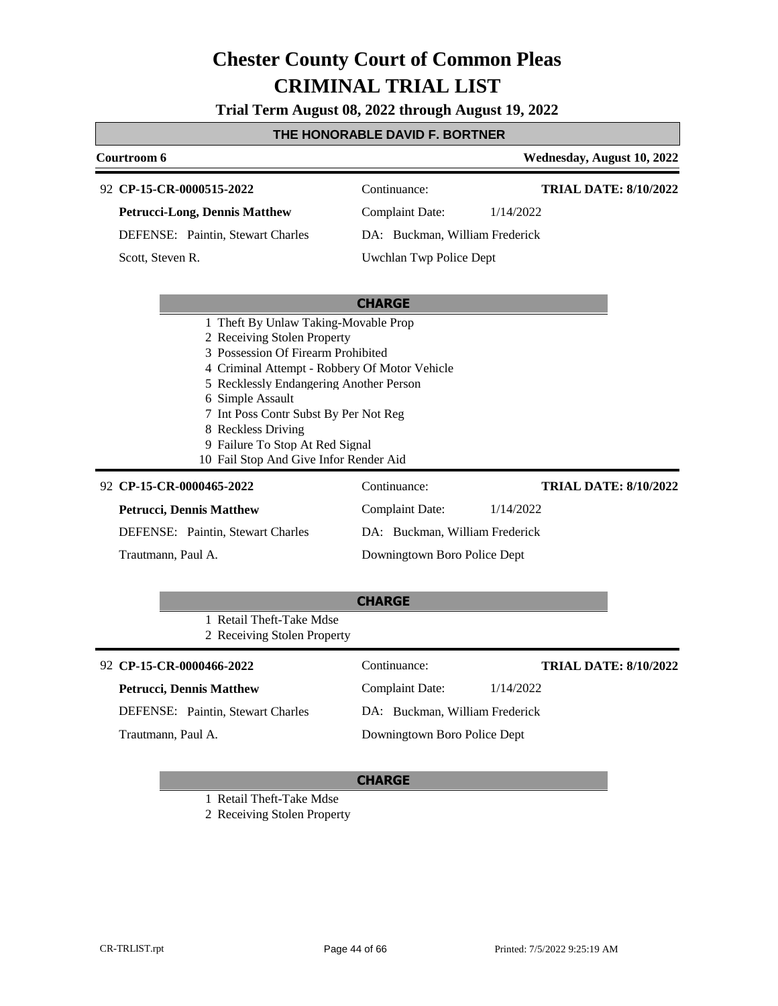**Trial Term August 08, 2022 through August 19, 2022**

### **THE HONORABLE DAVID F. BORTNER**

| Courtroom 6                              |                                | Wednesday, August 10, 2022   |
|------------------------------------------|--------------------------------|------------------------------|
| 92 CP-15-CR-0000515-2022                 | Continuance:                   | <b>TRIAL DATE: 8/10/2022</b> |
| <b>Petrucci-Long, Dennis Matthew</b>     | Complaint Date:                | 1/14/2022                    |
| <b>DEFENSE:</b> Paintin, Stewart Charles | DA: Buckman, William Frederick |                              |
| Scott. Steven R.                         | Uwchlan Twp Police Dept        |                              |
|                                          | <b>CHARGE</b>                  |                              |
| 1 Theft By Unlaw Taking-Movable Prop     |                                |                              |
| 2 Receiving Stolen Property              |                                |                              |

- 3 Possession Of Firearm Prohibited
- 4 Criminal Attempt Robbery Of Motor Vehicle
- 5 Recklessly Endangering Another Person
- 6 Simple Assault
- 7 Int Poss Contr Subst By Per Not Reg
- 8 Reckless Driving
- 9 Failure To Stop At Red Signal
- 10 Fail Stop And Give Infor Render Aid

### **CP-15-CR-0000465-2022** 92 Continuance: **Petrucci, Dennis Matthew**

DEFENSE: Paintin, Stewart Charles

Trautmann, Paul A.

Complaint Date: 1/14/2022 DA: Buckman, William Frederick Downingtown Boro Police Dept

**TRIAL DATE: 8/10/2022**

|                    |                                                         | <b>CHARGE</b>                  |           |                              |
|--------------------|---------------------------------------------------------|--------------------------------|-----------|------------------------------|
|                    | 1 Retail Theft-Take Mdse<br>2 Receiving Stolen Property |                                |           |                              |
|                    | 92 CP-15-CR-0000466-2022                                | Continuance:                   |           | <b>TRIAL DATE: 8/10/2022</b> |
|                    | <b>Petrucci, Dennis Matthew</b>                         | Complaint Date:                | 1/14/2022 |                              |
|                    | <b>DEFENSE:</b> Paintin, Stewart Charles                | DA: Buckman, William Frederick |           |                              |
| Trautmann, Paul A. |                                                         | Downingtown Boro Police Dept   |           |                              |

#### **CHARGE**

1 Retail Theft-Take Mdse

2 Receiving Stolen Property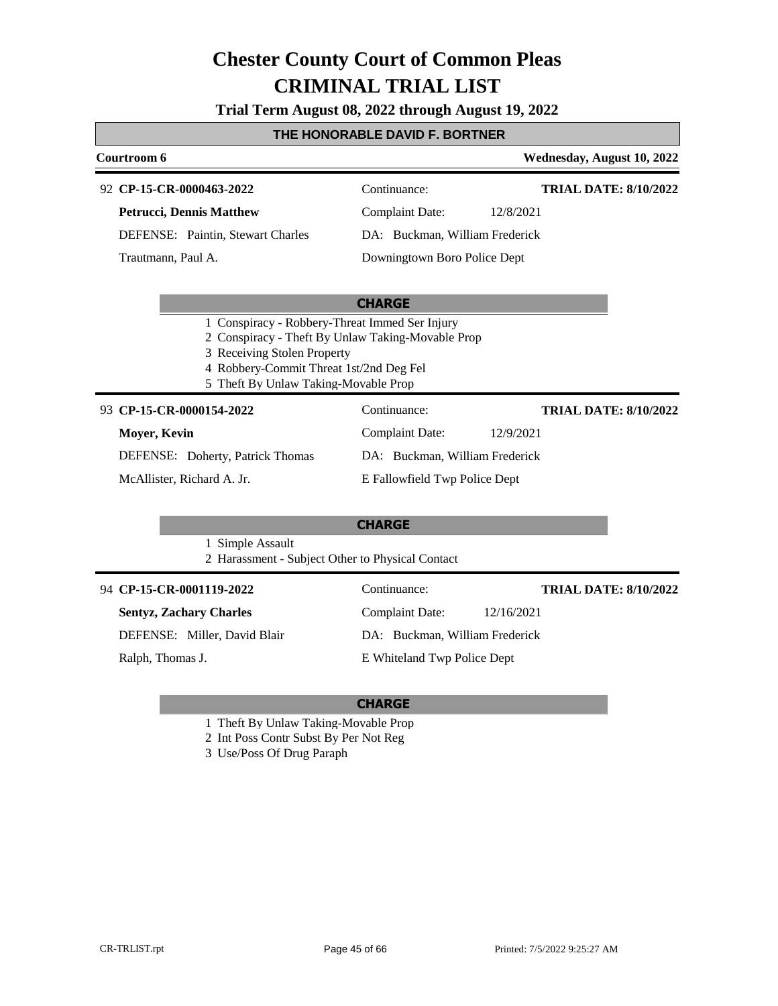**Trial Term August 08, 2022 through August 19, 2022**

#### **THE HONORABLE DAVID F. BORTNER**

| Courtroom 6                              |                                | Wednesday, August 10, 2022   |
|------------------------------------------|--------------------------------|------------------------------|
| 92 CP-15-CR-0000463-2022                 | Continuance:                   | <b>TRIAL DATE: 8/10/2022</b> |
| <b>Petrucci, Dennis Matthew</b>          | Complaint Date:                | 12/8/2021                    |
| <b>DEFENSE:</b> Paintin, Stewart Charles | DA: Buckman, William Frederick |                              |
| Trautmann, Paul A.                       | Downingtown Boro Police Dept   |                              |

#### **CHARGE**

- 1 Conspiracy Robbery-Threat Immed Ser Injury
- 2 Conspiracy Theft By Unlaw Taking-Movable Prop
- 3 Receiving Stolen Property
- 4 Robbery-Commit Threat 1st/2nd Deg Fel
- 5 Theft By Unlaw Taking-Movable Prop

### **CP-15-CR-0000154-2022**

| 93 CP-15-CR-0000154-2022                | Continuance:                   | <b>TRIAL DATE: 8/10/2022</b> |  |
|-----------------------------------------|--------------------------------|------------------------------|--|
| Mover, Kevin                            | Complaint Date:                | 12/9/2021                    |  |
| <b>DEFENSE:</b> Doherty, Patrick Thomas | DA: Buckman, William Frederick |                              |  |
| McAllister, Richard A. Jr.              | E Fallowfield Twp Police Dept  |                              |  |

#### **CHARGE**

- 1 Simple Assault
- 2 Harassment Subject Other to Physical Contact

| 94 CP-15-CR-0001119-2022       | Continuance:                   | <b>TRIAL DATE: 8/10/2022</b> |
|--------------------------------|--------------------------------|------------------------------|
| <b>Sentyz, Zachary Charles</b> | <b>Complaint Date:</b>         | 12/16/2021                   |
| DEFENSE: Miller, David Blair   | DA: Buckman, William Frederick |                              |
| Ralph, Thomas J.               | E Whiteland Twp Police Dept    |                              |

- 1 Theft By Unlaw Taking-Movable Prop
- 2 Int Poss Contr Subst By Per Not Reg
- 3 Use/Poss Of Drug Paraph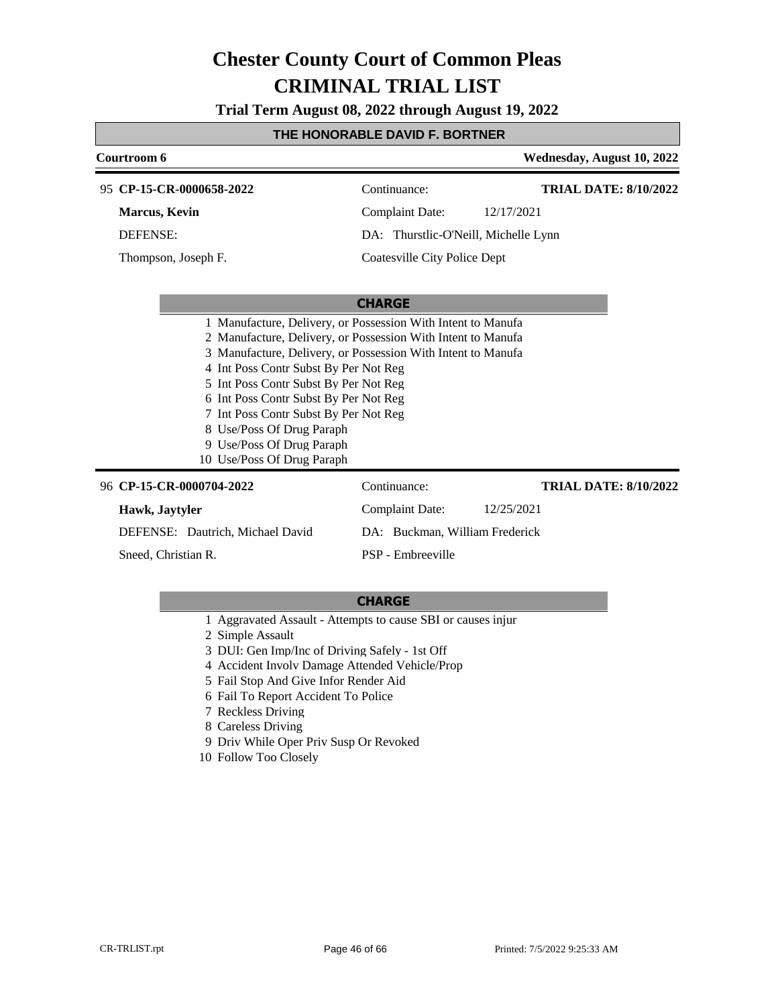**Trial Term August 08, 2022 through August 19, 2022**

### **THE HONORABLE DAVID F. BORTNER**

| Courtroom 6                                                                                                                                                                                                                                                                                                                                                                                                                                              |                                      | Wednesday, August 10, 2022   |
|----------------------------------------------------------------------------------------------------------------------------------------------------------------------------------------------------------------------------------------------------------------------------------------------------------------------------------------------------------------------------------------------------------------------------------------------------------|--------------------------------------|------------------------------|
| 95 CP-15-CR-0000658-2022                                                                                                                                                                                                                                                                                                                                                                                                                                 | Continuance:                         | <b>TRIAL DATE: 8/10/2022</b> |
| <b>Marcus</b> , Kevin                                                                                                                                                                                                                                                                                                                                                                                                                                    | <b>Complaint Date:</b>               | 12/17/2021                   |
| <b>DEFENSE:</b>                                                                                                                                                                                                                                                                                                                                                                                                                                          | DA: Thurstlic-O'Neill, Michelle Lynn |                              |
| Thompson, Joseph F.                                                                                                                                                                                                                                                                                                                                                                                                                                      | Coatesville City Police Dept         |                              |
|                                                                                                                                                                                                                                                                                                                                                                                                                                                          |                                      |                              |
|                                                                                                                                                                                                                                                                                                                                                                                                                                                          | <b>CHARGE</b>                        |                              |
| 1 Manufacture, Delivery, or Possession With Intent to Manufa<br>2 Manufacture, Delivery, or Possession With Intent to Manufa<br>3 Manufacture, Delivery, or Possession With Intent to Manufa<br>4 Int Poss Contr Subst By Per Not Reg<br>5 Int Poss Contr Subst By Per Not Reg<br>6 Int Poss Contr Subst By Per Not Reg<br>7 Int Poss Contr Subst By Per Not Reg<br>8 Use/Poss Of Drug Paraph<br>9 Use/Poss Of Drug Paraph<br>10 Use/Poss Of Drug Paraph |                                      |                              |
| 96 CP-15-CR-0000704-2022                                                                                                                                                                                                                                                                                                                                                                                                                                 | Continuance:                         | <b>TRIAL DATE: 8/10/2022</b> |
| Hawk, Jaytyler                                                                                                                                                                                                                                                                                                                                                                                                                                           | <b>Complaint Date:</b>               | 12/25/2021                   |
| DEFENSE: Dautrich, Michael David                                                                                                                                                                                                                                                                                                                                                                                                                         | DA: Buckman, William Frederick       |                              |

Sneed, Christian R.

#### **CHARGE**

PSP - Embreeville

- 1 Aggravated Assault Attempts to cause SBI or causes injur
- 2 Simple Assault
- 3 DUI: Gen Imp/Inc of Driving Safely 1st Off
- 4 Accident Involv Damage Attended Vehicle/Prop
- 5 Fail Stop And Give Infor Render Aid
- 6 Fail To Report Accident To Police
- 7 Reckless Driving
- 8 Careless Driving
- 9 Driv While Oper Priv Susp Or Revoked
- 10 Follow Too Closely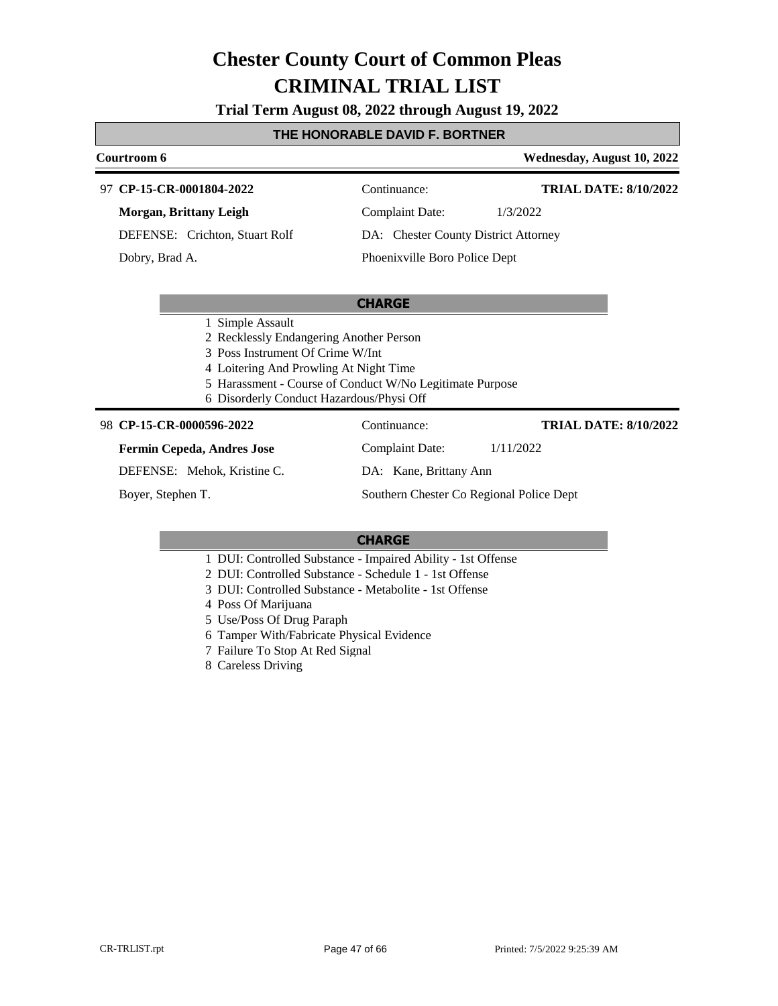**Trial Term August 08, 2022 through August 19, 2022**

#### **THE HONORABLE DAVID F. BORTNER**

#### **Courtroom 6 Wednesday, August 10, 2022 CP-15-CR-0001804-2022** 97 Continuance: **Morgan, Brittany Leigh** DEFENSE: Crichton, Stuart Rolf Complaint Date: 1/3/2022 DA: Chester County District Attorney **TRIAL DATE: 8/10/2022**

Dobry, Brad A.

### Phoenixville Boro Police Dept

#### **CHARGE**

- 1 Simple Assault
- 2 Recklessly Endangering Another Person
- 3 Poss Instrument Of Crime W/Int
- 4 Loitering And Prowling At Night Time
- 5 Harassment Course of Conduct W/No Legitimate Purpose
- 6 Disorderly Conduct Hazardous/Physi Off

#### **CP-15-CR-0000596-2022** 98 Continuance:

#### **Fermin Cepeda, Andres Jose**

DEFENSE: Mehok, Kristine C.

Boyer, Stephen T.

DA: Kane, Brittany Ann

Complaint Date: 1/11/2022

Southern Chester Co Regional Police Dept

#### **CHARGE**

- 1 DUI: Controlled Substance Impaired Ability 1st Offense
- 2 DUI: Controlled Substance Schedule 1 1st Offense
- 3 DUI: Controlled Substance Metabolite 1st Offense
- 4 Poss Of Marijuana
- 5 Use/Poss Of Drug Paraph
- 6 Tamper With/Fabricate Physical Evidence
- 7 Failure To Stop At Red Signal
- 8 Careless Driving

#### **TRIAL DATE: 8/10/2022**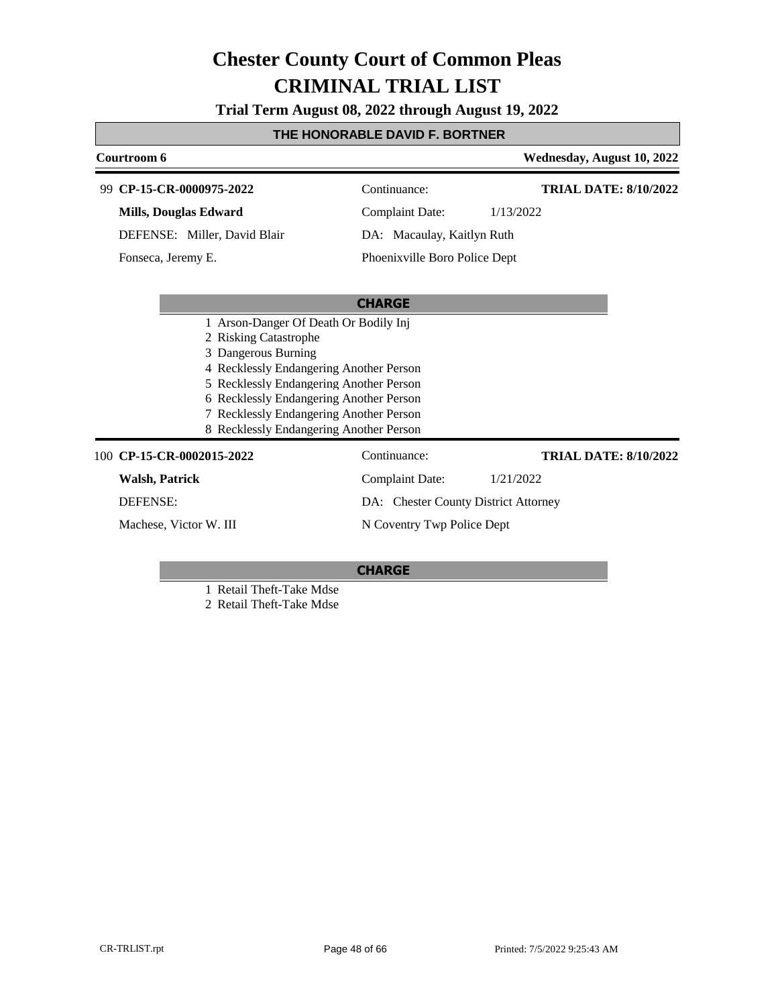**Trial Term August 08, 2022 through August 19, 2022**

### **THE HONORABLE DAVID F. BORTNER**

|                           | Courtroom 6              |                                         |                                      | Wednesday, August 10, 2022   |
|---------------------------|--------------------------|-----------------------------------------|--------------------------------------|------------------------------|
|                           | 99 CP-15-CR-0000975-2022 |                                         | Continuance:                         | <b>TRIAL DATE: 8/10/2022</b> |
|                           | Mills, Douglas Edward    |                                         | <b>Complaint Date:</b>               | 1/13/2022                    |
|                           |                          | DEFENSE: Miller, David Blair            | DA: Macaulay, Kaitlyn Ruth           |                              |
|                           | Fonseca, Jeremy E.       |                                         | Phoenixville Boro Police Dept        |                              |
|                           |                          |                                         |                                      |                              |
|                           |                          | 1 Arson-Danger Of Death Or Bodily Inj   | <b>CHARGE</b>                        |                              |
|                           |                          | 2 Risking Catastrophe                   |                                      |                              |
|                           |                          | 3 Dangerous Burning                     |                                      |                              |
|                           |                          | 4 Recklessly Endangering Another Person |                                      |                              |
|                           |                          | 5 Recklessly Endangering Another Person |                                      |                              |
|                           |                          | 6 Recklessly Endangering Another Person |                                      |                              |
|                           |                          | 7 Recklessly Endangering Another Person |                                      |                              |
|                           |                          | 8 Recklessly Endangering Another Person |                                      |                              |
| 100 CP-15-CR-0002015-2022 |                          | Continuance:                            | <b>TRIAL DATE: 8/10/2022</b>         |                              |
|                           | Walsh, Patrick           |                                         | <b>Complaint Date:</b>               | 1/21/2022                    |
|                           | <b>DEFENSE:</b>          |                                         | DA: Chester County District Attorney |                              |
|                           | Machese, Victor W. III   |                                         | N Coventry Twp Police Dept           |                              |

### **CHARGE**

1 Retail Theft-Take Mdse

2 Retail Theft-Take Mdse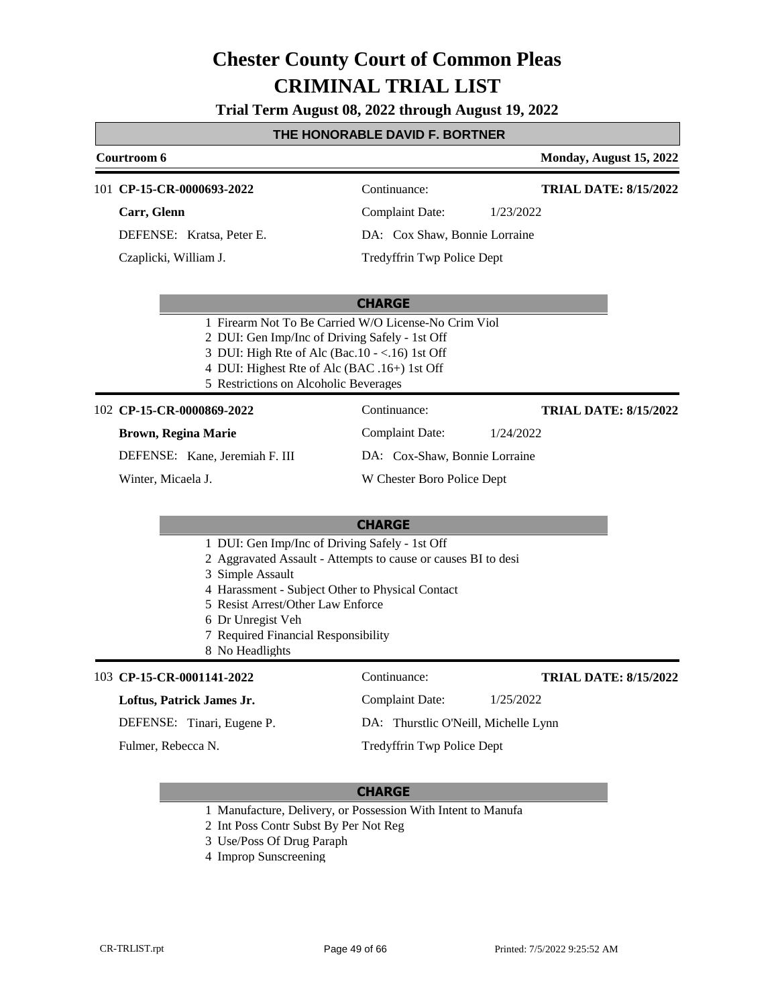**Trial Term August 08, 2022 through August 19, 2022**

#### **THE HONORABLE DAVID F. BORTNER**

#### **Courtroom 6 Monday, August 15, 2022** 101 **CP-15-CR-0000693-2022** Continuance: **Carr, Glenn** DEFENSE: Kratsa, Peter E. Complaint Date: 1/23/2022 DA: Cox Shaw, Bonnie Lorraine **TRIAL DATE: 8/15/2022**

#### **CHARGE**

- 1 Firearm Not To Be Carried W/O License-No Crim Viol
- 2 DUI: Gen Imp/Inc of Driving Safely 1st Off
- 3 DUI: High Rte of Alc (Bac.10 <.16) 1st Off
- 4 DUI: Highest Rte of Alc (BAC .16+) 1st Off
- 5 Restrictions on Alcoholic Beverages

#### **CP-15-CR-0000869-2022** 102 Continuance:

Czaplicki, William J.

#### **Brown, Regina Marie**

DEFENSE: Kane, Jeremiah F. III

Winter, Micaela J.

### DA: Cox-Shaw, Bonnie Lorraine

Tredyffrin Twp Police Dept

W Chester Boro Police Dept

Complaint Date: 1/24/2022

#### **CHARGE**

- 1 DUI: Gen Imp/Inc of Driving Safely 1st Off
- 2 Aggravated Assault Attempts to cause or causes BI to desi
- 3 Simple Assault
- 4 Harassment Subject Other to Physical Contact
- 5 Resist Arrest/Other Law Enforce
- 6 Dr Unregist Veh
- 7 Required Financial Responsibility
- 8 No Headlights

#### **CP-15-CR-0001141-2022** 103 Continuance:

#### **Loftus, Patrick James Jr.**

DEFENSE: Tinari, Eugene P.

Fulmer, Rebecca N.

#### **TRIAL DATE: 8/15/2022**

Tredyffrin Twp Police Dept

#### **CHARGE**

- 1 Manufacture, Delivery, or Possession With Intent to Manufa
- 2 Int Poss Contr Subst By Per Not Reg
- 3 Use/Poss Of Drug Paraph
- 4 Improp Sunscreening

Complaint Date: 1/25/2022 DA: Thurstlic O'Neill, Michelle Lynn

**TRIAL DATE: 8/15/2022**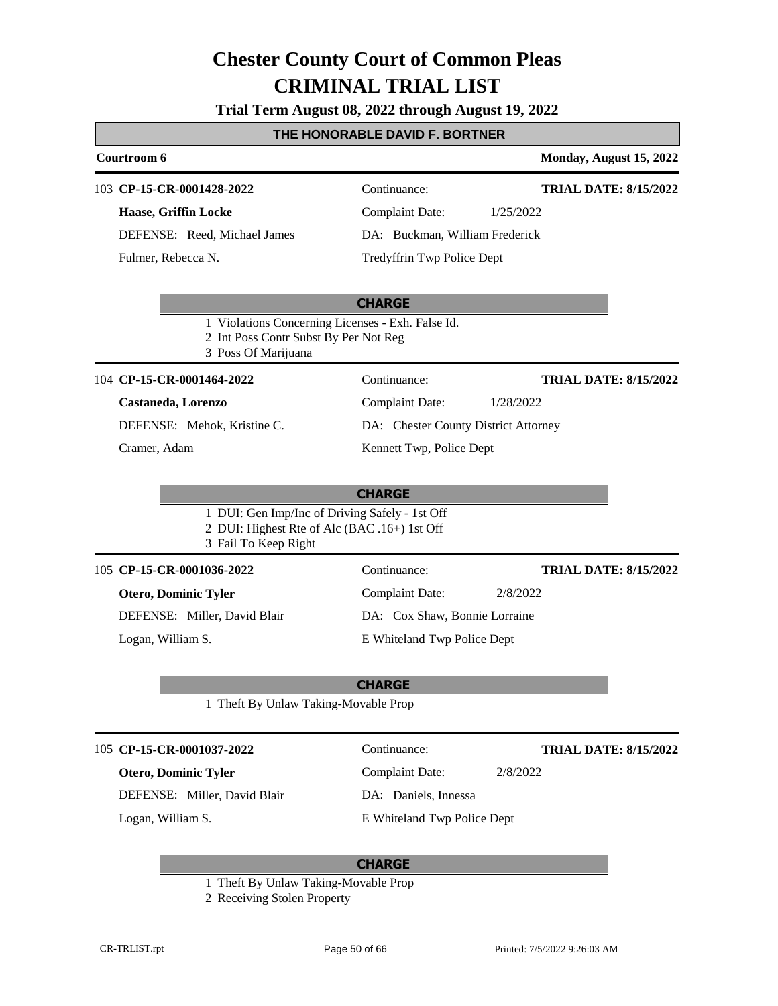**Trial Term August 08, 2022 through August 19, 2022**

### **THE HONORABLE DAVID F. BORTNER**

| Courtroom 6                                                                                                            |                                      | Monday, August 15, 2022      |
|------------------------------------------------------------------------------------------------------------------------|--------------------------------------|------------------------------|
| 103 CP-15-CR-0001428-2022                                                                                              | Continuance:                         | <b>TRIAL DATE: 8/15/2022</b> |
| Haase, Griffin Locke                                                                                                   | <b>Complaint Date:</b>               | 1/25/2022                    |
| DEFENSE: Reed, Michael James                                                                                           | DA: Buckman, William Frederick       |                              |
| Fulmer, Rebecca N.                                                                                                     | Tredyffrin Twp Police Dept           |                              |
|                                                                                                                        | <b>CHARGE</b>                        |                              |
| 1 Violations Concerning Licenses - Exh. False Id.<br>2 Int Poss Contr Subst By Per Not Reg<br>3 Poss Of Marijuana      |                                      |                              |
| 104 CP-15-CR-0001464-2022                                                                                              | Continuance:                         | <b>TRIAL DATE: 8/15/2022</b> |
| Castaneda, Lorenzo                                                                                                     | <b>Complaint Date:</b>               | 1/28/2022                    |
| DEFENSE: Mehok, Kristine C.                                                                                            | DA: Chester County District Attorney |                              |
| Cramer, Adam                                                                                                           | Kennett Twp, Police Dept             |                              |
| 1 DUI: Gen Imp/Inc of Driving Safely - 1st Off<br>2 DUI: Highest Rte of Alc (BAC .16+) 1st Off<br>3 Fail To Keep Right |                                      |                              |
| 105 CP-15-CR-0001036-2022                                                                                              | Continuance:                         | <b>TRIAL DATE: 8/15/2022</b> |
| <b>Otero, Dominic Tyler</b>                                                                                            | <b>Complaint Date:</b>               | 2/8/2022                     |
| DEFENSE: Miller, David Blair                                                                                           | DA: Cox Shaw, Bonnie Lorraine        |                              |
| Logan, William S.                                                                                                      | E Whiteland Twp Police Dept          |                              |
|                                                                                                                        | <b>CHARGE</b>                        |                              |
| 1 Theft By Unlaw Taking-Movable Prop                                                                                   |                                      |                              |
| 105 CP-15-CR-0001037-2022                                                                                              | Continuance:                         | <b>TRIAL DATE: 8/15/2022</b> |
| <b>Otero, Dominic Tyler</b>                                                                                            | <b>Complaint Date:</b>               | 2/8/2022                     |
| DEFENSE: Miller, David Blair                                                                                           | DA: Daniels, Innessa                 |                              |
| Logan, William S.                                                                                                      | E Whiteland Twp Police Dept          |                              |
|                                                                                                                        |                                      |                              |

- 1 Theft By Unlaw Taking-Movable Prop
- 2 Receiving Stolen Property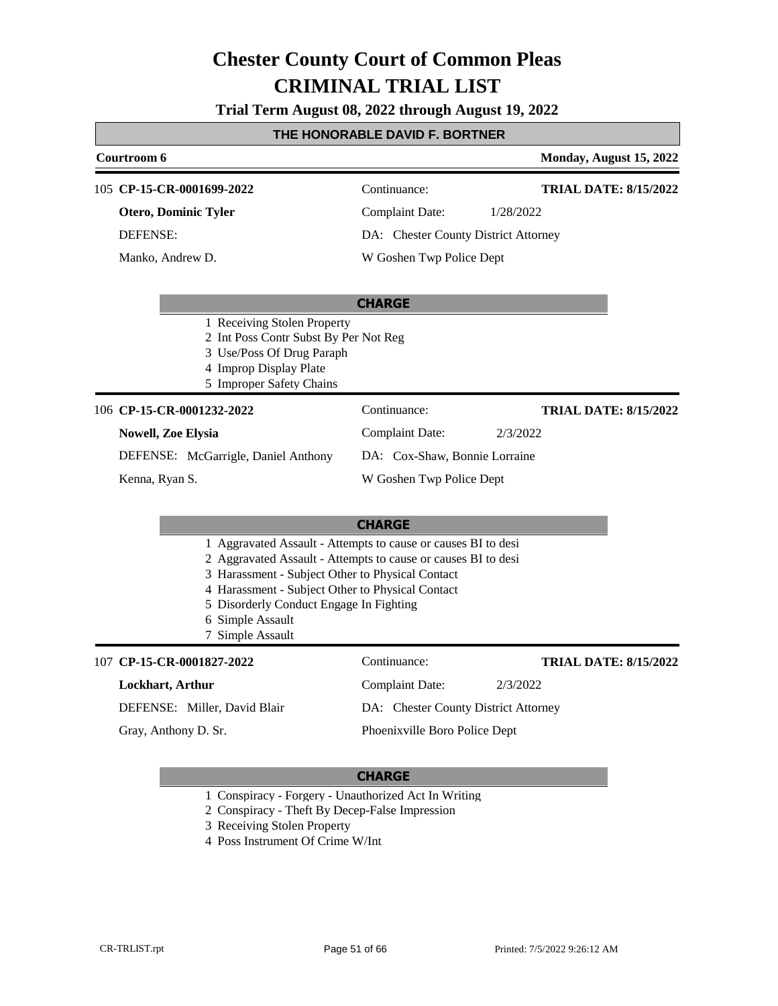**Trial Term August 08, 2022 through August 19, 2022**

### **THE HONORABLE DAVID F. BORTNER**

|                                                                                                                                                         | Courtroom 6                                                                 |                                                                                                                                                                                                                                                                                                                           |                                      | Monday, August 15, 2022      |
|---------------------------------------------------------------------------------------------------------------------------------------------------------|-----------------------------------------------------------------------------|---------------------------------------------------------------------------------------------------------------------------------------------------------------------------------------------------------------------------------------------------------------------------------------------------------------------------|--------------------------------------|------------------------------|
|                                                                                                                                                         | 105 CP-15-CR-0001699-2022<br><b>Otero, Dominic Tyler</b><br><b>DEFENSE:</b> |                                                                                                                                                                                                                                                                                                                           | Continuance:                         | <b>TRIAL DATE: 8/15/2022</b> |
|                                                                                                                                                         |                                                                             |                                                                                                                                                                                                                                                                                                                           | <b>Complaint Date:</b>               | 1/28/2022                    |
|                                                                                                                                                         |                                                                             |                                                                                                                                                                                                                                                                                                                           | DA: Chester County District Attorney |                              |
|                                                                                                                                                         | Manko, Andrew D.                                                            |                                                                                                                                                                                                                                                                                                                           | W Goshen Twp Police Dept             |                              |
|                                                                                                                                                         |                                                                             |                                                                                                                                                                                                                                                                                                                           | <b>CHARGE</b>                        |                              |
| 1 Receiving Stolen Property<br>2 Int Poss Contr Subst By Per Not Reg<br>3 Use/Poss Of Drug Paraph<br>4 Improp Display Plate<br>5 Improper Safety Chains |                                                                             |                                                                                                                                                                                                                                                                                                                           |                                      |                              |
|                                                                                                                                                         | 106 CP-15-CR-0001232-2022                                                   |                                                                                                                                                                                                                                                                                                                           | Continuance:                         | <b>TRIAL DATE: 8/15/2022</b> |
|                                                                                                                                                         | <b>Nowell, Zoe Elysia</b>                                                   |                                                                                                                                                                                                                                                                                                                           | <b>Complaint Date:</b>               | 2/3/2022                     |
|                                                                                                                                                         | DEFENSE: McGarrigle, Daniel Anthony<br>Kenna, Ryan S.                       |                                                                                                                                                                                                                                                                                                                           | DA: Cox-Shaw, Bonnie Lorraine        |                              |
|                                                                                                                                                         |                                                                             |                                                                                                                                                                                                                                                                                                                           | W Goshen Twp Police Dept             |                              |
|                                                                                                                                                         |                                                                             |                                                                                                                                                                                                                                                                                                                           | <b>CHARGE</b>                        |                              |
|                                                                                                                                                         |                                                                             | 1 Aggravated Assault - Attempts to cause or causes BI to desi<br>2 Aggravated Assault - Attempts to cause or causes BI to desi<br>3 Harassment - Subject Other to Physical Contact<br>4 Harassment - Subject Other to Physical Contact<br>5 Disorderly Conduct Engage In Fighting<br>6 Simple Assault<br>7 Simple Assault |                                      |                              |
|                                                                                                                                                         | 107 CP-15-CR-0001827-2022                                                   |                                                                                                                                                                                                                                                                                                                           | Continuance:                         | <b>TRIAL DATE: 8/15/2022</b> |
|                                                                                                                                                         | Lockhart, Arthur                                                            |                                                                                                                                                                                                                                                                                                                           | <b>Complaint Date:</b>               | 2/3/2022                     |
|                                                                                                                                                         |                                                                             | DEFENSE: Miller, David Blair                                                                                                                                                                                                                                                                                              | DA: Chester County District Attorney |                              |
|                                                                                                                                                         | Gray, Anthony D. Sr.                                                        |                                                                                                                                                                                                                                                                                                                           | Phoenixville Boro Police Dept        |                              |

- 1 Conspiracy Forgery Unauthorized Act In Writing
- 2 Conspiracy Theft By Decep-False Impression
- 3 Receiving Stolen Property
- 4 Poss Instrument Of Crime W/Int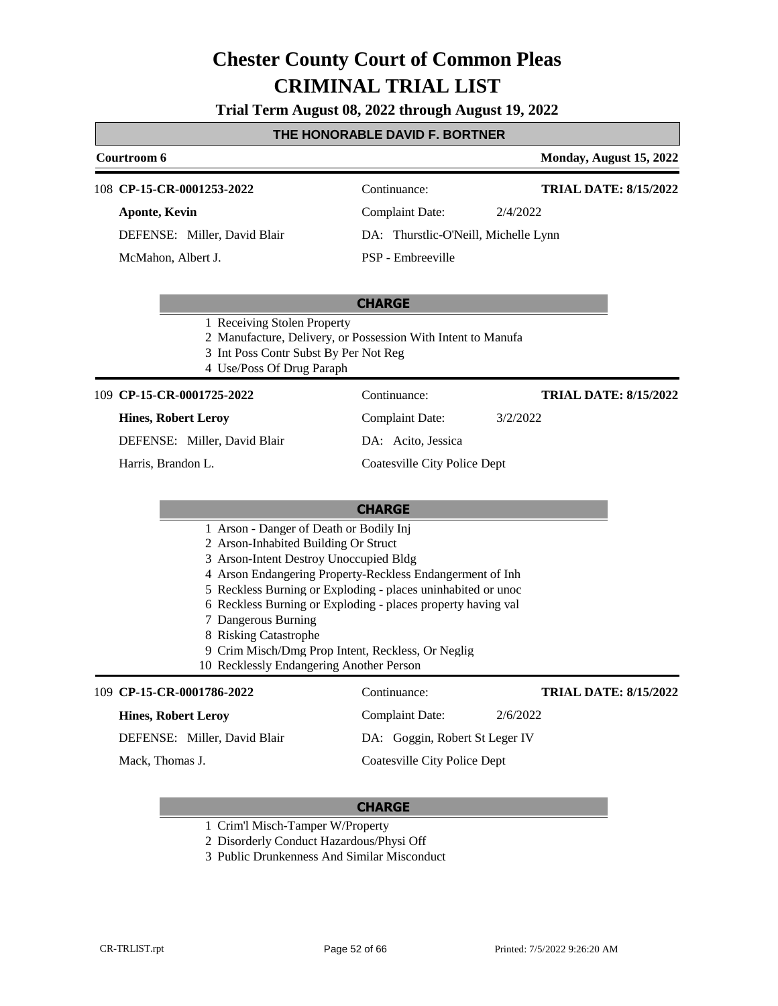**Trial Term August 08, 2022 through August 19, 2022**

#### **THE HONORABLE DAVID F. BORTNER**

#### **Courtroom 6 Monday, August 15, 2022 CP-15-CR-0001253-2022** 108 Continuance: **Aponte, Kevin** DEFENSE: Miller, David Blair Complaint Date: 2/4/2022 DA: Thurstlic-O'Neill, Michelle Lynn PSP - Embreeville **TRIAL DATE: 8/15/2022** McMahon, Albert J.

#### **CHARGE**

- 1 Receiving Stolen Property
- 2 Manufacture, Delivery, or Possession With Intent to Manufa
- 3 Int Poss Contr Subst By Per Not Reg
- 4 Use/Poss Of Drug Paraph

#### **CP-15-CR-0001725-2022** 109 Continuance:

#### **Hines, Robert Leroy**

DEFENSE: Miller, David Blair

Harris, Brandon L.

DA: Acito, Jessica

#### Coatesville City Police Dept

Complaint Date: 3/2/2022

**TRIAL DATE: 8/15/2022**

**TRIAL DATE: 8/15/2022**

#### **CHARGE**

- 1 Arson Danger of Death or Bodily Inj
- 2 Arson-Inhabited Building Or Struct
- 3 Arson-Intent Destroy Unoccupied Bldg
- 4 Arson Endangering Property-Reckless Endangerment of Inh
- 5 Reckless Burning or Exploding places uninhabited or unoc
- 6 Reckless Burning or Exploding places property having val
- 7 Dangerous Burning
- 8 Risking Catastrophe
- 9 Crim Misch/Dmg Prop Intent, Reckless, Or Neglig
- 10 Recklessly Endangering Another Person

#### **CP-15-CR-0001786-2022** 109 Continuance:

| <b>Hines, Robert Leroy</b>   | Complaint Date:                | 2/6/2022 |
|------------------------------|--------------------------------|----------|
| DEFENSE: Miller, David Blair | DA: Goggin, Robert St Leger IV |          |
| Mack, Thomas J.              | Coatesville City Police Dept   |          |

- 1 Crim'l Misch-Tamper W/Property
- 2 Disorderly Conduct Hazardous/Physi Off
- 3 Public Drunkenness And Similar Misconduct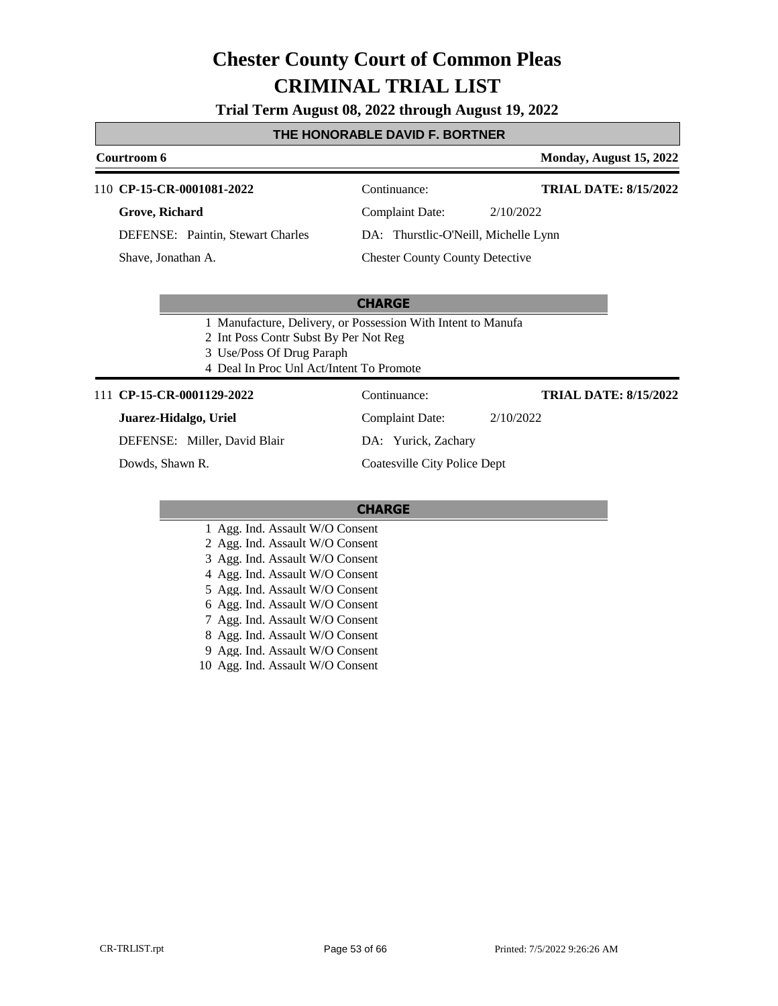**Trial Term August 08, 2022 through August 19, 2022**

#### **THE HONORABLE DAVID F. BORTNER**

### **Courtroom 6 Monday, August 15, 2022** 110 **CP-15-CR-0001081-2022** Continuance: **Grove, Richard TRIAL DATE: 8/15/2022**

DEFENSE: Paintin, Stewart Charles

Shave, Jonathan A.

Complaint Date: 2/10/2022 DA: Thurstlic-O'Neill, Michelle Lynn Chester County County Detective

#### **CHARGE**

- 1 Manufacture, Delivery, or Possession With Intent to Manufa
- 2 Int Poss Contr Subst By Per Not Reg
- 3 Use/Poss Of Drug Paraph
- 4 Deal In Proc Unl Act/Intent To Promote

#### 111 **CP-15-CR-0001129-2022** Continuance:

#### **Juarez-Hidalgo, Uriel**

DEFENSE: Miller, David Blair

Dowds, Shawn R.

Complaint Date: 2/10/2022 DA: Yurick, Zachary

Coatesville City Police Dept

#### **CHARGE**

- 1 Agg. Ind. Assault W/O Consent
- 2 Agg. Ind. Assault W/O Consent
- 3 Agg. Ind. Assault W/O Consent
- 4 Agg. Ind. Assault W/O Consent
- 5 Agg. Ind. Assault W/O Consent
- 6 Agg. Ind. Assault W/O Consent
- 7 Agg. Ind. Assault W/O Consent
- 8 Agg. Ind. Assault W/O Consent
- 9 Agg. Ind. Assault W/O Consent
- 10 Agg. Ind. Assault W/O Consent

**TRIAL DATE: 8/15/2022**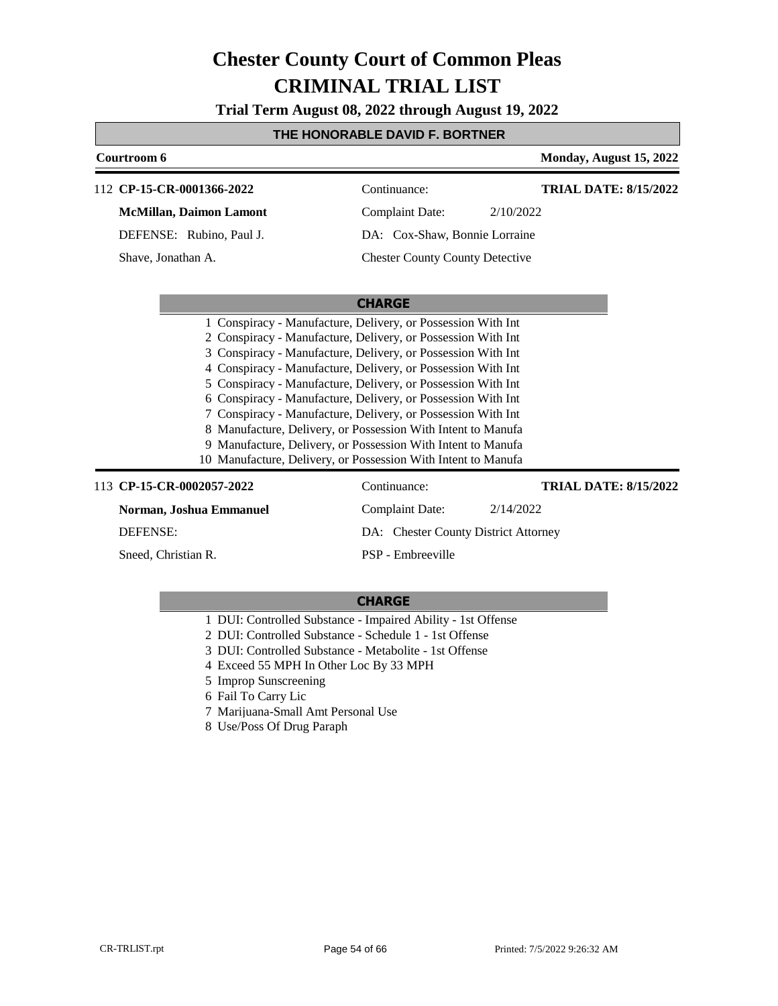**Trial Term August 08, 2022 through August 19, 2022**

#### **THE HONORABLE DAVID F. BORTNER**

|                                                               |           | Monday, August 15, 2022                                                                                                                                                                                                                                                                                                                                                                                                                                                                                                                                                                                                                         |
|---------------------------------------------------------------|-----------|-------------------------------------------------------------------------------------------------------------------------------------------------------------------------------------------------------------------------------------------------------------------------------------------------------------------------------------------------------------------------------------------------------------------------------------------------------------------------------------------------------------------------------------------------------------------------------------------------------------------------------------------------|
| Continuance:                                                  |           | <b>TRIAL DATE: 8/15/2022</b>                                                                                                                                                                                                                                                                                                                                                                                                                                                                                                                                                                                                                    |
| Complaint Date:                                               | 2/10/2022 |                                                                                                                                                                                                                                                                                                                                                                                                                                                                                                                                                                                                                                                 |
|                                                               |           |                                                                                                                                                                                                                                                                                                                                                                                                                                                                                                                                                                                                                                                 |
|                                                               |           |                                                                                                                                                                                                                                                                                                                                                                                                                                                                                                                                                                                                                                                 |
|                                                               |           |                                                                                                                                                                                                                                                                                                                                                                                                                                                                                                                                                                                                                                                 |
| <b>CHARGE</b>                                                 |           |                                                                                                                                                                                                                                                                                                                                                                                                                                                                                                                                                                                                                                                 |
|                                                               |           |                                                                                                                                                                                                                                                                                                                                                                                                                                                                                                                                                                                                                                                 |
|                                                               |           |                                                                                                                                                                                                                                                                                                                                                                                                                                                                                                                                                                                                                                                 |
|                                                               |           |                                                                                                                                                                                                                                                                                                                                                                                                                                                                                                                                                                                                                                                 |
|                                                               |           |                                                                                                                                                                                                                                                                                                                                                                                                                                                                                                                                                                                                                                                 |
| 5 Conspiracy - Manufacture, Delivery, or Possession With Int  |           |                                                                                                                                                                                                                                                                                                                                                                                                                                                                                                                                                                                                                                                 |
|                                                               |           |                                                                                                                                                                                                                                                                                                                                                                                                                                                                                                                                                                                                                                                 |
|                                                               |           |                                                                                                                                                                                                                                                                                                                                                                                                                                                                                                                                                                                                                                                 |
|                                                               |           |                                                                                                                                                                                                                                                                                                                                                                                                                                                                                                                                                                                                                                                 |
|                                                               |           |                                                                                                                                                                                                                                                                                                                                                                                                                                                                                                                                                                                                                                                 |
| 10 Manufacture, Delivery, or Possession With Intent to Manufa |           |                                                                                                                                                                                                                                                                                                                                                                                                                                                                                                                                                                                                                                                 |
| Continuance:                                                  |           | <b>TRIAL DATE: 8/15/2022</b>                                                                                                                                                                                                                                                                                                                                                                                                                                                                                                                                                                                                                    |
| <b>Complaint Date:</b>                                        | 2/14/2022 |                                                                                                                                                                                                                                                                                                                                                                                                                                                                                                                                                                                                                                                 |
|                                                               |           |                                                                                                                                                                                                                                                                                                                                                                                                                                                                                                                                                                                                                                                 |
| PSP - Embreeville                                             |           |                                                                                                                                                                                                                                                                                                                                                                                                                                                                                                                                                                                                                                                 |
|                                                               |           | DA: Cox-Shaw, Bonnie Lorraine<br><b>Chester County County Detective</b><br>1 Conspiracy - Manufacture, Delivery, or Possession With Int<br>2 Conspiracy - Manufacture, Delivery, or Possession With Int<br>3 Conspiracy - Manufacture, Delivery, or Possession With Int<br>4 Conspiracy - Manufacture, Delivery, or Possession With Int<br>6 Conspiracy - Manufacture, Delivery, or Possession With Int<br>7 Conspiracy - Manufacture, Delivery, or Possession With Int<br>8 Manufacture, Delivery, or Possession With Intent to Manufa<br>9 Manufacture, Delivery, or Possession With Intent to Manufa<br>DA: Chester County District Attorney |

- 1 DUI: Controlled Substance Impaired Ability 1st Offense
- 2 DUI: Controlled Substance Schedule 1 1st Offense
- 3 DUI: Controlled Substance Metabolite 1st Offense
- 4 Exceed 55 MPH In Other Loc By 33 MPH
- 5 Improp Sunscreening
- 6 Fail To Carry Lic
- 7 Marijuana-Small Amt Personal Use
- 8 Use/Poss Of Drug Paraph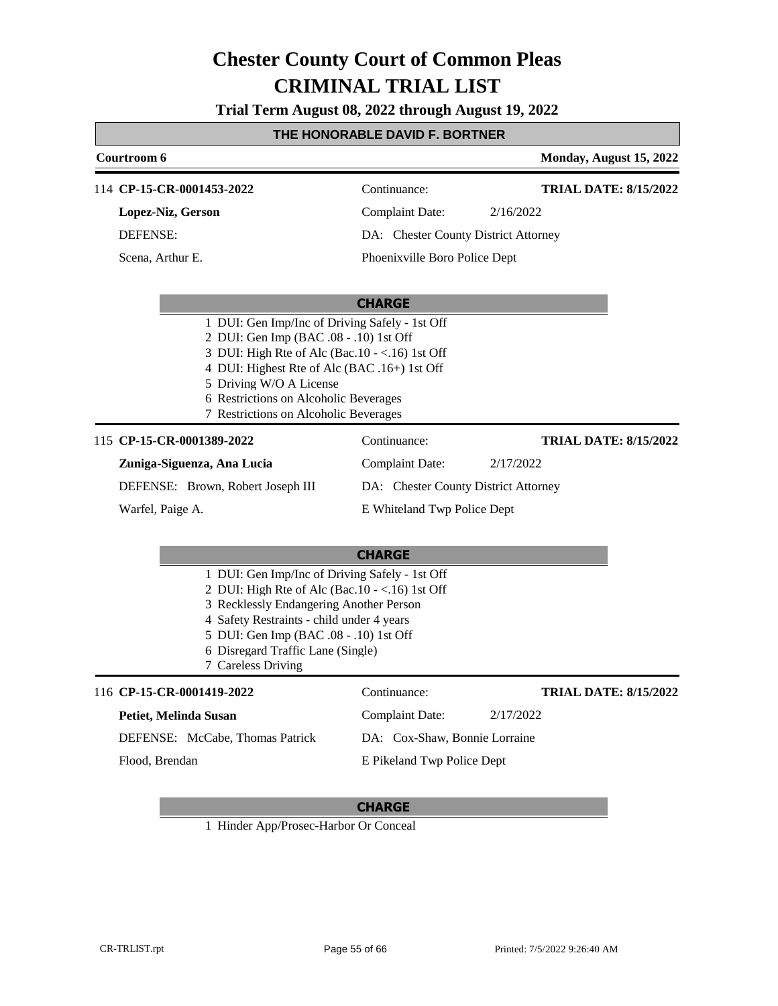**Trial Term August 08, 2022 through August 19, 2022**

### **THE HONORABLE DAVID F. BORTNER**

|                                                                                                                                                                                                                                                                                                         | Courtroom 6                                                                                                                                                                                                                                                                                   |                                      | Monday, August 15, 2022      |
|---------------------------------------------------------------------------------------------------------------------------------------------------------------------------------------------------------------------------------------------------------------------------------------------------------|-----------------------------------------------------------------------------------------------------------------------------------------------------------------------------------------------------------------------------------------------------------------------------------------------|--------------------------------------|------------------------------|
|                                                                                                                                                                                                                                                                                                         | 114 CP-15-CR-0001453-2022                                                                                                                                                                                                                                                                     | Continuance:                         | <b>TRIAL DATE: 8/15/2022</b> |
|                                                                                                                                                                                                                                                                                                         | Lopez-Niz, Gerson                                                                                                                                                                                                                                                                             | <b>Complaint Date:</b>               | 2/16/2022                    |
|                                                                                                                                                                                                                                                                                                         | <b>DEFENSE:</b>                                                                                                                                                                                                                                                                               | DA: Chester County District Attorney |                              |
|                                                                                                                                                                                                                                                                                                         | Scena, Arthur E.                                                                                                                                                                                                                                                                              | Phoenixville Boro Police Dept        |                              |
|                                                                                                                                                                                                                                                                                                         |                                                                                                                                                                                                                                                                                               | <b>CHARGE</b>                        |                              |
| 1 DUI: Gen Imp/Inc of Driving Safely - 1st Off<br>2 DUI: Gen Imp (BAC .08 - .10) 1st Off<br>3 DUI: High Rte of Alc (Bac.10 - <.16) 1st Off<br>4 DUI: Highest Rte of Alc (BAC .16+) 1st Off<br>5 Driving W/O A License<br>6 Restrictions on Alcoholic Beverages<br>7 Restrictions on Alcoholic Beverages |                                                                                                                                                                                                                                                                                               |                                      |                              |
|                                                                                                                                                                                                                                                                                                         | 115 CP-15-CR-0001389-2022                                                                                                                                                                                                                                                                     | Continuance:                         | <b>TRIAL DATE: 8/15/2022</b> |
|                                                                                                                                                                                                                                                                                                         | Zuniga-Siguenza, Ana Lucia                                                                                                                                                                                                                                                                    | <b>Complaint Date:</b>               | 2/17/2022                    |
|                                                                                                                                                                                                                                                                                                         | DEFENSE: Brown, Robert Joseph III                                                                                                                                                                                                                                                             | DA: Chester County District Attorney |                              |
|                                                                                                                                                                                                                                                                                                         | Warfel, Paige A.                                                                                                                                                                                                                                                                              | E Whiteland Twp Police Dept          |                              |
|                                                                                                                                                                                                                                                                                                         |                                                                                                                                                                                                                                                                                               | <b>CHARGE</b>                        |                              |
|                                                                                                                                                                                                                                                                                                         | 1 DUI: Gen Imp/Inc of Driving Safely - 1st Off<br>2 DUI: High Rte of Alc (Bac.10 - <.16) 1st Off<br>3 Recklessly Endangering Another Person<br>4 Safety Restraints - child under 4 years<br>5 DUI: Gen Imp (BAC .08 - .10) 1st Off<br>6 Disregard Traffic Lane (Single)<br>7 Careless Driving |                                      |                              |
|                                                                                                                                                                                                                                                                                                         | 116 CP-15-CR-0001419-2022                                                                                                                                                                                                                                                                     | Continuance:                         | <b>TRIAL DATE: 8/15/2022</b> |
|                                                                                                                                                                                                                                                                                                         | Petiet, Melinda Susan                                                                                                                                                                                                                                                                         | <b>Complaint Date:</b>               | 2/17/2022                    |
|                                                                                                                                                                                                                                                                                                         | DEFENSE: McCabe, Thomas Patrick                                                                                                                                                                                                                                                               | DA: Cox-Shaw, Bonnie Lorraine        |                              |
|                                                                                                                                                                                                                                                                                                         | Flood, Brendan                                                                                                                                                                                                                                                                                | E Pikeland Twp Police Dept           |                              |

### **CHARGE**

1 Hinder App/Prosec-Harbor Or Conceal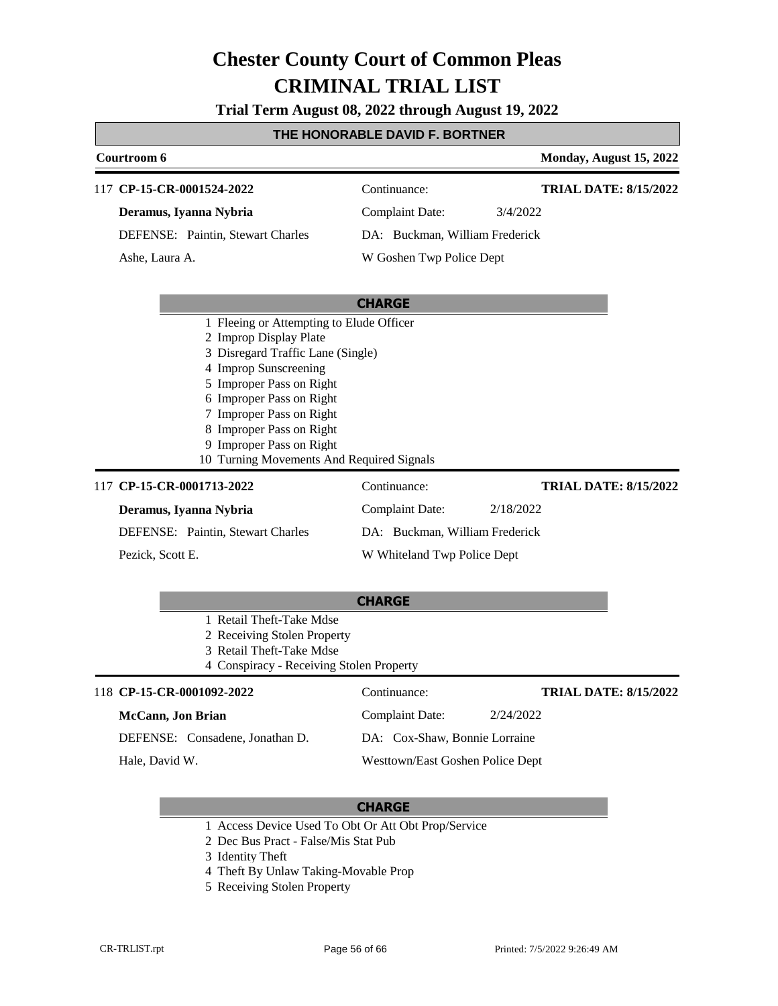**Trial Term August 08, 2022 through August 19, 2022**

### **THE HONORABLE DAVID F. BORTNER**

|                                                                                                                                                                                                                                                                                                                           | Courtroom 6                       |                                |           | Monday, August 15, 2022      |
|---------------------------------------------------------------------------------------------------------------------------------------------------------------------------------------------------------------------------------------------------------------------------------------------------------------------------|-----------------------------------|--------------------------------|-----------|------------------------------|
| 117                                                                                                                                                                                                                                                                                                                       | CP-15-CR-0001524-2022             | Continuance:                   |           | <b>TRIAL DATE: 8/15/2022</b> |
|                                                                                                                                                                                                                                                                                                                           | Deramus, Iyanna Nybria            | <b>Complaint Date:</b>         | 3/4/2022  |                              |
|                                                                                                                                                                                                                                                                                                                           | DEFENSE: Paintin, Stewart Charles | DA: Buckman, William Frederick |           |                              |
|                                                                                                                                                                                                                                                                                                                           | Ashe, Laura A.                    | W Goshen Twp Police Dept       |           |                              |
|                                                                                                                                                                                                                                                                                                                           |                                   | <b>CHARGE</b>                  |           |                              |
| 1 Fleeing or Attempting to Elude Officer<br>2 Improp Display Plate<br>3 Disregard Traffic Lane (Single)<br>4 Improp Sunscreening<br>5 Improper Pass on Right<br>6 Improper Pass on Right<br>7 Improper Pass on Right<br>8 Improper Pass on Right<br>9 Improper Pass on Right<br>10 Turning Movements And Required Signals |                                   |                                |           |                              |
| 117                                                                                                                                                                                                                                                                                                                       | CP-15-CR-0001713-2022             | Continuance:                   |           | <b>TRIAL DATE: 8/15/2022</b> |
|                                                                                                                                                                                                                                                                                                                           | Deramus, Iyanna Nybria            | <b>Complaint Date:</b>         | 2/18/2022 |                              |
|                                                                                                                                                                                                                                                                                                                           | DEFENSE: Paintin, Stewart Charles | DA: Buckman, William Frederick |           |                              |
|                                                                                                                                                                                                                                                                                                                           | Pezick, Scott E.                  | W Whiteland Twp Police Dept    |           |                              |

|                   |                                          | <b>CHARGE</b>   |                                  |                              |
|-------------------|------------------------------------------|-----------------|----------------------------------|------------------------------|
|                   | 1 Retail Theft-Take Mdse                 |                 |                                  |                              |
|                   | 2 Receiving Stolen Property              |                 |                                  |                              |
|                   | 3 Retail Theft-Take Mdse                 |                 |                                  |                              |
|                   | 4 Conspiracy - Receiving Stolen Property |                 |                                  |                              |
|                   | 118 CP-15-CR-0001092-2022                | Continuance:    |                                  | <b>TRIAL DATE: 8/15/2022</b> |
| McCann, Jon Brian |                                          | Complaint Date: | 2/24/2022                        |                              |
|                   | DEFENSE: Consadene, Jonathan D.          |                 | DA: Cox-Shaw, Bonnie Lorraine    |                              |
| Hale, David W.    |                                          |                 | Westtown/East Goshen Police Dept |                              |

- 1 Access Device Used To Obt Or Att Obt Prop/Service
- 2 Dec Bus Pract False/Mis Stat Pub
- 3 Identity Theft
- 4 Theft By Unlaw Taking-Movable Prop
- 5 Receiving Stolen Property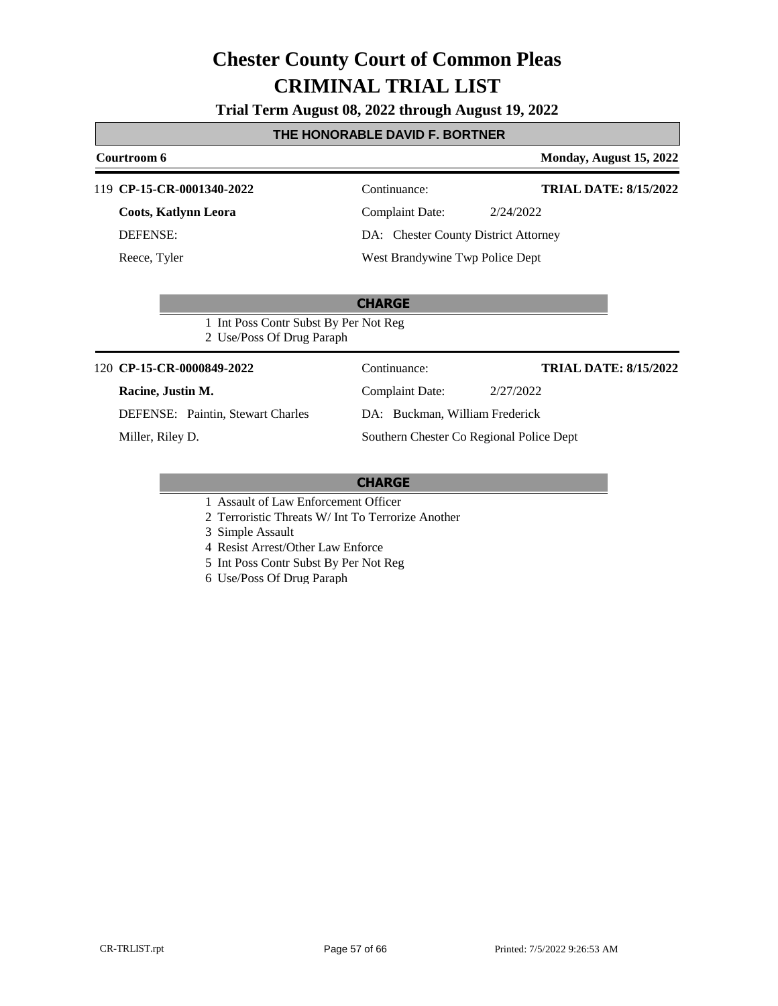**Trial Term August 08, 2022 through August 19, 2022**

#### **THE HONORABLE DAVID F. BORTNER**

#### **Courtroom 6 Monday, August 15, 2022** 119 **CP-15-CR-0001340-2022** Continuance: **Coots, Katlynn Leora** DEFENSE: Complaint Date: 2/24/2022 DA: Chester County District Attorney **TRIAL DATE: 8/15/2022**

Reece, Tyler

West Brandywine Twp Police Dept

**CHARGE** 1 Int Poss Contr Subst By Per Not Reg

2 Use/Poss Of Drug Paraph

**CP-15-CR-0000849-2022** 120 Continuance:

#### **Racine, Justin M.**

DEFENSE: Paintin, Stewart Charles

Miller, Riley D.

Complaint Date: 2/27/2022 DA: Buckman, William Frederick Southern Chester Co Regional Police Dept

**TRIAL DATE: 8/15/2022**

#### **CHARGE**

- 1 Assault of Law Enforcement Officer
- 2 Terroristic Threats W/ Int To Terrorize Another

3 Simple Assault

- 4 Resist Arrest/Other Law Enforce
- 5 Int Poss Contr Subst By Per Not Reg
- 6 Use/Poss Of Drug Paraph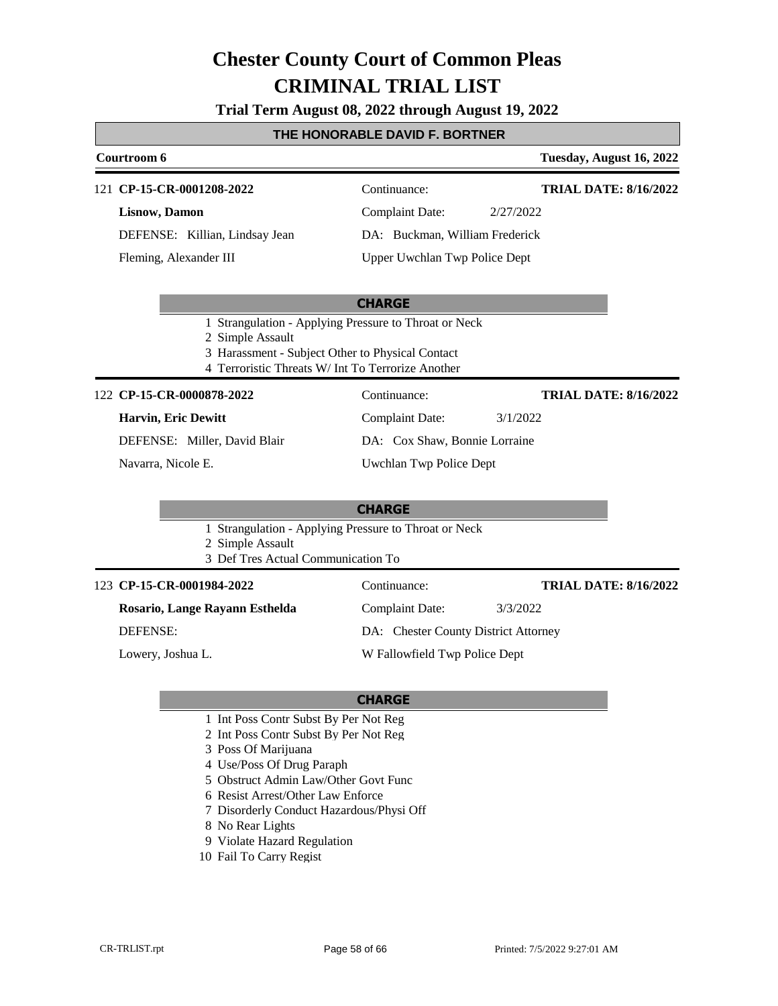**Trial Term August 08, 2022 through August 19, 2022**

#### **THE HONORABLE DAVID F. BORTNER**

#### **Courtroom 6 Tuesday, August 16, 2022** 121 **CP-15-CR-0001208-2022** Continuance: **Lisnow, Damon** DEFENSE: Killian, Lindsay Jean Complaint Date: 2/27/2022 DA: Buckman, William Frederick Upper Uwchlan Twp Police Dept **TRIAL DATE: 8/16/2022** Fleming, Alexander III

#### **CHARGE**

- 1 Strangulation Applying Pressure to Throat or Neck
- 2 Simple Assault
- 3 Harassment Subject Other to Physical Contact
- 4 Terroristic Threats W/ Int To Terrorize Another

#### 122 **CP-15-CR-0000878-2022** Continuance:

#### **Harvin, Eric Dewitt**

DEFENSE: Miller, David Blair

Navarra, Nicole E.

DA: Cox Shaw, Bonnie Lorraine Uwchlan Twp Police Dept

Complaint Date: 3/1/2022

**TRIAL DATE: 8/16/2022**

#### **CHARGE**

- 1 Strangulation Applying Pressure to Throat or Neck
- 2 Simple Assault
- 3 Def Tres Actual Communication To

| 123 CP-15-CR-0001984-2022      | Continuance:                         | <b>TRIAL DATE: 8/16/2022</b> |
|--------------------------------|--------------------------------------|------------------------------|
| Rosario, Lange Rayann Esthelda | Complaint Date:                      | 3/3/2022                     |
| DEFENSE:                       | DA: Chester County District Attorney |                              |
| Lowery, Joshua L.              | W Fallowfield Twp Police Dept        |                              |

- 1 Int Poss Contr Subst By Per Not Reg
- 2 Int Poss Contr Subst By Per Not Reg
- 3 Poss Of Marijuana
- 4 Use/Poss Of Drug Paraph
- 5 Obstruct Admin Law/Other Govt Func
- 6 Resist Arrest/Other Law Enforce
- 7 Disorderly Conduct Hazardous/Physi Off
- 8 No Rear Lights
- 9 Violate Hazard Regulation
- 10 Fail To Carry Regist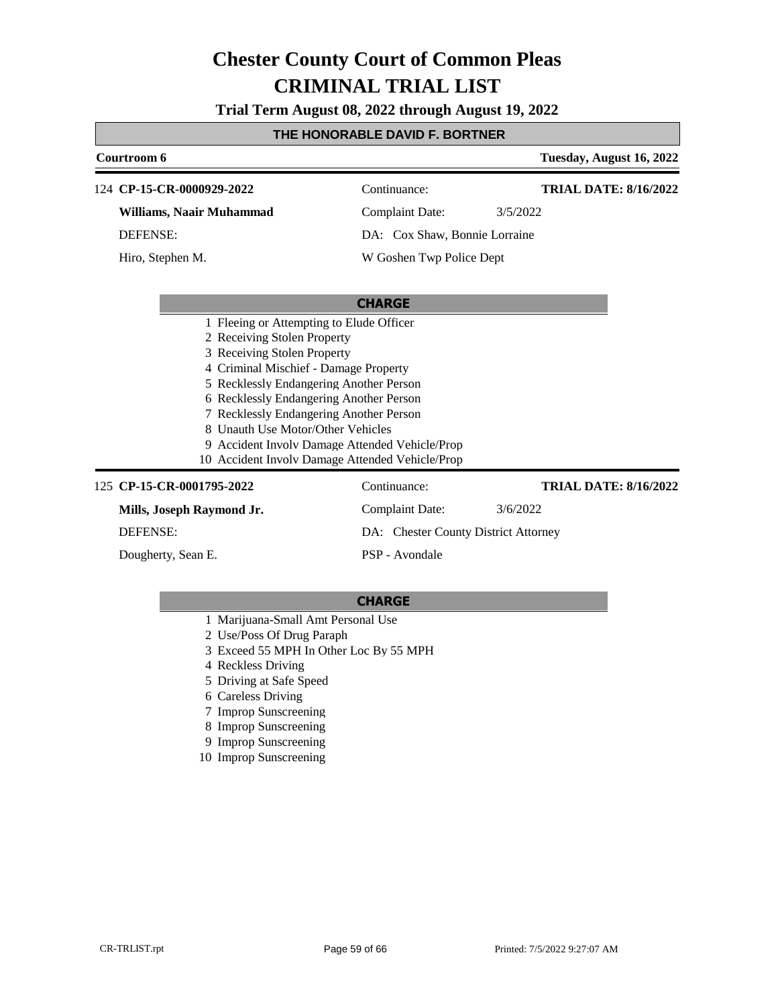**Trial Term August 08, 2022 through August 19, 2022**

### **THE HONORABLE DAVID F. BORTNER**

| Courtroom 6                                                                                                                   |                                                | Tuesday, August 16, 2022     |
|-------------------------------------------------------------------------------------------------------------------------------|------------------------------------------------|------------------------------|
| 124 CP-15-CR-0000929-2022                                                                                                     | Continuance:                                   | <b>TRIAL DATE: 8/16/2022</b> |
| Williams, Naair Muhammad                                                                                                      | <b>Complaint Date:</b>                         | 3/5/2022                     |
| <b>DEFENSE:</b>                                                                                                               | DA: Cox Shaw, Bonnie Lorraine                  |                              |
| Hiro, Stephen M.                                                                                                              | W Goshen Twp Police Dept                       |                              |
|                                                                                                                               | <b>CHARGE</b>                                  |                              |
| 1 Fleeing or Attempting to Elude Officer                                                                                      |                                                |                              |
| 2 Receiving Stolen Property                                                                                                   |                                                |                              |
| 3 Receiving Stolen Property                                                                                                   |                                                |                              |
| 4 Criminal Mischief - Damage Property                                                                                         |                                                |                              |
| 5 Recklessly Endangering Another Person<br>6 Recklessly Endangering Another Person<br>7 Recklessly Endangering Another Person |                                                |                              |
|                                                                                                                               |                                                |                              |
|                                                                                                                               |                                                |                              |
| 8 Unauth Use Motor/Other Vehicles                                                                                             |                                                |                              |
|                                                                                                                               | 9 Accident Involv Damage Attended Vehicle/Prop |                              |
| 10 Accident Involv Damage Attended Vehicle/Prop                                                                               |                                                |                              |
| 125 CP-15-CR-0001795-2022                                                                                                     | Continuance:                                   | <b>TRIAL DATE: 8/16/2022</b> |
| Mills, Joseph Raymond Jr.                                                                                                     | <b>Complaint Date:</b>                         | 3/6/2022                     |
| <b>DEFENSE:</b>                                                                                                               | DA: Chester County District Attorney           |                              |
| Dougherty, Sean E.                                                                                                            | PSP - Avondale                                 |                              |

- 1 Marijuana-Small Amt Personal Use
- 2 Use/Poss Of Drug Paraph
- 3 Exceed 55 MPH In Other Loc By 55 MPH
- 4 Reckless Driving
- 5 Driving at Safe Speed
- 6 Careless Driving
- 7 Improp Sunscreening
- 8 Improp Sunscreening
- 9 Improp Sunscreening
- 10 Improp Sunscreening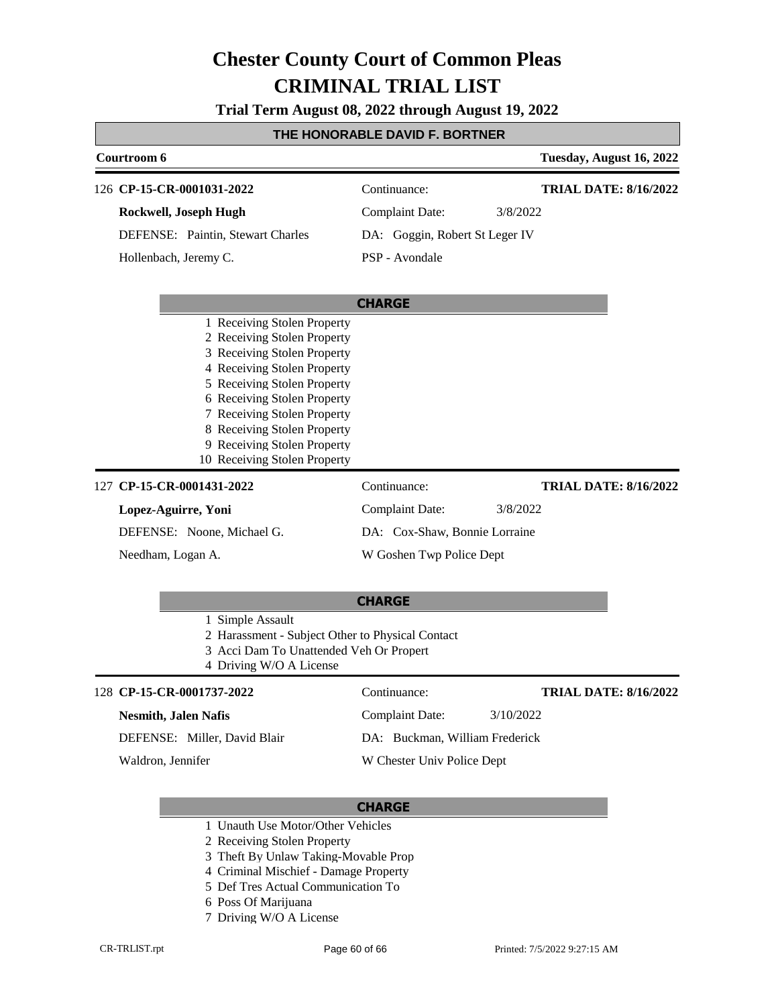**Trial Term August 08, 2022 through August 19, 2022**

#### **THE HONORABLE DAVID F. BORTNER**

| Courtroom 6                                                                                                                                                                                                                                                                                                         |                                | Tuesday, August 16, 2022     |
|---------------------------------------------------------------------------------------------------------------------------------------------------------------------------------------------------------------------------------------------------------------------------------------------------------------------|--------------------------------|------------------------------|
| 126 CP-15-CR-0001031-2022                                                                                                                                                                                                                                                                                           | Continuance:                   | <b>TRIAL DATE: 8/16/2022</b> |
| Rockwell, Joseph Hugh                                                                                                                                                                                                                                                                                               | <b>Complaint Date:</b>         | 3/8/2022                     |
| DEFENSE: Paintin, Stewart Charles                                                                                                                                                                                                                                                                                   | DA: Goggin, Robert St Leger IV |                              |
| Hollenbach, Jeremy C.                                                                                                                                                                                                                                                                                               | PSP - Avondale                 |                              |
|                                                                                                                                                                                                                                                                                                                     | <b>CHARGE</b>                  |                              |
| 1 Receiving Stolen Property<br>2 Receiving Stolen Property<br>3 Receiving Stolen Property<br>4 Receiving Stolen Property<br>5 Receiving Stolen Property<br>6 Receiving Stolen Property<br>7 Receiving Stolen Property<br>8 Receiving Stolen Property<br>9 Receiving Stolen Property<br>10 Receiving Stolen Property |                                |                              |
| 127 CP-15-CR-0001431-2022                                                                                                                                                                                                                                                                                           | Continuance:                   | <b>TRIAL DATE: 8/16/2022</b> |
| Lopez-Aguirre, Yoni                                                                                                                                                                                                                                                                                                 | <b>Complaint Date:</b>         | 3/8/2022                     |
| DEFENSE: Noone, Michael G.                                                                                                                                                                                                                                                                                          | DA: Cox-Shaw, Bonnie Lorraine  |                              |
| Needham, Logan A.                                                                                                                                                                                                                                                                                                   | W Goshen Twp Police Dept       |                              |
|                                                                                                                                                                                                                                                                                                                     | <b>CHARGE</b>                  |                              |

- 1 Simple Assault
- 2 Harassment Subject Other to Physical Contact
- 3 Acci Dam To Unattended Veh Or Propert
- 4 Driving W/O A License

#### **CP-15-CR-0001737-2022** 128 Continuance:

| <b>Nesmith, Jalen Nafis</b> |  |  |
|-----------------------------|--|--|
|                             |  |  |

DEFENSE: Miller, David Blair

Waldron, Jennifer

Complaint Date: 3/10/2022 DA: Buckman, William Frederick W Chester Univ Police Dept

#### **CHARGE**

- 1 Unauth Use Motor/Other Vehicles
- 2 Receiving Stolen Property
- 3 Theft By Unlaw Taking-Movable Prop
- 4 Criminal Mischief Damage Property
- 5 Def Tres Actual Communication To
- 6 Poss Of Marijuana
- 7 Driving W/O A License

**TRIAL DATE: 8/16/2022**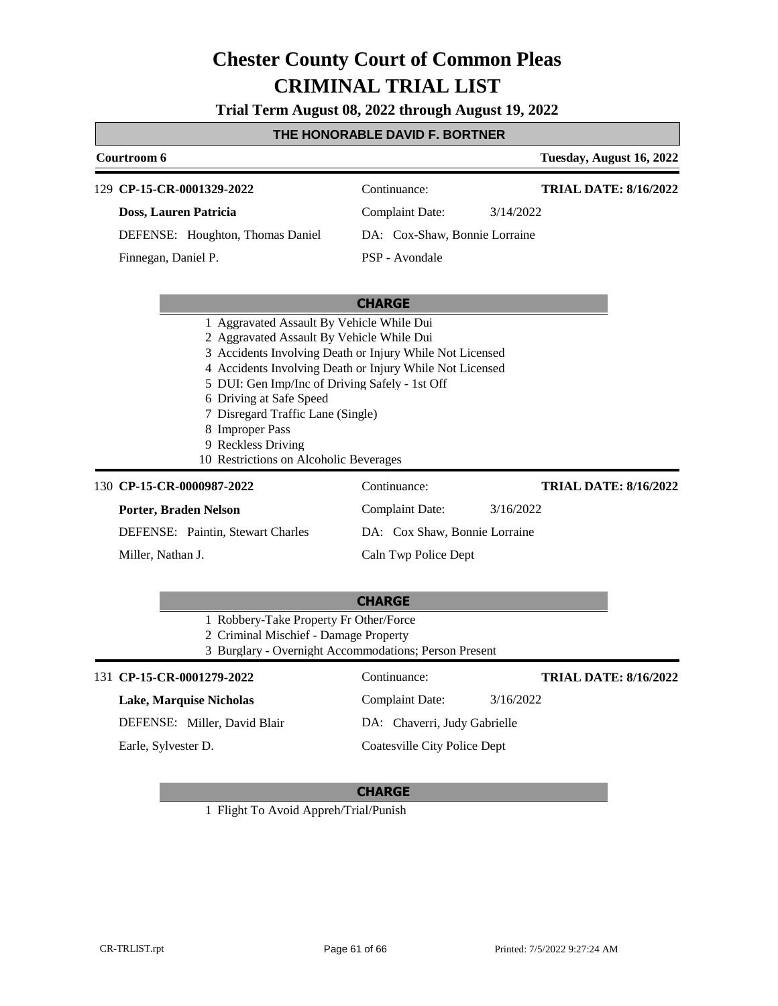**Trial Term August 08, 2022 through August 19, 2022**

### **THE HONORABLE DAVID F. BORTNER**

|                                                                                                                                                                                                                                                                                                                                                                                                                     |                                                                                                                                          | IL HUNUNABLE DAVID I . BUN HILN |                              |
|---------------------------------------------------------------------------------------------------------------------------------------------------------------------------------------------------------------------------------------------------------------------------------------------------------------------------------------------------------------------------------------------------------------------|------------------------------------------------------------------------------------------------------------------------------------------|---------------------------------|------------------------------|
|                                                                                                                                                                                                                                                                                                                                                                                                                     | Courtroom 6                                                                                                                              |                                 | Tuesday, August 16, 2022     |
|                                                                                                                                                                                                                                                                                                                                                                                                                     | 129 CP-15-CR-0001329-2022                                                                                                                | Continuance:                    | <b>TRIAL DATE: 8/16/2022</b> |
|                                                                                                                                                                                                                                                                                                                                                                                                                     | <b>Doss, Lauren Patricia</b>                                                                                                             | <b>Complaint Date:</b>          | 3/14/2022                    |
|                                                                                                                                                                                                                                                                                                                                                                                                                     | DEFENSE: Houghton, Thomas Daniel                                                                                                         | DA: Cox-Shaw, Bonnie Lorraine   |                              |
|                                                                                                                                                                                                                                                                                                                                                                                                                     | Finnegan, Daniel P.                                                                                                                      | PSP - Avondale                  |                              |
|                                                                                                                                                                                                                                                                                                                                                                                                                     |                                                                                                                                          | <b>CHARGE</b>                   |                              |
| 1 Aggravated Assault By Vehicle While Dui<br>2 Aggravated Assault By Vehicle While Dui<br>3 Accidents Involving Death or Injury While Not Licensed<br>4 Accidents Involving Death or Injury While Not Licensed<br>5 DUI: Gen Imp/Inc of Driving Safely - 1st Off<br>6 Driving at Safe Speed<br>7 Disregard Traffic Lane (Single)<br>8 Improper Pass<br>9 Reckless Driving<br>10 Restrictions on Alcoholic Beverages |                                                                                                                                          |                                 |                              |
|                                                                                                                                                                                                                                                                                                                                                                                                                     | 130 CP-15-CR-0000987-2022                                                                                                                | Continuance:                    | <b>TRIAL DATE: 8/16/2022</b> |
|                                                                                                                                                                                                                                                                                                                                                                                                                     | Porter, Braden Nelson                                                                                                                    | <b>Complaint Date:</b>          | 3/16/2022                    |
|                                                                                                                                                                                                                                                                                                                                                                                                                     | DEFENSE: Paintin, Stewart Charles                                                                                                        | DA: Cox Shaw, Bonnie Lorraine   |                              |
|                                                                                                                                                                                                                                                                                                                                                                                                                     | Miller, Nathan J.                                                                                                                        | Caln Twp Police Dept            |                              |
|                                                                                                                                                                                                                                                                                                                                                                                                                     |                                                                                                                                          | <b>CHARGE</b>                   |                              |
|                                                                                                                                                                                                                                                                                                                                                                                                                     | 1 Robbery-Take Property Fr Other/Force<br>2 Criminal Mischief - Damage Property<br>3 Burglary - Overnight Accommodations; Person Present |                                 |                              |
|                                                                                                                                                                                                                                                                                                                                                                                                                     | 131 CP-15-CR-0001279-2022                                                                                                                | Continuance:                    | <b>TRIAL DATE: 8/16/2022</b> |
|                                                                                                                                                                                                                                                                                                                                                                                                                     | <b>Lake, Marquise Nicholas</b>                                                                                                           | <b>Complaint Date:</b>          | 3/16/2022                    |
|                                                                                                                                                                                                                                                                                                                                                                                                                     | DEFENSE: Miller, David Blair                                                                                                             | DA: Chaverri, Judy Gabrielle    |                              |
|                                                                                                                                                                                                                                                                                                                                                                                                                     | Earle, Sylvester D.                                                                                                                      | Coatesville City Police Dept    |                              |

#### **CHARGE**

1 Flight To Avoid Appreh/Trial/Punish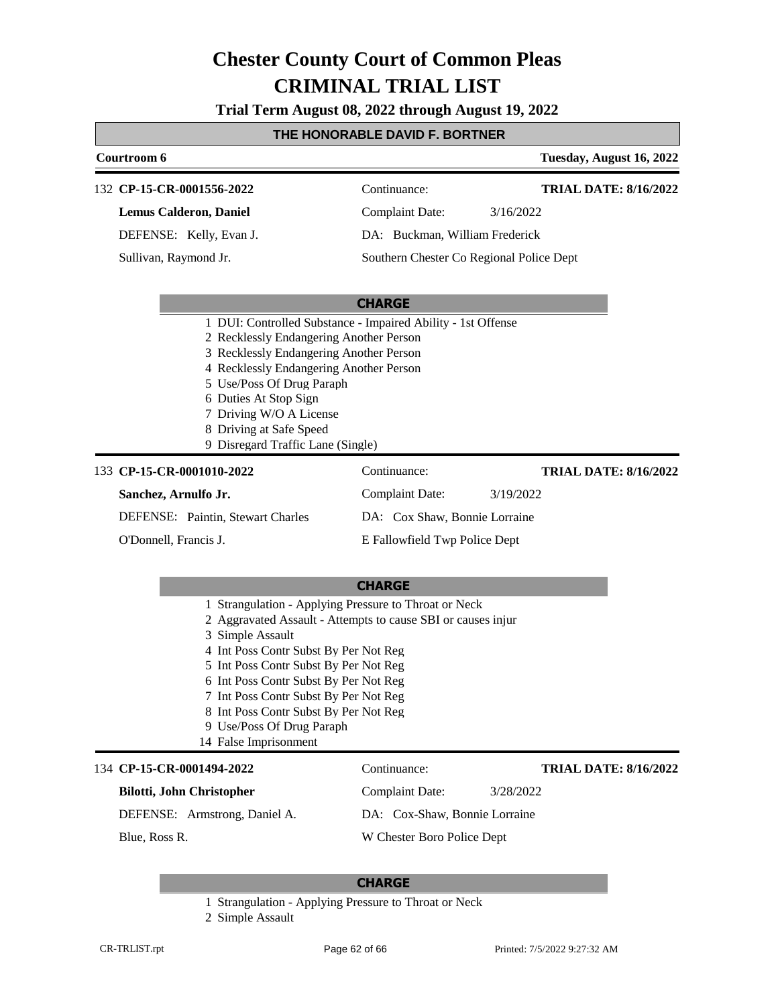**Trial Term August 08, 2022 through August 19, 2022**

#### **THE HONORABLE DAVID F. BORTNER**

|                      | Courtroom 6                             |                                                              | Tuesday, August 16, 2022                 |
|----------------------|-----------------------------------------|--------------------------------------------------------------|------------------------------------------|
|                      | 132 CP-15-CR-0001556-2022               | Continuance:                                                 | <b>TRIAL DATE: 8/16/2022</b>             |
|                      | <b>Lemus Calderon, Daniel</b>           | <b>Complaint Date:</b>                                       | 3/16/2022                                |
|                      | DEFENSE: Kelly, Evan J.                 | DA: Buckman, William Frederick                               |                                          |
|                      | Sullivan, Raymond Jr.                   |                                                              | Southern Chester Co Regional Police Dept |
|                      |                                         |                                                              |                                          |
|                      |                                         | <b>CHARGE</b>                                                |                                          |
|                      |                                         | 1 DUI: Controlled Substance - Impaired Ability - 1st Offense |                                          |
|                      | 2 Recklessly Endangering Another Person |                                                              |                                          |
|                      | 3 Recklessly Endangering Another Person |                                                              |                                          |
|                      | 4 Recklessly Endangering Another Person |                                                              |                                          |
|                      | 5 Use/Poss Of Drug Paraph               |                                                              |                                          |
|                      | 6 Duties At Stop Sign                   |                                                              |                                          |
|                      | 7 Driving W/O A License                 |                                                              |                                          |
|                      | 8 Driving at Safe Speed                 |                                                              |                                          |
|                      | 9 Disregard Traffic Lane (Single)       |                                                              |                                          |
|                      | 133 CP-15-CR-0001010-2022               | Continuance:                                                 | <b>TRIAL DATE: 8/16/2022</b>             |
| Sanchez, Arnulfo Jr. |                                         | <b>Complaint Date:</b>                                       | 3/19/2022                                |

DEFENSE: Paintin, Stewart Charles O'Donnell, Francis J.

E Fallowfield Twp Police Dept

DA: Cox Shaw, Bonnie Lorraine

- 1 Strangulation Applying Pressure to Throat or Neck
- 2 Aggravated Assault Attempts to cause SBI or causes injur
- 3 Simple Assault
- 4 Int Poss Contr Subst By Per Not Reg
- 5 Int Poss Contr Subst By Per Not Reg
- 6 Int Poss Contr Subst By Per Not Reg
- 7 Int Poss Contr Subst By Per Not Reg
- 8 Int Poss Contr Subst By Per Not Reg
- 9 Use/Poss Of Drug Paraph
- 14 False Imprisonment

#### 134 **CP-15-CR-0001494-2022** Continuance:

#### **Bilotti, John Christopher**

**TRIAL DATE: 8/16/2022**

DEFENSE: Armstrong, Daniel A.

DA: Cox-Shaw, Bonnie Lorraine

Complaint Date: 3/28/2022

Blue, Ross R.

W Chester Boro Police Dept

#### **CHARGE**

1 Strangulation - Applying Pressure to Throat or Neck

<sup>2</sup> Simple Assault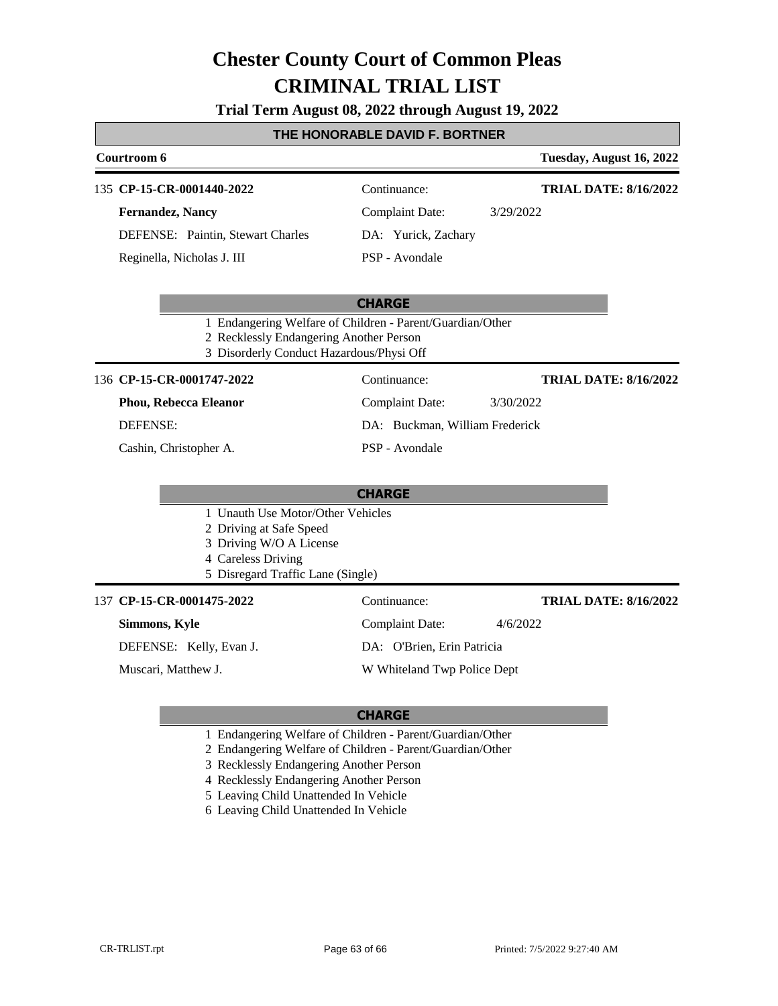**Trial Term August 08, 2022 through August 19, 2022**

### **THE HONORABLE DAVID F. BORTNER**

| Courtroom 6                                                                                                                                        |                                |           | Tuesday, August 16, 2022     |  |
|----------------------------------------------------------------------------------------------------------------------------------------------------|--------------------------------|-----------|------------------------------|--|
| 135 CP-15-CR-0001440-2022                                                                                                                          | Continuance:                   |           | <b>TRIAL DATE: 8/16/2022</b> |  |
| <b>Fernandez, Nancy</b>                                                                                                                            | <b>Complaint Date:</b>         | 3/29/2022 |                              |  |
| DEFENSE: Paintin, Stewart Charles                                                                                                                  | DA: Yurick, Zachary            |           |                              |  |
| Reginella, Nicholas J. III                                                                                                                         | PSP - Avondale                 |           |                              |  |
|                                                                                                                                                    | <b>CHARGE</b>                  |           |                              |  |
| 1 Endangering Welfare of Children - Parent/Guardian/Other<br>2 Recklessly Endangering Another Person<br>3 Disorderly Conduct Hazardous/Physi Off   |                                |           |                              |  |
| 136 CP-15-CR-0001747-2022                                                                                                                          | Continuance:                   |           | <b>TRIAL DATE: 8/16/2022</b> |  |
| Phou, Rebecca Eleanor                                                                                                                              | <b>Complaint Date:</b>         | 3/30/2022 |                              |  |
| <b>DEFENSE:</b>                                                                                                                                    | DA: Buckman, William Frederick |           |                              |  |
| Cashin, Christopher A.                                                                                                                             | PSP - Avondale                 |           |                              |  |
|                                                                                                                                                    | <b>CHARGE</b>                  |           |                              |  |
| 1 Unauth Use Motor/Other Vehicles<br>2 Driving at Safe Speed<br>3 Driving W/O A License<br>4 Careless Driving<br>5 Disregard Traffic Lane (Single) |                                |           |                              |  |
| 137 CP-15-CR-0001475-2022                                                                                                                          | Continuance:                   |           | <b>TRIAL DATE: 8/16/2022</b> |  |
| Simmons, Kyle                                                                                                                                      | <b>Complaint Date:</b>         | 4/6/2022  |                              |  |
| DEFENSE: Kelly, Evan J.                                                                                                                            | DA: O'Brien, Erin Patricia     |           |                              |  |
| Muscari, Matthew J.                                                                                                                                | W Whiteland Twp Police Dept    |           |                              |  |
|                                                                                                                                                    |                                |           |                              |  |

- 1 Endangering Welfare of Children Parent/Guardian/Other
- 2 Endangering Welfare of Children Parent/Guardian/Other
- 3 Recklessly Endangering Another Person
- 4 Recklessly Endangering Another Person
- 5 Leaving Child Unattended In Vehicle
- 6 Leaving Child Unattended In Vehicle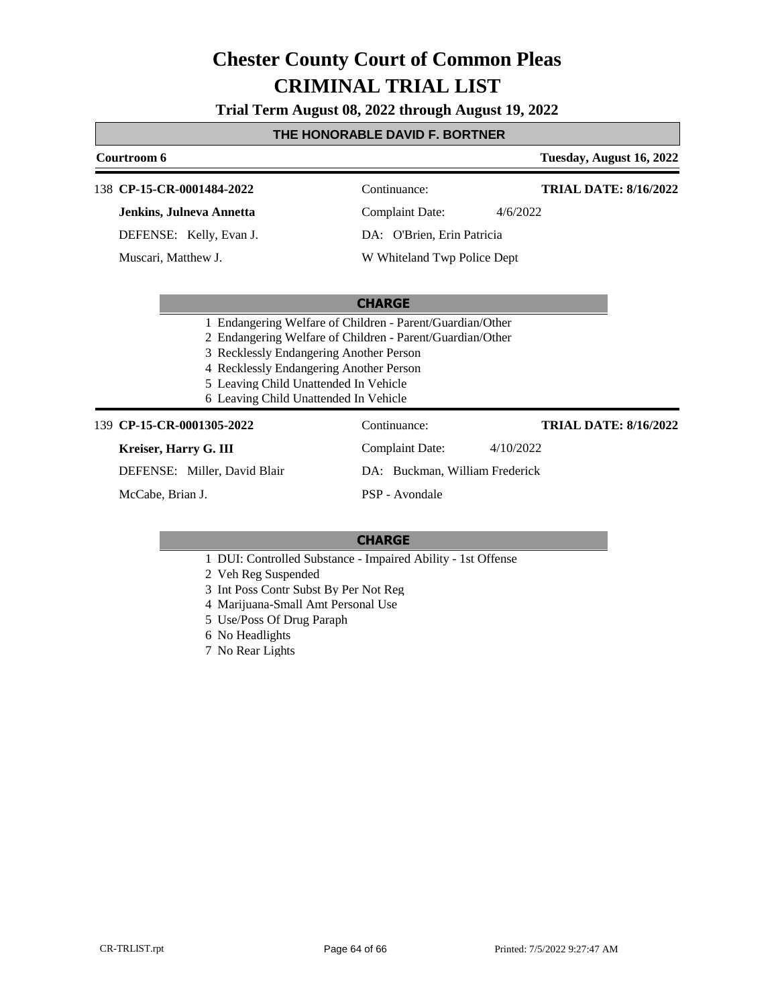**Trial Term August 08, 2022 through August 19, 2022**

#### **THE HONORABLE DAVID F. BORTNER**

### **Courtroom 6 Tuesday, August 16, 2022 CHARGE** 138 **CP-15-CR-0001484-2022** Continuance: **Jenkins, Julneva Annetta** DEFENSE: Kelly, Evan J. Complaint Date: 4/6/2022 DA: O'Brien, Erin Patricia W Whiteland Twp Police Dept **TRIAL DATE: 8/16/2022** Muscari, Matthew J.

- 1 Endangering Welfare of Children Parent/Guardian/Other
- 2 Endangering Welfare of Children Parent/Guardian/Other
- 3 Recklessly Endangering Another Person
- 4 Recklessly Endangering Another Person
- 5 Leaving Child Unattended In Vehicle
- 6 Leaving Child Unattended In Vehicle

#### **CP-15-CR-0001305-2022** 139 Continuance:

#### **Kreiser, Harry G. III**

DEFENSE: Miller, David Blair

McCabe, Brian J.

DA: Buckman, William Frederick PSP - Avondale

Complaint Date: 4/10/2022

#### **CHARGE**

1 DUI: Controlled Substance - Impaired Ability - 1st Offense

2 Veh Reg Suspended

- 3 Int Poss Contr Subst By Per Not Reg
- 4 Marijuana-Small Amt Personal Use
- 5 Use/Poss Of Drug Paraph
- 6 No Headlights
- 7 No Rear Lights

**TRIAL DATE: 8/16/2022**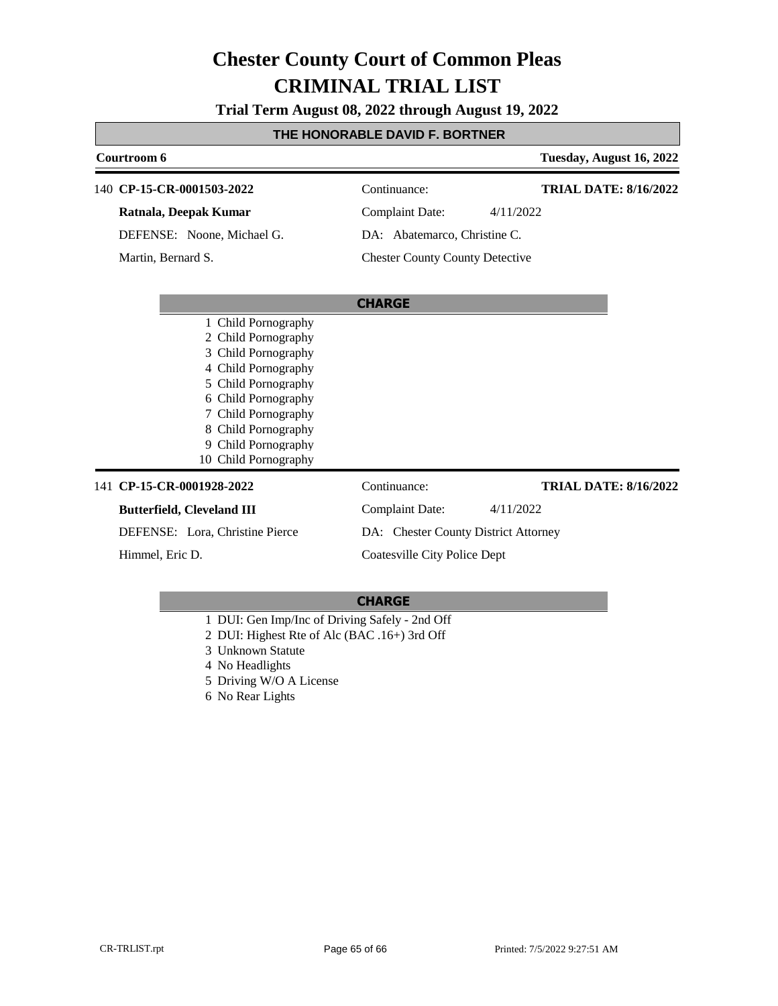**Trial Term August 08, 2022 through August 19, 2022**

### **THE HONORABLE DAVID F. BORTNER**

| Courtroom 6                                                                                                                                                                                                                         |                                        | Tuesday, August 16, 2022     |
|-------------------------------------------------------------------------------------------------------------------------------------------------------------------------------------------------------------------------------------|----------------------------------------|------------------------------|
| 140 CP-15-CR-0001503-2022                                                                                                                                                                                                           | Continuance:                           | <b>TRIAL DATE: 8/16/2022</b> |
| Ratnala, Deepak Kumar                                                                                                                                                                                                               | <b>Complaint Date:</b><br>4/11/2022    |                              |
| DEFENSE: Noone, Michael G.                                                                                                                                                                                                          | DA: Abatemarco, Christine C.           |                              |
| Martin, Bernard S.                                                                                                                                                                                                                  | <b>Chester County County Detective</b> |                              |
|                                                                                                                                                                                                                                     | <b>CHARGE</b>                          |                              |
| 1 Child Pornography<br>2 Child Pornography<br>3 Child Pornography<br>4 Child Pornography<br>5 Child Pornography<br>6 Child Pornography<br>7 Child Pornography<br>8 Child Pornography<br>9 Child Pornography<br>10 Child Pornography |                                        |                              |
| 141 CP-15-CR-0001928-2022                                                                                                                                                                                                           | Continuance:                           | <b>TRIAL DATE: 8/16/2022</b> |
| <b>Butterfield, Cleveland III</b>                                                                                                                                                                                                   | Complaint Date:<br>4/11/2022           |                              |
| DEFENSE: Lora, Christine Pierce                                                                                                                                                                                                     | DA: Chester County District Attorney   |                              |
| Himmel, Eric D.                                                                                                                                                                                                                     | Coatesville City Police Dept           |                              |

- 1 DUI: Gen Imp/Inc of Driving Safely 2nd Off
- 2 DUI: Highest Rte of Alc (BAC .16+) 3rd Off
- 3 Unknown Statute
- 4 No Headlights
- 5 Driving W/O A License
- 6 No Rear Lights